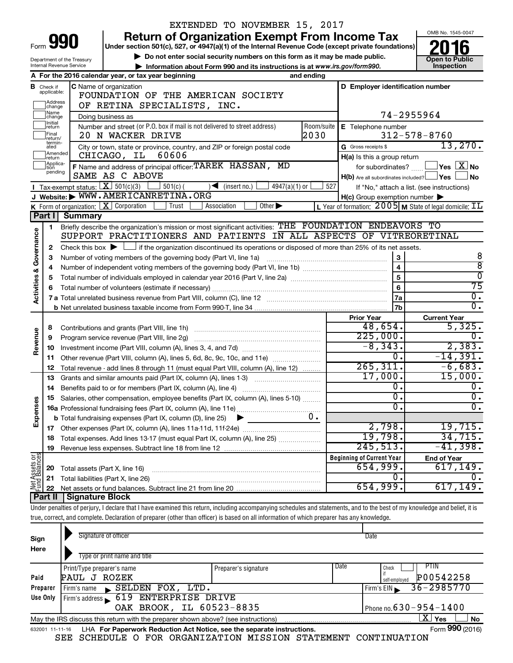|                         |                                                                                                           |                                                                 | EXTENDED TO NOVEMBER 15, 2017                                                                                                                                              |                    |                                                     |                                                                    |  |
|-------------------------|-----------------------------------------------------------------------------------------------------------|-----------------------------------------------------------------|----------------------------------------------------------------------------------------------------------------------------------------------------------------------------|--------------------|-----------------------------------------------------|--------------------------------------------------------------------|--|
|                         |                                                                                                           |                                                                 | <b>Return of Organization Exempt From Income Tax</b>                                                                                                                       |                    |                                                     | OMB No. 1545-0047                                                  |  |
| Form                    |                                                                                                           | 990                                                             | Under section 501(c), 527, or 4947(a)(1) of the Internal Revenue Code (except private foundations)                                                                         |                    |                                                     |                                                                    |  |
|                         | Do not enter social security numbers on this form as it may be made public.<br>Department of the Treasury |                                                                 |                                                                                                                                                                            |                    |                                                     | Open to Public                                                     |  |
|                         | Internal Revenue Service<br>Information about Form 990 and its instructions is at www.irs.gov/form990.    |                                                                 |                                                                                                                                                                            |                    |                                                     |                                                                    |  |
|                         |                                                                                                           |                                                                 | A For the 2016 calendar year, or tax year beginning<br>and ending                                                                                                          |                    |                                                     |                                                                    |  |
|                         | <b>B</b> Check if<br>applicable:                                                                          |                                                                 | C Name of organization                                                                                                                                                     |                    | D Employer identification number                    |                                                                    |  |
|                         | Address                                                                                                   |                                                                 | FOUNDATION OF THE AMERICAN SOCIETY                                                                                                                                         |                    |                                                     |                                                                    |  |
|                         | change<br>1Name                                                                                           |                                                                 | OF RETINA SPECIALISTS, INC.                                                                                                                                                |                    |                                                     |                                                                    |  |
|                         | change<br>1Initial                                                                                        |                                                                 | Doing business as                                                                                                                                                          |                    |                                                     | 74-2955964                                                         |  |
|                         | return<br>Final                                                                                           |                                                                 | Number and street (or P.O. box if mail is not delivered to street address)<br>20 N WACKER DRIVE                                                                            | Room/suite<br>2030 | E Telephone number                                  | $312 - 578 - 8760$                                                 |  |
|                         | lreturn/<br>termin-                                                                                       |                                                                 |                                                                                                                                                                            |                    | G Gross receipts \$                                 | 13,270.                                                            |  |
|                         | ated<br>Amended                                                                                           |                                                                 | City or town, state or province, country, and ZIP or foreign postal code<br>60606<br>CHICAGO, IL                                                                           |                    | H(a) Is this a group return                         |                                                                    |  |
|                         | Ireturn<br>Applica-                                                                                       |                                                                 | F Name and address of principal officer: TAREK HASSAN, MD                                                                                                                  |                    | for subordinates?                                   | $\Box$ Yes $[\overline{\mathrm{X}}]$ No                            |  |
|                         | tion<br>pending                                                                                           |                                                                 | SAME AS C ABOVE                                                                                                                                                            |                    | $H(b)$ Are all subordinates included? $\Box$ Yes    | <b>No</b>                                                          |  |
|                         |                                                                                                           | Tax-exempt status: $X \over 301(c)(3)$                          | 4947(a)(1) or<br>$501(c)$ (<br>$\sqrt{\frac{1}{1}}$ (insert no.)                                                                                                           | 527                |                                                     | If "No," attach a list. (see instructions)                         |  |
|                         |                                                                                                           |                                                                 | J Website: WWW.AMERICANRETINA.ORG                                                                                                                                          |                    | $H(c)$ Group exemption number $\blacktriangleright$ |                                                                    |  |
|                         |                                                                                                           | <b>K</b> Form of organization: $\boxed{\textbf{X}}$ Corporation | Other $\blacktriangleright$<br>Trust<br>Association                                                                                                                        |                    |                                                     | L Year of formation: $2005$ M State of legal domicile: $\text{IL}$ |  |
|                         | <b>Part II</b>                                                                                            | <b>Summary</b>                                                  |                                                                                                                                                                            |                    |                                                     |                                                                    |  |
|                         | 1.                                                                                                        |                                                                 | Briefly describe the organization's mission or most significant activities: THE FOUNDATION ENDEAVORS TO                                                                    |                    |                                                     |                                                                    |  |
| Governance              |                                                                                                           |                                                                 | SUPPORT PRACTITIONERS AND PATIENTS IN ALL ASPECTS OF VITREORETINAL                                                                                                         |                    |                                                     |                                                                    |  |
|                         | 2                                                                                                         |                                                                 | Check this box $\blacktriangleright$ $\Box$ if the organization discontinued its operations or disposed of more than 25% of its net assets.                                |                    |                                                     |                                                                    |  |
|                         | 3                                                                                                         |                                                                 | Number of voting members of the governing body (Part VI, line 1a)                                                                                                          |                    | 3                                                   | 8                                                                  |  |
|                         | 4                                                                                                         |                                                                 |                                                                                                                                                                            |                    | $\overline{\mathbf{4}}$                             | $\overline{8}$                                                     |  |
| <b>Activities &amp;</b> | 5                                                                                                         |                                                                 |                                                                                                                                                                            |                    | 5                                                   | $\overline{\mathfrak{o}}$                                          |  |
|                         | 6                                                                                                         |                                                                 |                                                                                                                                                                            |                    | 6                                                   | 75                                                                 |  |
|                         |                                                                                                           |                                                                 |                                                                                                                                                                            |                    | <b>7a</b>                                           | $\overline{0}$ .                                                   |  |
|                         |                                                                                                           |                                                                 |                                                                                                                                                                            |                    | 7b                                                  | $\overline{0}$ .                                                   |  |
|                         |                                                                                                           |                                                                 |                                                                                                                                                                            |                    | <b>Prior Year</b>                                   | <b>Current Year</b>                                                |  |
|                         | 8                                                                                                         |                                                                 |                                                                                                                                                                            |                    | 48,654.<br>225,000.                                 | 5,325.<br>0.                                                       |  |
| Revenue                 | 9                                                                                                         |                                                                 |                                                                                                                                                                            |                    | $-8, 343.$                                          | 2,383.                                                             |  |
|                         | 10                                                                                                        |                                                                 |                                                                                                                                                                            |                    | 0.                                                  | $-14,391.$                                                         |  |
|                         | 11<br>12                                                                                                  |                                                                 | Other revenue (Part VIII, column (A), lines 5, 6d, 8c, 9c, 10c, and 11e)<br>Total revenue - add lines 8 through 11 (must equal Part VIII, column (A), line 12)             |                    | 265, 311.                                           | $-6,683.$                                                          |  |
|                         | 13                                                                                                        |                                                                 | Grants and similar amounts paid (Part IX, column (A), lines 1-3)                                                                                                           |                    | 17,000.                                             | 15,000.                                                            |  |
|                         | 14                                                                                                        |                                                                 | Benefits paid to or for members (Part IX, column (A), line 4)                                                                                                              |                    | О.                                                  | 0.                                                                 |  |
|                         |                                                                                                           |                                                                 | 15 Salaries, other compensation, employee benefits (Part IX, column (A), lines 5-10)                                                                                       |                    | О.                                                  | υ.                                                                 |  |
| Expenses                |                                                                                                           |                                                                 |                                                                                                                                                                            |                    | $\overline{0}$ .                                    | $\overline{0}$ .                                                   |  |
|                         |                                                                                                           |                                                                 | <b>b</b> Total fundraising expenses (Part IX, column (D), line 25)<br>▶                                                                                                    | $0 \cdot$          |                                                     |                                                                    |  |
|                         | 17                                                                                                        |                                                                 |                                                                                                                                                                            |                    | 2,798.                                              | 19,715.                                                            |  |
|                         | 18                                                                                                        |                                                                 | Total expenses. Add lines 13-17 (must equal Part IX, column (A), line 25)                                                                                                  |                    | 19,798.                                             | 34,715.                                                            |  |
|                         | 19                                                                                                        |                                                                 |                                                                                                                                                                            |                    | 245,513.                                            | $-41,398$ .                                                        |  |
|                         |                                                                                                           |                                                                 |                                                                                                                                                                            |                    | <b>Beginning of Current Year</b>                    | <b>End of Year</b>                                                 |  |
|                         | 20                                                                                                        | Total assets (Part X, line 16)                                  |                                                                                                                                                                            |                    | 654,999.                                            | 617,149.                                                           |  |
| Net Assets or           | 21                                                                                                        |                                                                 | Total liabilities (Part X, line 26)                                                                                                                                        |                    | 0                                                   | Ο.                                                                 |  |
|                         | 22                                                                                                        |                                                                 |                                                                                                                                                                            |                    | 654,999.                                            | 617,149.                                                           |  |
|                         | Part II                                                                                                   | Signature Block                                                 |                                                                                                                                                                            |                    |                                                     |                                                                    |  |
|                         |                                                                                                           |                                                                 | Under penalties of perjury, I declare that I have examined this return, including accompanying schedules and statements, and to the best of my knowledge and belief, it is |                    |                                                     |                                                                    |  |
|                         |                                                                                                           |                                                                 | true, correct, and complete. Declaration of preparer (other than officer) is based on all information of which preparer has any knowledge.                                 |                    |                                                     |                                                                    |  |
|                         |                                                                                                           |                                                                 | Signature of officer                                                                                                                                                       |                    | Date                                                |                                                                    |  |
| Sign                    |                                                                                                           |                                                                 |                                                                                                                                                                            |                    |                                                     |                                                                    |  |

| Here            |                                                                                   |                      |      |                              |
|-----------------|-----------------------------------------------------------------------------------|----------------------|------|------------------------------|
|                 | Type or print name and title                                                      |                      |      |                              |
|                 | Print/Type preparer's name                                                        | Preparer's signature | Date | PIIN<br>Check                |
| Paid            | PAUL J ROZEK                                                                      |                      |      | P00542258<br>self-employed   |
| Preparer        | SELDEN FOX, LTD.<br>Firm's name                                                   |                      |      | 36-2985770<br>Firm's $EIN$   |
| Use Only        | Firm's address 619 ENTERPRISE DRIVE                                               |                      |      |                              |
|                 | OAK BROOK, IL 60523-8835                                                          |                      |      | Phone no. $630 - 954 - 1400$ |
|                 | May the IRS discuss this return with the preparer shown above? (see instructions) |                      |      | $\mathbf{X}$ Yes<br>้ No     |
| 632001 11-11-16 | LHA For Paperwork Reduction Act Notice, see the separate instructions.            |                      |      | Form 990 (2016)              |
|                 | SEE SCHEDULE O FOR ORGANIZATION MISSION STATEMENT CONTINUATION                    |                      |      |                              |

|  |  | SEE SCHEDULE O FOR ORGANIZATION MISSION STATEMENT CONTINUATION |  |  |
|--|--|----------------------------------------------------------------|--|--|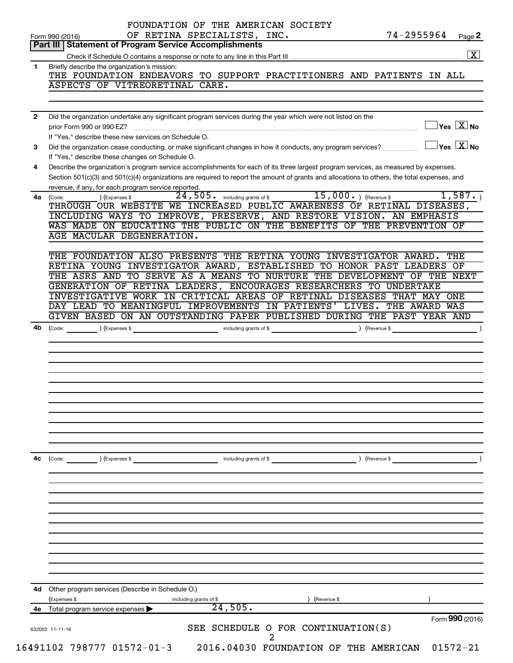|              | OF RETINA SPECIALISTS, INC.<br>74-2955964<br>Page 2<br>Form 990 (2016)<br>Part III   Statement of Program Service Accomplishments                                                                   |
|--------------|-----------------------------------------------------------------------------------------------------------------------------------------------------------------------------------------------------|
|              | $\boxed{\text{X}}$                                                                                                                                                                                  |
| 1            |                                                                                                                                                                                                     |
|              | Briefly describe the organization's mission:<br>THE FOUNDATION ENDEAVORS TO SUPPORT PRACTITIONERS AND PATIENTS IN ALL                                                                               |
|              | ASPECTS OF VITREORETINAL CARE.                                                                                                                                                                      |
| $\mathbf{2}$ | Did the organization undertake any significant program services during the year which were not listed on the                                                                                        |
|              | $\Box$ Yes $[\overline{\mathrm{X}}]$ No<br>If "Yes," describe these new services on Schedule O.                                                                                                     |
| 3            | $\Box$ Yes $~\boxed{\text{X}}$ No<br>Did the organization cease conducting, or make significant changes in how it conducts, any program services?                                                   |
| 4            | If "Yes," describe these changes on Schedule O.<br>Describe the organization's program service accomplishments for each of its three largest program services, as measured by expenses.             |
|              | Section 501(c)(3) and 501(c)(4) organizations are required to report the amount of grants and allocations to others, the total expenses, and<br>revenue, if any, for each program service reported. |
|              | 24,505. including grants of \$ 15,000. ) (Revenue \$<br>1,587.<br>) (Expenses \$<br>4a (Code:<br>THROUGH OUR WEBSITE WE INCREASED PUBLIC AWARENESS OF RETINAL DISEASES,                             |
|              | INCLUDING WAYS TO IMPROVE, PRESERVE, AND RESTORE VISION. AN EMPHASIS                                                                                                                                |
|              | WAS MADE ON EDUCATING THE PUBLIC ON THE BENEFITS OF THE PREVENTION OF<br>AGE MACULAR DEGENERATION.                                                                                                  |
|              | THE FOUNDATION ALSO PRESENTS THE RETINA YOUNG INVESTIGATOR AWARD.<br>THE                                                                                                                            |
|              | RETINA YOUNG INVESTIGATOR AWARD, ESTABLISHED TO HONOR PAST LEADERS OF                                                                                                                               |
|              | THE ASRS AND TO SERVE AS A MEANS TO NURTURE THE DEVELOPMENT OF THE NEXT                                                                                                                             |
|              | GENERATION OF RETINA LEADERS, ENCOURAGES RESEARCHERS TO UNDERTAKE                                                                                                                                   |
|              | INVESTIGATIVE WORK IN CRITICAL AREAS OF RETINAL DISEASES THAT MAY<br>ONE                                                                                                                            |
|              | DAY LEAD TO MEANINGFUL IMPROVEMENTS IN PATIENTS' LIVES. THE AWARD WAS                                                                                                                               |
|              | GIVEN BASED ON AN OUTSTANDING PAPER PUBLISHED DURING THE PAST YEAR AND                                                                                                                              |
|              |                                                                                                                                                                                                     |
|              |                                                                                                                                                                                                     |
|              |                                                                                                                                                                                                     |
|              |                                                                                                                                                                                                     |
|              |                                                                                                                                                                                                     |
|              |                                                                                                                                                                                                     |
|              |                                                                                                                                                                                                     |
|              | ) (Revenue \$<br>(Code: ) (Expenses \$<br>including grants of \$                                                                                                                                    |
|              |                                                                                                                                                                                                     |
|              |                                                                                                                                                                                                     |
|              |                                                                                                                                                                                                     |
|              |                                                                                                                                                                                                     |
|              |                                                                                                                                                                                                     |
|              | 4d Other program services (Describe in Schedule O.)<br>(Expenses \$<br>(Revenue \$<br>including grants of \$                                                                                        |
| 4с           | 24,505.<br>4e Total program service expenses ><br>Form 990 (2016)                                                                                                                                   |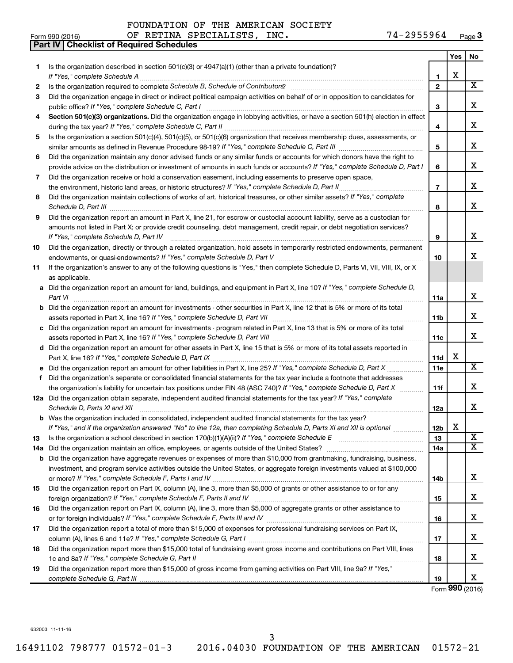|    | Part IV   Checklist of Required Schedules                                                                                                                                                                                           |                 |     |                         |
|----|-------------------------------------------------------------------------------------------------------------------------------------------------------------------------------------------------------------------------------------|-----------------|-----|-------------------------|
|    |                                                                                                                                                                                                                                     |                 | Yes | No                      |
| 1. | Is the organization described in section 501(c)(3) or $4947(a)(1)$ (other than a private foundation)?                                                                                                                               |                 |     |                         |
|    |                                                                                                                                                                                                                                     | 1               | х   |                         |
| 2  |                                                                                                                                                                                                                                     | $\overline{2}$  |     | $\overline{\mathbf{X}}$ |
| З  | Did the organization engage in direct or indirect political campaign activities on behalf of or in opposition to candidates for                                                                                                     |                 |     |                         |
|    |                                                                                                                                                                                                                                     | 3               |     | х                       |
| 4  | Section 501(c)(3) organizations. Did the organization engage in lobbying activities, or have a section 501(h) election in effect                                                                                                    |                 |     |                         |
|    |                                                                                                                                                                                                                                     | 4               |     | x                       |
| 5  | Is the organization a section 501(c)(4), 501(c)(5), or 501(c)(6) organization that receives membership dues, assessments, or                                                                                                        | 5               |     | x                       |
| 6  | Did the organization maintain any donor advised funds or any similar funds or accounts for which donors have the right to                                                                                                           |                 |     |                         |
|    |                                                                                                                                                                                                                                     | 6               |     | x                       |
|    | provide advice on the distribution or investment of amounts in such funds or accounts? If "Yes," complete Schedule D, Part I                                                                                                        |                 |     |                         |
| 7  | Did the organization receive or hold a conservation easement, including easements to preserve open space,                                                                                                                           |                 |     | x                       |
|    | the environment, historic land areas, or historic structures? If "Yes," complete Schedule D, Part II                                                                                                                                | $\overline{7}$  |     |                         |
| 8  | Did the organization maintain collections of works of art, historical treasures, or other similar assets? If "Yes," complete                                                                                                        | 8               |     | x                       |
| 9  | Did the organization report an amount in Part X, line 21, for escrow or custodial account liability, serve as a custodian for                                                                                                       |                 |     |                         |
|    | amounts not listed in Part X; or provide credit counseling, debt management, credit repair, or debt negotiation services?                                                                                                           |                 |     |                         |
|    | If "Yes," complete Schedule D, Part IV                                                                                                                                                                                              | 9               |     | x                       |
| 10 | Did the organization, directly or through a related organization, hold assets in temporarily restricted endowments, permanent                                                                                                       |                 |     |                         |
|    |                                                                                                                                                                                                                                     | 10              |     | x                       |
| 11 | If the organization's answer to any of the following questions is "Yes," then complete Schedule D, Parts VI, VII, VIII, IX, or X                                                                                                    |                 |     |                         |
|    | as applicable.                                                                                                                                                                                                                      |                 |     |                         |
|    | a Did the organization report an amount for land, buildings, and equipment in Part X, line 10? If "Yes," complete Schedule D,                                                                                                       |                 |     |                         |
|    | Part VI                                                                                                                                                                                                                             | 11a             |     | х                       |
|    | <b>b</b> Did the organization report an amount for investments - other securities in Part X, line 12 that is 5% or more of its total                                                                                                |                 |     |                         |
|    |                                                                                                                                                                                                                                     | 11 <sub>b</sub> |     | х                       |
|    | c Did the organization report an amount for investments - program related in Part X, line 13 that is 5% or more of its total                                                                                                        |                 |     |                         |
|    |                                                                                                                                                                                                                                     | 11c             |     | x                       |
|    | d Did the organization report an amount for other assets in Part X, line 15 that is 5% or more of its total assets reported in                                                                                                      |                 |     |                         |
|    |                                                                                                                                                                                                                                     | 11d             | х   |                         |
|    | e Did the organization report an amount for other liabilities in Part X, line 25? If "Yes," complete Schedule D, Part X                                                                                                             | 11e             |     | X                       |
| f  | Did the organization's separate or consolidated financial statements for the tax year include a footnote that addresses                                                                                                             |                 |     |                         |
|    | the organization's liability for uncertain tax positions under FIN 48 (ASC 740)? If "Yes," complete Schedule D, Part X                                                                                                              | 11f             |     | х                       |
|    | 12a Did the organization obtain separate, independent audited financial statements for the tax year? If "Yes," complete                                                                                                             |                 |     |                         |
|    | Schedule D, Parts XI and XII <b>continuum continuum continuum continuum continuum continuum continuum continuum</b> continuum continuum continuum continuum continuum continuum continuum continuum continuum continuum continuum c | 12a             |     | x                       |
|    | b Was the organization included in consolidated, independent audited financial statements for the tax year?                                                                                                                         |                 |     |                         |
|    | If "Yes," and if the organization answered "No" to line 12a, then completing Schedule D, Parts XI and XII is optional                                                                                                               | 12 <sub>b</sub> | X   |                         |
| 13 |                                                                                                                                                                                                                                     | 13              |     | х                       |
|    |                                                                                                                                                                                                                                     | 14a             |     | $\overline{\mathbf{x}}$ |
|    | <b>b</b> Did the organization have aggregate revenues or expenses of more than \$10,000 from grantmaking, fundraising, business,                                                                                                    |                 |     |                         |
|    | investment, and program service activities outside the United States, or aggregate foreign investments valued at \$100,000                                                                                                          |                 |     |                         |
|    |                                                                                                                                                                                                                                     | 14 <sub>b</sub> |     | x                       |
| 15 | Did the organization report on Part IX, column (A), line 3, more than \$5,000 of grants or other assistance to or for any                                                                                                           |                 |     |                         |
|    |                                                                                                                                                                                                                                     | 15              |     | x                       |
| 16 | Did the organization report on Part IX, column (A), line 3, more than \$5,000 of aggregate grants or other assistance to                                                                                                            |                 |     |                         |
|    |                                                                                                                                                                                                                                     | 16              |     | x                       |
| 17 | Did the organization report a total of more than \$15,000 of expenses for professional fundraising services on Part IX,                                                                                                             |                 |     |                         |
|    |                                                                                                                                                                                                                                     | 17              |     | x                       |
| 18 | Did the organization report more than \$15,000 total of fundraising event gross income and contributions on Part VIII, lines                                                                                                        |                 |     |                         |
|    |                                                                                                                                                                                                                                     | 18              |     | x                       |
| 19 | Did the organization report more than \$15,000 of gross income from gaming activities on Part VIII, line 9a? If "Yes,"                                                                                                              |                 |     |                         |
|    |                                                                                                                                                                                                                                     | 19              |     | X.                      |

Form (2016) **990**

632003 11-11-16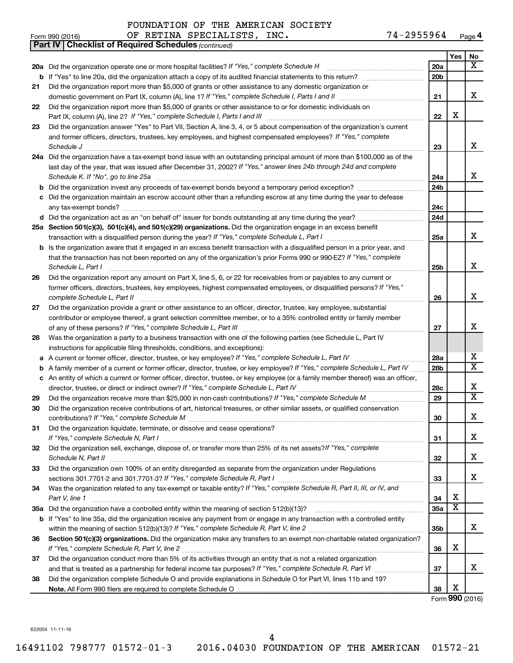|    | 74-2955964<br>OF RETINA SPECIALISTS, INC.<br>Form 990 (2016)                                                                                                                                                                   |                 |                         | Page 4                  |
|----|--------------------------------------------------------------------------------------------------------------------------------------------------------------------------------------------------------------------------------|-----------------|-------------------------|-------------------------|
|    | <b>Checklist of Required Schedules (continued)</b><br>∣ Part IV I                                                                                                                                                              |                 |                         |                         |
|    |                                                                                                                                                                                                                                |                 | Yes                     | No                      |
|    | <b>20a</b> Did the organization operate one or more hospital facilities? If "Yes," complete Schedule H                                                                                                                         | 20a             |                         | х                       |
|    |                                                                                                                                                                                                                                | 20 <sub>b</sub> |                         |                         |
| 21 | Did the organization report more than \$5,000 of grants or other assistance to any domestic organization or                                                                                                                    |                 |                         |                         |
|    | domestic government on Part IX, column (A), line 1? If "Yes," complete Schedule I, Parts I and II manufactured with the set of the schedule I, Parts I and II manufactured with the set of the set of the set of the set of th | 21              |                         | x                       |
| 22 | Did the organization report more than \$5,000 of grants or other assistance to or for domestic individuals on                                                                                                                  |                 |                         |                         |
|    |                                                                                                                                                                                                                                | 22              | х                       |                         |
| 23 | Did the organization answer "Yes" to Part VII, Section A, line 3, 4, or 5 about compensation of the organization's current                                                                                                     |                 |                         |                         |
|    | and former officers, directors, trustees, key employees, and highest compensated employees? If "Yes," complete                                                                                                                 |                 |                         |                         |
|    | Schedule J <b>Execute Schedule Schedule Schedule Schedule</b> J <b>Execute Schedule J Execute Schedule J</b>                                                                                                                   | 23              |                         | x                       |
|    | 24a Did the organization have a tax-exempt bond issue with an outstanding principal amount of more than \$100,000 as of the                                                                                                    |                 |                         |                         |
|    | last day of the year, that was issued after December 31, 2002? If "Yes," answer lines 24b through 24d and complete                                                                                                             |                 |                         |                         |
|    | Schedule K. If "No", go to line 25a                                                                                                                                                                                            | 24a             |                         | x                       |
|    |                                                                                                                                                                                                                                | 24 <sub>b</sub> |                         |                         |
|    | c Did the organization maintain an escrow account other than a refunding escrow at any time during the year to defease                                                                                                         |                 |                         |                         |
|    |                                                                                                                                                                                                                                | 24c             |                         |                         |
|    | d Did the organization act as an "on behalf of" issuer for bonds outstanding at any time during the year?                                                                                                                      | 24d             |                         |                         |
|    | 25a Section 501(c)(3), 501(c)(4), and 501(c)(29) organizations. Did the organization engage in an excess benefit                                                                                                               |                 |                         |                         |
|    |                                                                                                                                                                                                                                | 25a             |                         | x                       |
|    | <b>b</b> Is the organization aware that it engaged in an excess benefit transaction with a disqualified person in a prior year, and                                                                                            |                 |                         |                         |
|    | that the transaction has not been reported on any of the organization's prior Forms 990 or 990-EZ? If "Yes," complete                                                                                                          |                 |                         |                         |
|    | Schedule L, Part I                                                                                                                                                                                                             | 25b             |                         | x                       |
| 26 | Did the organization report any amount on Part X, line 5, 6, or 22 for receivables from or payables to any current or                                                                                                          |                 |                         |                         |
|    | former officers, directors, trustees, key employees, highest compensated employees, or disqualified persons? If "Yes,"                                                                                                         |                 |                         |                         |
|    | complete Schedule L, Part II                                                                                                                                                                                                   | 26              |                         | х                       |
| 27 | Did the organization provide a grant or other assistance to an officer, director, trustee, key employee, substantial                                                                                                           |                 |                         |                         |
|    | contributor or employee thereof, a grant selection committee member, or to a 35% controlled entity or family member                                                                                                            |                 |                         |                         |
|    |                                                                                                                                                                                                                                | 27              |                         | х                       |
| 28 | Was the organization a party to a business transaction with one of the following parties (see Schedule L, Part IV                                                                                                              |                 |                         |                         |
|    | instructions for applicable filing thresholds, conditions, and exceptions):                                                                                                                                                    |                 |                         |                         |
|    | a A current or former officer, director, trustee, or key employee? If "Yes," complete Schedule L, Part IV                                                                                                                      | 28a             |                         | х                       |
|    | <b>b</b> A family member of a current or former officer, director, trustee, or key employee? If "Yes," complete Schedule L, Part IV                                                                                            | 28 <sub>b</sub> |                         | $\overline{\texttt{x}}$ |
|    | c An entity of which a current or former officer, director, trustee, or key employee (or a family member thereof) was an officer,                                                                                              |                 |                         |                         |
|    | director, trustee, or direct or indirect owner? If "Yes," complete Schedule L, Part IV                                                                                                                                         | 28c             |                         | х                       |
| 29 |                                                                                                                                                                                                                                | 29              |                         | $\overline{\mathbf{x}}$ |
| 30 | Did the organization receive contributions of art, historical treasures, or other similar assets, or qualified conservation                                                                                                    |                 |                         |                         |
|    |                                                                                                                                                                                                                                | 30              |                         | х                       |
| 31 | Did the organization liquidate, terminate, or dissolve and cease operations?                                                                                                                                                   |                 |                         |                         |
|    |                                                                                                                                                                                                                                | 31              |                         | х                       |
| 32 | Did the organization sell, exchange, dispose of, or transfer more than 25% of its net assets? If "Yes," complete                                                                                                               |                 |                         |                         |
|    |                                                                                                                                                                                                                                | 32              |                         | х                       |
| 33 | Did the organization own 100% of an entity disregarded as separate from the organization under Regulations                                                                                                                     |                 |                         |                         |
|    |                                                                                                                                                                                                                                | 33              |                         | х                       |
| 34 | Was the organization related to any tax-exempt or taxable entity? If "Yes," complete Schedule R, Part II, III, or IV, and                                                                                                      |                 |                         |                         |
|    | Part V, line 1                                                                                                                                                                                                                 | 34              | х                       |                         |
|    |                                                                                                                                                                                                                                | 35a             | $\overline{\textbf{x}}$ |                         |
|    | <b>b</b> If "Yes" to line 35a, did the organization receive any payment from or engage in any transaction with a controlled entity                                                                                             |                 |                         |                         |
|    |                                                                                                                                                                                                                                | 35b             |                         | x                       |
| 36 | Section 501(c)(3) organizations. Did the organization make any transfers to an exempt non-charitable related organization?                                                                                                     |                 |                         |                         |
|    |                                                                                                                                                                                                                                | 36              | х                       |                         |
| 37 | Did the organization conduct more than 5% of its activities through an entity that is not a related organization                                                                                                               |                 |                         |                         |
|    |                                                                                                                                                                                                                                | 37              |                         | х                       |
| 38 | Did the organization complete Schedule O and provide explanations in Schedule O for Part VI, lines 11b and 19?                                                                                                                 |                 |                         |                         |
|    |                                                                                                                                                                                                                                | 38              | х                       |                         |
|    |                                                                                                                                                                                                                                |                 |                         | Form 990 (2016)         |

632004 11-11-16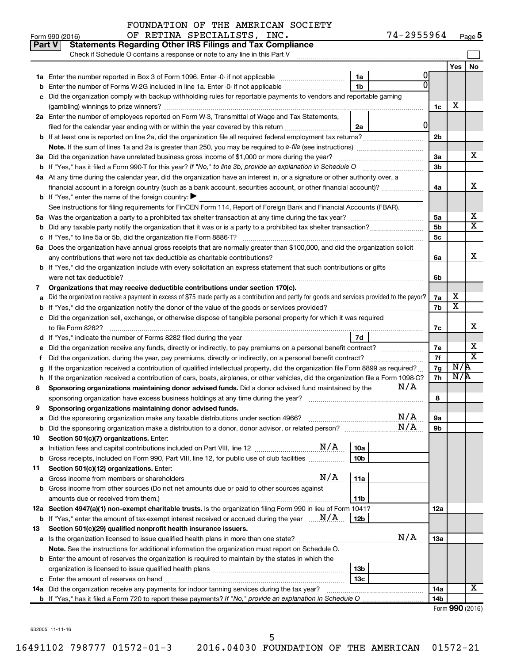| Part V | <b>Statements Regarding Other IRS Filings and Tax Compliance</b><br>Check if Schedule O contains a response or note to any line in this Part V                                  |     |                |                         |                         |  |  |
|--------|---------------------------------------------------------------------------------------------------------------------------------------------------------------------------------|-----|----------------|-------------------------|-------------------------|--|--|
|        |                                                                                                                                                                                 |     |                | Yes                     | <b>No</b>               |  |  |
|        | 1a                                                                                                                                                                              |     |                |                         |                         |  |  |
|        | 1 <sub>b</sub><br>Enter the number of Forms W-2G included in line 1a. Enter -0- if not applicable                                                                               |     |                |                         |                         |  |  |
|        | Did the organization comply with backup withholding rules for reportable payments to vendors and reportable gaming                                                              |     |                |                         |                         |  |  |
|        |                                                                                                                                                                                 |     |                |                         |                         |  |  |
|        | 2a Enter the number of employees reported on Form W-3, Transmittal of Wage and Tax Statements,                                                                                  |     |                |                         |                         |  |  |
|        | 0<br>filed for the calendar year ending with or within the year covered by this return <i>[[[[[[[[[[[[[]]]</i> ]]<br>2a                                                         |     |                |                         |                         |  |  |
|        | <b>b</b> If at least one is reported on line 2a, did the organization file all required federal employment tax returns?                                                         |     |                |                         |                         |  |  |
|        |                                                                                                                                                                                 |     |                |                         | x                       |  |  |
|        | 3a Did the organization have unrelated business gross income of \$1,000 or more during the year?                                                                                |     |                |                         |                         |  |  |
|        | <b>b</b> If "Yes," has it filed a Form 990-T for this year? If "No," to line 3b, provide an explanation in Schedule O                                                           |     | 3b             |                         |                         |  |  |
|        | 4a At any time during the calendar year, did the organization have an interest in, or a signature or other authority over, a                                                    |     |                |                         |                         |  |  |
|        | financial account in a foreign country (such as a bank account, securities account, or other financial account)?                                                                |     | 4a             |                         | x                       |  |  |
|        | <b>b</b> If "Yes," enter the name of the foreign country: $\blacktriangleright$                                                                                                 |     |                |                         |                         |  |  |
|        | See instructions for filing requirements for FinCEN Form 114, Report of Foreign Bank and Financial Accounts (FBAR).                                                             |     |                |                         |                         |  |  |
| 5а     |                                                                                                                                                                                 |     | 5a             |                         | x                       |  |  |
|        |                                                                                                                                                                                 |     | 5 <sub>b</sub> |                         | $\overline{\mathtt{x}}$ |  |  |
|        |                                                                                                                                                                                 |     | 5c             |                         |                         |  |  |
|        | 6a Does the organization have annual gross receipts that are normally greater than \$100,000, and did the organization solicit                                                  |     |                |                         |                         |  |  |
|        |                                                                                                                                                                                 |     | 6a             |                         | x                       |  |  |
|        | b If "Yes," did the organization include with every solicitation an express statement that such contributions or gifts                                                          |     |                |                         |                         |  |  |
|        | were not tax deductible?                                                                                                                                                        |     | 6b             |                         |                         |  |  |
| 7      | Organizations that may receive deductible contributions under section 170(c).                                                                                                   |     | 7a             | х                       |                         |  |  |
|        | Did the organization receive a payment in excess of \$75 made partly as a contribution and partly for goods and services provided to the payor?                                 |     |                |                         |                         |  |  |
|        | Did the organization sell, exchange, or otherwise dispose of tangible personal property for which it was required                                                               |     | 7b             | $\overline{\textbf{x}}$ |                         |  |  |
|        |                                                                                                                                                                                 |     | 7c             |                         | x                       |  |  |
|        | 7d                                                                                                                                                                              |     |                |                         |                         |  |  |
|        | Did the organization receive any funds, directly or indirectly, to pay premiums on a personal benefit contract?                                                                 |     | 7е             |                         | x                       |  |  |
| Ť.     | Did the organization, during the year, pay premiums, directly or indirectly, on a personal benefit contract?                                                                    |     | 7f             |                         | $\overline{\mathtt{x}}$ |  |  |
|        | If the organization received a contribution of qualified intellectual property, did the organization file Form 8899 as required?                                                |     | 7g             | $N/\overline{A}$        |                         |  |  |
| h      | If the organization received a contribution of cars, boats, airplanes, or other vehicles, did the organization file a Form 1098-C?                                              |     | 7h             | N/R                     |                         |  |  |
| 8      | Sponsoring organizations maintaining donor advised funds. Did a donor advised fund maintained by the                                                                            | N/A |                |                         |                         |  |  |
|        | sponsoring organization have excess business holdings at any time during the year?                                                                                              |     | 8              |                         |                         |  |  |
| 9      | Sponsoring organizations maintaining donor advised funds.                                                                                                                       |     |                |                         |                         |  |  |
|        |                                                                                                                                                                                 | N/A | υа             |                         |                         |  |  |
|        | <b>b</b> Did the sponsoring organization make a distribution to a donor, donor advisor, or related person?                                                                      | N/A | 9b             |                         |                         |  |  |
| 10     | Section 501(c)(7) organizations. Enter:                                                                                                                                         |     |                |                         |                         |  |  |
| а      | N/A<br>10a<br>Initiation fees and capital contributions included on Part VIII, line 12 [111] [12] [11] Initiation fees and capital contributions included on Part VIII, line 12 |     |                |                         |                         |  |  |
|        | 10 <sub>b</sub><br>b Gross receipts, included on Form 990, Part VIII, line 12, for public use of club facilities                                                                |     |                |                         |                         |  |  |
| 11     | Section 501(c)(12) organizations. Enter:                                                                                                                                        |     |                |                         |                         |  |  |
| а      | N/A<br>11a<br>Gross income from members or shareholders                                                                                                                         |     |                |                         |                         |  |  |
|        | b Gross income from other sources (Do not net amounts due or paid to other sources against                                                                                      |     |                |                         |                         |  |  |
|        | 11b<br>amounts due or received from them.)                                                                                                                                      |     |                |                         |                         |  |  |
|        | 12a Section 4947(a)(1) non-exempt charitable trusts. Is the organization filing Form 990 in lieu of Form 1041?                                                                  |     | 12a            |                         |                         |  |  |
|        | <b>b</b> If "Yes," enter the amount of tax-exempt interest received or accrued during the year $\ldots$ $M/A$ .<br>12b                                                          |     |                |                         |                         |  |  |
| 13     | Section 501(c)(29) qualified nonprofit health insurance issuers.                                                                                                                |     |                |                         |                         |  |  |
|        | a Is the organization licensed to issue qualified health plans in more than one state?                                                                                          | N/A | 1За            |                         |                         |  |  |
|        | Note. See the instructions for additional information the organization must report on Schedule O.                                                                               |     |                |                         |                         |  |  |
|        | <b>b</b> Enter the amount of reserves the organization is required to maintain by the states in which the                                                                       |     |                |                         |                         |  |  |
|        | 13 <sub>b</sub><br>13c                                                                                                                                                          |     |                |                         |                         |  |  |
|        | 14a Did the organization receive any payments for indoor tanning services during the tax year?                                                                                  |     | 14a            |                         | X                       |  |  |
|        | <b>b</b> If "Yes," has it filed a Form 720 to report these payments? If "No," provide an explanation in Schedule O                                                              |     | 14b            |                         |                         |  |  |
|        |                                                                                                                                                                                 |     |                |                         |                         |  |  |

Form (2016) **990**

632005 11-11-16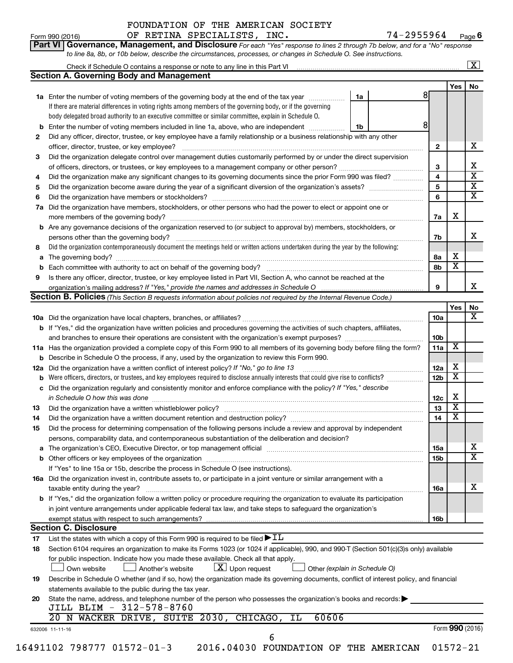*to line 8a, 8b, or 10b below, describe the circumstances, processes, or changes in Schedule O. See instructions.*

|    | Check if Schedule O contains a response or note to any line in this Part VI                                                               |                         |                         | $\overline{\mathbf{X}}$                            |  |  |  |  |
|----|-------------------------------------------------------------------------------------------------------------------------------------------|-------------------------|-------------------------|----------------------------------------------------|--|--|--|--|
|    | <b>Section A. Governing Body and Management</b>                                                                                           |                         |                         |                                                    |  |  |  |  |
|    |                                                                                                                                           |                         | Yes                     | No                                                 |  |  |  |  |
|    | 81<br>1a<br>1a Enter the number of voting members of the governing body at the end of the tax year                                        |                         |                         |                                                    |  |  |  |  |
|    | If there are material differences in voting rights among members of the governing body, or if the governing                               |                         |                         |                                                    |  |  |  |  |
|    | body delegated broad authority to an executive committee or similar committee, explain in Schedule O.                                     |                         |                         |                                                    |  |  |  |  |
| b  | 8<br>Enter the number of voting members included in line 1a, above, who are independent<br>1b                                             |                         |                         |                                                    |  |  |  |  |
| 2  | Did any officer, director, trustee, or key employee have a family relationship or a business relationship with any other                  |                         |                         |                                                    |  |  |  |  |
|    |                                                                                                                                           | $\mathbf{2}$            |                         | х                                                  |  |  |  |  |
| 3  | Did the organization delegate control over management duties customarily performed by or under the direct supervision                     |                         |                         |                                                    |  |  |  |  |
|    |                                                                                                                                           | 3                       |                         | х                                                  |  |  |  |  |
| 4  | Did the organization make any significant changes to its governing documents since the prior Form 990 was filed?                          | $\overline{\mathbf{4}}$ |                         | $\overline{\mathbf{x}}$<br>$\overline{\mathbf{X}}$ |  |  |  |  |
| 5  |                                                                                                                                           |                         |                         |                                                    |  |  |  |  |
| 6  |                                                                                                                                           | 6                       |                         | $\overline{\mathbf{X}}$                            |  |  |  |  |
|    | 7a Did the organization have members, stockholders, or other persons who had the power to elect or appoint one or                         |                         |                         |                                                    |  |  |  |  |
|    |                                                                                                                                           | 7a                      | х                       |                                                    |  |  |  |  |
|    | <b>b</b> Are any governance decisions of the organization reserved to (or subject to approval by) members, stockholders, or               |                         |                         |                                                    |  |  |  |  |
|    | persons other than the governing body?                                                                                                    | 7b                      |                         | х                                                  |  |  |  |  |
| 8  | Did the organization contemporaneously document the meetings held or written actions undertaken during the year by the following:         |                         |                         |                                                    |  |  |  |  |
| a  |                                                                                                                                           | 8а                      | х                       |                                                    |  |  |  |  |
| b  |                                                                                                                                           | 8b                      | $\overline{\textbf{x}}$ |                                                    |  |  |  |  |
| 9  | Is there any officer, director, trustee, or key employee listed in Part VII, Section A, who cannot be reached at the                      |                         |                         |                                                    |  |  |  |  |
|    | organization's mailing address? If "Yes," provide the names and addresses in Schedule O                                                   | 9                       |                         | х                                                  |  |  |  |  |
|    | Section B. Policies (This Section B requests information about policies not required by the Internal Revenue Code.)                       |                         |                         |                                                    |  |  |  |  |
|    |                                                                                                                                           |                         | Yes                     | No                                                 |  |  |  |  |
|    |                                                                                                                                           | 10a                     |                         | х                                                  |  |  |  |  |
|    | <b>b</b> If "Yes," did the organization have written policies and procedures governing the activities of such chapters, affiliates,       |                         |                         |                                                    |  |  |  |  |
|    |                                                                                                                                           | 10 <sub>b</sub>         |                         |                                                    |  |  |  |  |
|    | 11a Has the organization provided a complete copy of this Form 990 to all members of its governing body before filing the form?           | 11a                     | х                       |                                                    |  |  |  |  |
|    | <b>b</b> Describe in Schedule O the process, if any, used by the organization to review this Form 990.                                    |                         |                         |                                                    |  |  |  |  |
|    | 12a Did the organization have a written conflict of interest policy? If "No," go to line 13                                               | 12a                     | х                       |                                                    |  |  |  |  |
| b  | Were officers, directors, or trustees, and key employees required to disclose annually interests that could give rise to conflicts?       | 12 <sub>b</sub>         | $\overline{\text{x}}$   |                                                    |  |  |  |  |
| c  | Did the organization regularly and consistently monitor and enforce compliance with the policy? If "Yes," describe                        |                         |                         |                                                    |  |  |  |  |
|    | in Schedule O how this was done                                                                                                           | 12c                     | Х                       |                                                    |  |  |  |  |
| 13 |                                                                                                                                           | 13                      | $\overline{\textbf{X}}$ |                                                    |  |  |  |  |
| 14 |                                                                                                                                           | 14                      | $\overline{\textbf{x}}$ |                                                    |  |  |  |  |
| 15 | Did the process for determining compensation of the following persons include a review and approval by independent                        |                         |                         |                                                    |  |  |  |  |
|    | persons, comparability data, and contemporaneous substantiation of the deliberation and decision?                                         |                         |                         |                                                    |  |  |  |  |
|    |                                                                                                                                           | 15a                     |                         | х                                                  |  |  |  |  |
|    | <b>b</b> Other officers or key employees of the organization                                                                              | 15b                     |                         | $\overline{\mathbf{X}}$                            |  |  |  |  |
|    | If "Yes" to line 15a or 15b, describe the process in Schedule O (see instructions).                                                       |                         |                         |                                                    |  |  |  |  |
|    | 16a Did the organization invest in, contribute assets to, or participate in a joint venture or similar arrangement with a                 |                         |                         |                                                    |  |  |  |  |
|    | taxable entity during the year?                                                                                                           | 16a                     |                         | X                                                  |  |  |  |  |
|    | b If "Yes," did the organization follow a written policy or procedure requiring the organization to evaluate its participation            |                         |                         |                                                    |  |  |  |  |
|    | in joint venture arrangements under applicable federal tax law, and take steps to safeguard the organization's                            |                         |                         |                                                    |  |  |  |  |
|    | exempt status with respect to such arrangements?                                                                                          | 16b                     |                         |                                                    |  |  |  |  |
|    | <b>Section C. Disclosure</b>                                                                                                              |                         |                         |                                                    |  |  |  |  |
| 17 | List the states with which a copy of this Form 990 is required to be filed $\blacktriangleright$ IL                                       |                         |                         |                                                    |  |  |  |  |
| 18 | Section 6104 requires an organization to make its Forms 1023 (or 1024 if applicable), 990, and 990-T (Section 501(c)(3)s only) available  |                         |                         |                                                    |  |  |  |  |
|    | for public inspection. Indicate how you made these available. Check all that apply.                                                       |                         |                         |                                                    |  |  |  |  |
|    | $\lfloor x \rfloor$ Upon request<br>Own website<br>Another's website<br>Other (explain in Schedule O)                                     |                         |                         |                                                    |  |  |  |  |
| 19 | Describe in Schedule O whether (and if so, how) the organization made its governing documents, conflict of interest policy, and financial |                         |                         |                                                    |  |  |  |  |
|    | statements available to the public during the tax year.                                                                                   |                         |                         |                                                    |  |  |  |  |
| 20 | State the name, address, and telephone number of the person who possesses the organization's books and records:                           |                         |                         |                                                    |  |  |  |  |
|    | JILL BLIM - 312-578-8760                                                                                                                  |                         |                         |                                                    |  |  |  |  |
|    | 20 N WACKER DRIVE, SUITE 2030, CHICAGO, IL<br>60606                                                                                       |                         |                         |                                                    |  |  |  |  |
|    |                                                                                                                                           |                         |                         |                                                    |  |  |  |  |

| 632006 11-11-16 |  |
|-----------------|--|
|-----------------|--|

Form (2016) **990**

16491102 798777 01572-01-3 2016.04030 FOUNDATION OF THE AMERICAN 01572-21

6

Form 990 (2016) OF RETINA SPECIALISTS , INC . 74-2955964 Page **6**

| Form 990 (2016) |  | OF RETINA SPECIALISTS, INC.                                                                                                        |  | 74-2955964 | Pag |
|-----------------|--|------------------------------------------------------------------------------------------------------------------------------------|--|------------|-----|
|                 |  | <b>Part VI</b> Governance, Management, and Disclosure For each "Yes" response to lines 2 through 7b below, and for a "No" response |  |            |     |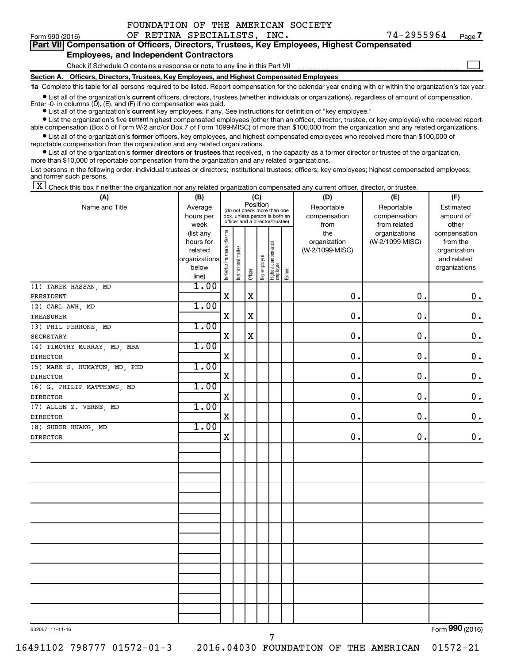| FOUNDATION OF THE AMERICAN SOCIETY |  |  |  |
|------------------------------------|--|--|--|
|------------------------------------|--|--|--|

Form 990 (2016) OF RETINA SPECIALISTS , INC . 74-2955964 Page **Part VII Compensation of Officers, Directors, Trustees, Key Employees, Highest Compensated**

#### **Employees, and Independent Contractors**

Check if Schedule O contains a response or note to any line in this Part VII

**Section A. Officers, Directors, Trustees, Key Employees, and Highest Compensated Employees**

**1a**  Complete this table for all persons required to be listed. Report compensation for the calendar year ending with or within the organization's tax year.

**•** List all of the organization's current officers, directors, trustees (whether individuals or organizations), regardless of amount of compensation. Enter -0- in columns  $(D)$ ,  $(E)$ , and  $(F)$  if no compensation was paid.

**•** List all of the organization's **current** key employees, if any. See instructions for definition of "key employee."

**•** List the organization's five current highest compensated employees (other than an officer, director, trustee, or key employee) who received reportable compensation (Box 5 of Form W-2 and/or Box 7 of Form 1099-MISC) of more than \$100,000 from the organization and any related organizations.

**•** List all of the organization's former officers, key employees, and highest compensated employees who received more than \$100,000 of reportable compensation from the organization and any related organizations.

**•** List all of the organization's former directors or trustees that received, in the capacity as a former director or trustee of the organization, more than \$10,000 of reportable compensation from the organization and any related organizations.

List persons in the following order: individual trustees or directors; institutional trustees; officers; key employees; highest compensated employees; and former such persons.

 $\boxed{\textbf{X}}$  Check this box if neither the organization nor any related organization compensated any current officer, director, or trustee.

| Position<br>Name and Title<br>Reportable<br>Reportable<br>Average<br>Estimated<br>(do not check more than one<br>compensation<br>hours per<br>box, unless person is both an<br>compensation<br>amount of<br>officer and a director/trustee)<br>week<br>from<br>from related<br>other<br>Individual trustee or director<br>the<br>organizations<br>(list any<br>compensation<br>organization<br>(W-2/1099-MISC)<br>hours for<br>from the<br>Highest compensated<br>employee<br>Institutional trustee<br>(W-2/1099-MISC)<br>related<br>organization<br>Key employee<br>organizations<br>and related<br>below<br>organizations<br>Former<br>Officer<br>line)<br>1.00<br>(1) TAREK HASSAN, MD<br>$\mathbf X$<br>$\mathbf x$<br>0.<br>0.<br>$\boldsymbol{0}$ .<br>PRESIDENT<br>1.00<br>(2) CARL AWH, MD<br>$\mathbf X$<br>$\mathbf X$<br>$\mathbf 0$ .<br>0.<br>$\mathbf 0$ .<br>TREASURER<br>1.00<br>(3) PHIL FERRONE, MD<br>0.<br>0.<br>$\mathbf 0$ .<br>X<br>$\mathbf X$<br>SECRETARY<br>1.00<br>(4) TIMOTHY MURRAY, MD, MBA<br>$\mathbf X$<br>0.<br>$\mathbf 0$ .<br>$\mathbf 0$ .<br><b>DIRECTOR</b><br>1.00<br>(5) MARK S. HUMAYUN, MD, PHD<br>$\mathbf 0$ .<br>$\mathbf 0$ .<br>X<br>$\mathbf 0$ .<br><b>DIRECTOR</b><br>1.00<br>(6) G. PHILIP MATTHEWS, MD<br>$\mathbf X$<br>$\mathbf 0$ .<br>0.<br>$\mathbf 0$ .<br><b>DIRECTOR</b><br>1.00<br>(7) ALLEN Z. VERNE, MD<br>$\mathbf X$<br>$\mathbf 0$ .<br>0.<br>$\mathbf 0$ .<br><b>DIRECTOR</b><br>1.00<br>(8) SUBER HUANG, MD<br>$\mathbf X$<br>$\mathbf 0$ .<br>0.<br>$0$ .<br><b>DIRECTOR</b> | (A) | (B) |  | (C) |  | (D) | (E) | (F) |
|------------------------------------------------------------------------------------------------------------------------------------------------------------------------------------------------------------------------------------------------------------------------------------------------------------------------------------------------------------------------------------------------------------------------------------------------------------------------------------------------------------------------------------------------------------------------------------------------------------------------------------------------------------------------------------------------------------------------------------------------------------------------------------------------------------------------------------------------------------------------------------------------------------------------------------------------------------------------------------------------------------------------------------------------------------------------------------------------------------------------------------------------------------------------------------------------------------------------------------------------------------------------------------------------------------------------------------------------------------------------------------------------------------------------------------------------------------------------------------------------------------------------------------------------------|-----|-----|--|-----|--|-----|-----|-----|
|                                                                                                                                                                                                                                                                                                                                                                                                                                                                                                                                                                                                                                                                                                                                                                                                                                                                                                                                                                                                                                                                                                                                                                                                                                                                                                                                                                                                                                                                                                                                                      |     |     |  |     |  |     |     |     |
|                                                                                                                                                                                                                                                                                                                                                                                                                                                                                                                                                                                                                                                                                                                                                                                                                                                                                                                                                                                                                                                                                                                                                                                                                                                                                                                                                                                                                                                                                                                                                      |     |     |  |     |  |     |     |     |
|                                                                                                                                                                                                                                                                                                                                                                                                                                                                                                                                                                                                                                                                                                                                                                                                                                                                                                                                                                                                                                                                                                                                                                                                                                                                                                                                                                                                                                                                                                                                                      |     |     |  |     |  |     |     |     |
|                                                                                                                                                                                                                                                                                                                                                                                                                                                                                                                                                                                                                                                                                                                                                                                                                                                                                                                                                                                                                                                                                                                                                                                                                                                                                                                                                                                                                                                                                                                                                      |     |     |  |     |  |     |     |     |
|                                                                                                                                                                                                                                                                                                                                                                                                                                                                                                                                                                                                                                                                                                                                                                                                                                                                                                                                                                                                                                                                                                                                                                                                                                                                                                                                                                                                                                                                                                                                                      |     |     |  |     |  |     |     |     |
|                                                                                                                                                                                                                                                                                                                                                                                                                                                                                                                                                                                                                                                                                                                                                                                                                                                                                                                                                                                                                                                                                                                                                                                                                                                                                                                                                                                                                                                                                                                                                      |     |     |  |     |  |     |     |     |
|                                                                                                                                                                                                                                                                                                                                                                                                                                                                                                                                                                                                                                                                                                                                                                                                                                                                                                                                                                                                                                                                                                                                                                                                                                                                                                                                                                                                                                                                                                                                                      |     |     |  |     |  |     |     |     |
|                                                                                                                                                                                                                                                                                                                                                                                                                                                                                                                                                                                                                                                                                                                                                                                                                                                                                                                                                                                                                                                                                                                                                                                                                                                                                                                                                                                                                                                                                                                                                      |     |     |  |     |  |     |     |     |
|                                                                                                                                                                                                                                                                                                                                                                                                                                                                                                                                                                                                                                                                                                                                                                                                                                                                                                                                                                                                                                                                                                                                                                                                                                                                                                                                                                                                                                                                                                                                                      |     |     |  |     |  |     |     |     |
|                                                                                                                                                                                                                                                                                                                                                                                                                                                                                                                                                                                                                                                                                                                                                                                                                                                                                                                                                                                                                                                                                                                                                                                                                                                                                                                                                                                                                                                                                                                                                      |     |     |  |     |  |     |     |     |
|                                                                                                                                                                                                                                                                                                                                                                                                                                                                                                                                                                                                                                                                                                                                                                                                                                                                                                                                                                                                                                                                                                                                                                                                                                                                                                                                                                                                                                                                                                                                                      |     |     |  |     |  |     |     |     |
|                                                                                                                                                                                                                                                                                                                                                                                                                                                                                                                                                                                                                                                                                                                                                                                                                                                                                                                                                                                                                                                                                                                                                                                                                                                                                                                                                                                                                                                                                                                                                      |     |     |  |     |  |     |     |     |
|                                                                                                                                                                                                                                                                                                                                                                                                                                                                                                                                                                                                                                                                                                                                                                                                                                                                                                                                                                                                                                                                                                                                                                                                                                                                                                                                                                                                                                                                                                                                                      |     |     |  |     |  |     |     |     |
|                                                                                                                                                                                                                                                                                                                                                                                                                                                                                                                                                                                                                                                                                                                                                                                                                                                                                                                                                                                                                                                                                                                                                                                                                                                                                                                                                                                                                                                                                                                                                      |     |     |  |     |  |     |     |     |
|                                                                                                                                                                                                                                                                                                                                                                                                                                                                                                                                                                                                                                                                                                                                                                                                                                                                                                                                                                                                                                                                                                                                                                                                                                                                                                                                                                                                                                                                                                                                                      |     |     |  |     |  |     |     |     |
|                                                                                                                                                                                                                                                                                                                                                                                                                                                                                                                                                                                                                                                                                                                                                                                                                                                                                                                                                                                                                                                                                                                                                                                                                                                                                                                                                                                                                                                                                                                                                      |     |     |  |     |  |     |     |     |
|                                                                                                                                                                                                                                                                                                                                                                                                                                                                                                                                                                                                                                                                                                                                                                                                                                                                                                                                                                                                                                                                                                                                                                                                                                                                                                                                                                                                                                                                                                                                                      |     |     |  |     |  |     |     |     |
|                                                                                                                                                                                                                                                                                                                                                                                                                                                                                                                                                                                                                                                                                                                                                                                                                                                                                                                                                                                                                                                                                                                                                                                                                                                                                                                                                                                                                                                                                                                                                      |     |     |  |     |  |     |     |     |
|                                                                                                                                                                                                                                                                                                                                                                                                                                                                                                                                                                                                                                                                                                                                                                                                                                                                                                                                                                                                                                                                                                                                                                                                                                                                                                                                                                                                                                                                                                                                                      |     |     |  |     |  |     |     |     |
|                                                                                                                                                                                                                                                                                                                                                                                                                                                                                                                                                                                                                                                                                                                                                                                                                                                                                                                                                                                                                                                                                                                                                                                                                                                                                                                                                                                                                                                                                                                                                      |     |     |  |     |  |     |     |     |
|                                                                                                                                                                                                                                                                                                                                                                                                                                                                                                                                                                                                                                                                                                                                                                                                                                                                                                                                                                                                                                                                                                                                                                                                                                                                                                                                                                                                                                                                                                                                                      |     |     |  |     |  |     |     |     |
|                                                                                                                                                                                                                                                                                                                                                                                                                                                                                                                                                                                                                                                                                                                                                                                                                                                                                                                                                                                                                                                                                                                                                                                                                                                                                                                                                                                                                                                                                                                                                      |     |     |  |     |  |     |     |     |
|                                                                                                                                                                                                                                                                                                                                                                                                                                                                                                                                                                                                                                                                                                                                                                                                                                                                                                                                                                                                                                                                                                                                                                                                                                                                                                                                                                                                                                                                                                                                                      |     |     |  |     |  |     |     |     |
|                                                                                                                                                                                                                                                                                                                                                                                                                                                                                                                                                                                                                                                                                                                                                                                                                                                                                                                                                                                                                                                                                                                                                                                                                                                                                                                                                                                                                                                                                                                                                      |     |     |  |     |  |     |     |     |
|                                                                                                                                                                                                                                                                                                                                                                                                                                                                                                                                                                                                                                                                                                                                                                                                                                                                                                                                                                                                                                                                                                                                                                                                                                                                                                                                                                                                                                                                                                                                                      |     |     |  |     |  |     |     |     |
|                                                                                                                                                                                                                                                                                                                                                                                                                                                                                                                                                                                                                                                                                                                                                                                                                                                                                                                                                                                                                                                                                                                                                                                                                                                                                                                                                                                                                                                                                                                                                      |     |     |  |     |  |     |     |     |
|                                                                                                                                                                                                                                                                                                                                                                                                                                                                                                                                                                                                                                                                                                                                                                                                                                                                                                                                                                                                                                                                                                                                                                                                                                                                                                                                                                                                                                                                                                                                                      |     |     |  |     |  |     |     |     |
|                                                                                                                                                                                                                                                                                                                                                                                                                                                                                                                                                                                                                                                                                                                                                                                                                                                                                                                                                                                                                                                                                                                                                                                                                                                                                                                                                                                                                                                                                                                                                      |     |     |  |     |  |     |     |     |
|                                                                                                                                                                                                                                                                                                                                                                                                                                                                                                                                                                                                                                                                                                                                                                                                                                                                                                                                                                                                                                                                                                                                                                                                                                                                                                                                                                                                                                                                                                                                                      |     |     |  |     |  |     |     |     |
|                                                                                                                                                                                                                                                                                                                                                                                                                                                                                                                                                                                                                                                                                                                                                                                                                                                                                                                                                                                                                                                                                                                                                                                                                                                                                                                                                                                                                                                                                                                                                      |     |     |  |     |  |     |     |     |
|                                                                                                                                                                                                                                                                                                                                                                                                                                                                                                                                                                                                                                                                                                                                                                                                                                                                                                                                                                                                                                                                                                                                                                                                                                                                                                                                                                                                                                                                                                                                                      |     |     |  |     |  |     |     |     |
|                                                                                                                                                                                                                                                                                                                                                                                                                                                                                                                                                                                                                                                                                                                                                                                                                                                                                                                                                                                                                                                                                                                                                                                                                                                                                                                                                                                                                                                                                                                                                      |     |     |  |     |  |     |     |     |
|                                                                                                                                                                                                                                                                                                                                                                                                                                                                                                                                                                                                                                                                                                                                                                                                                                                                                                                                                                                                                                                                                                                                                                                                                                                                                                                                                                                                                                                                                                                                                      |     |     |  |     |  |     |     |     |
|                                                                                                                                                                                                                                                                                                                                                                                                                                                                                                                                                                                                                                                                                                                                                                                                                                                                                                                                                                                                                                                                                                                                                                                                                                                                                                                                                                                                                                                                                                                                                      |     |     |  |     |  |     |     |     |
|                                                                                                                                                                                                                                                                                                                                                                                                                                                                                                                                                                                                                                                                                                                                                                                                                                                                                                                                                                                                                                                                                                                                                                                                                                                                                                                                                                                                                                                                                                                                                      |     |     |  |     |  |     |     |     |
|                                                                                                                                                                                                                                                                                                                                                                                                                                                                                                                                                                                                                                                                                                                                                                                                                                                                                                                                                                                                                                                                                                                                                                                                                                                                                                                                                                                                                                                                                                                                                      |     |     |  |     |  |     |     |     |
|                                                                                                                                                                                                                                                                                                                                                                                                                                                                                                                                                                                                                                                                                                                                                                                                                                                                                                                                                                                                                                                                                                                                                                                                                                                                                                                                                                                                                                                                                                                                                      |     |     |  |     |  |     |     |     |
|                                                                                                                                                                                                                                                                                                                                                                                                                                                                                                                                                                                                                                                                                                                                                                                                                                                                                                                                                                                                                                                                                                                                                                                                                                                                                                                                                                                                                                                                                                                                                      |     |     |  |     |  |     |     |     |
|                                                                                                                                                                                                                                                                                                                                                                                                                                                                                                                                                                                                                                                                                                                                                                                                                                                                                                                                                                                                                                                                                                                                                                                                                                                                                                                                                                                                                                                                                                                                                      |     |     |  |     |  |     |     |     |
|                                                                                                                                                                                                                                                                                                                                                                                                                                                                                                                                                                                                                                                                                                                                                                                                                                                                                                                                                                                                                                                                                                                                                                                                                                                                                                                                                                                                                                                                                                                                                      |     |     |  |     |  |     |     |     |

Form (2016) **990**

**7**

 $\Box$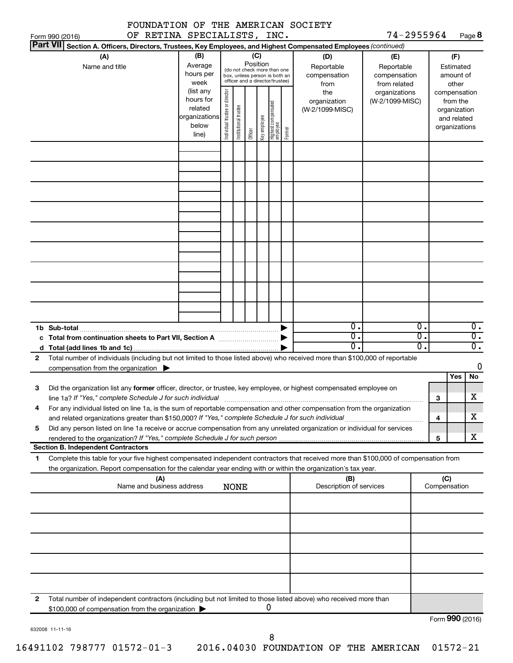|                            |  |  | FOUNDATION OF THE AMERICAN SOCIETY |
|----------------------------|--|--|------------------------------------|
| OF DETINA COFCIALICTIC INC |  |  |                                    |

74-2955964 Page 8

|              | OF RETINA SPECIALISTS, INC.<br>Form 990 (2016)                                                                                                                                                                                                         |                                                         |                                |                                                                                                 |                 |              |                                  |        |                                                  | 74-2955964                                                         |                  |                     |                                                                          | Page 8                               |
|--------------|--------------------------------------------------------------------------------------------------------------------------------------------------------------------------------------------------------------------------------------------------------|---------------------------------------------------------|--------------------------------|-------------------------------------------------------------------------------------------------|-----------------|--------------|----------------------------------|--------|--------------------------------------------------|--------------------------------------------------------------------|------------------|---------------------|--------------------------------------------------------------------------|--------------------------------------|
|              | <b>Part VII</b><br>Section A. Officers, Directors, Trustees, Key Employees, and Highest Compensated Employees (continued)                                                                                                                              |                                                         |                                |                                                                                                 |                 |              |                                  |        |                                                  |                                                                    |                  |                     |                                                                          |                                      |
|              | (A)<br>Name and title                                                                                                                                                                                                                                  | (B)<br>Average<br>hours per<br>week<br>(list any        |                                | (do not check more than one<br>box, unless person is both an<br>officer and a director/trustee) | (C)<br>Position |              |                                  |        | (D)<br>Reportable<br>compensation<br>from<br>the | (E)<br>Reportable<br>compensation<br>from related<br>organizations |                  |                     | (F)<br>Estimated<br>amount of<br>other                                   |                                      |
|              |                                                                                                                                                                                                                                                        | hours for<br>related<br>organizations<br>below<br>line) | Individual trustee or director | Institutional trustee                                                                           | Officer         | Key employee | Highest compensated<br> employee | Former | organization<br>(W-2/1099-MISC)                  | (W-2/1099-MISC)                                                    |                  |                     | compensation<br>from the<br>organization<br>and related<br>organizations |                                      |
|              |                                                                                                                                                                                                                                                        |                                                         |                                |                                                                                                 |                 |              |                                  |        |                                                  |                                                                    |                  |                     |                                                                          |                                      |
|              |                                                                                                                                                                                                                                                        |                                                         |                                |                                                                                                 |                 |              |                                  |        |                                                  |                                                                    |                  |                     |                                                                          |                                      |
|              |                                                                                                                                                                                                                                                        |                                                         |                                |                                                                                                 |                 |              |                                  |        |                                                  |                                                                    |                  |                     |                                                                          |                                      |
|              |                                                                                                                                                                                                                                                        |                                                         |                                |                                                                                                 |                 |              |                                  |        |                                                  |                                                                    |                  |                     |                                                                          |                                      |
|              |                                                                                                                                                                                                                                                        |                                                         |                                |                                                                                                 |                 |              |                                  |        |                                                  |                                                                    |                  |                     |                                                                          |                                      |
|              |                                                                                                                                                                                                                                                        |                                                         |                                |                                                                                                 |                 |              |                                  |        |                                                  |                                                                    |                  |                     |                                                                          |                                      |
|              |                                                                                                                                                                                                                                                        |                                                         |                                |                                                                                                 |                 |              |                                  |        |                                                  |                                                                    |                  |                     |                                                                          |                                      |
|              |                                                                                                                                                                                                                                                        |                                                         |                                |                                                                                                 |                 |              |                                  |        |                                                  |                                                                    |                  |                     |                                                                          |                                      |
|              | 1b Sub-total                                                                                                                                                                                                                                           |                                                         |                                |                                                                                                 |                 |              |                                  |        | 0.                                               |                                                                    | $\overline{0}$ . |                     |                                                                          | $\overline{0}$ .                     |
|              | c Total from continuation sheets to Part VII, Section A manuscription.                                                                                                                                                                                 |                                                         |                                |                                                                                                 |                 |              |                                  |        | σ.<br>О.                                         |                                                                    | σ.<br>σ.         |                     |                                                                          | $\overline{0}$ .<br>$\overline{0}$ . |
| $\mathbf{2}$ | Total number of individuals (including but not limited to those listed above) who received more than \$100,000 of reportable<br>compensation from the organization $\blacktriangleright$                                                               |                                                         |                                |                                                                                                 |                 |              |                                  |        |                                                  |                                                                    |                  |                     |                                                                          | 0                                    |
| 3            | Did the organization list any former officer, director, or trustee, key employee, or highest compensated employee on                                                                                                                                   |                                                         |                                |                                                                                                 |                 |              |                                  |        |                                                  |                                                                    |                  |                     | Yes                                                                      | No                                   |
|              | For any individual listed on line 1a, is the sum of reportable compensation and other compensation from the organization                                                                                                                               |                                                         |                                |                                                                                                 |                 |              |                                  |        |                                                  |                                                                    |                  | 3                   |                                                                          | X                                    |
| 5            | and related organizations greater than \$150,000? If "Yes," complete Schedule J for such individual<br>Did any person listed on line 1a receive or accrue compensation from any unrelated organization or individual for services                      |                                                         |                                |                                                                                                 |                 |              |                                  |        |                                                  |                                                                    |                  | 4                   |                                                                          | х<br>х                               |
|              | <b>Section B. Independent Contractors</b>                                                                                                                                                                                                              |                                                         |                                |                                                                                                 |                 |              |                                  |        |                                                  |                                                                    |                  | 5                   |                                                                          |                                      |
| 1.           | Complete this table for your five highest compensated independent contractors that received more than \$100,000 of compensation from<br>the organization. Report compensation for the calendar year ending with or within the organization's tax year. |                                                         |                                |                                                                                                 |                 |              |                                  |        |                                                  |                                                                    |                  |                     |                                                                          |                                      |
|              | (A)<br>Name and business address                                                                                                                                                                                                                       |                                                         |                                | <b>NONE</b>                                                                                     |                 |              |                                  |        | (B)<br>Description of services                   |                                                                    |                  | (C)<br>Compensation |                                                                          |                                      |
|              |                                                                                                                                                                                                                                                        |                                                         |                                |                                                                                                 |                 |              |                                  |        |                                                  |                                                                    |                  |                     |                                                                          |                                      |
|              |                                                                                                                                                                                                                                                        |                                                         |                                |                                                                                                 |                 |              |                                  |        |                                                  |                                                                    |                  |                     |                                                                          |                                      |
|              |                                                                                                                                                                                                                                                        |                                                         |                                |                                                                                                 |                 |              |                                  |        |                                                  |                                                                    |                  |                     |                                                                          |                                      |
|              |                                                                                                                                                                                                                                                        |                                                         |                                |                                                                                                 |                 |              |                                  |        |                                                  |                                                                    |                  |                     |                                                                          |                                      |
| 2            | Total number of independent contractors (including but not limited to those listed above) who received more than                                                                                                                                       |                                                         |                                |                                                                                                 |                 |              |                                  |        |                                                  |                                                                    |                  |                     |                                                                          |                                      |
|              | \$100,000 of compensation from the organization                                                                                                                                                                                                        |                                                         |                                |                                                                                                 |                 |              | U                                |        |                                                  |                                                                    |                  |                     |                                                                          |                                      |

632008 11-11-16

Form (2016) **990**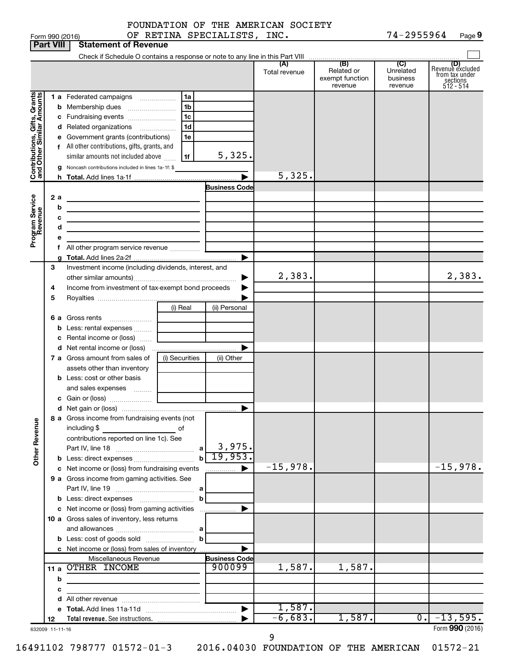| FOUNDATION OF THE AMERICAN SOCIETY |  |  |  |  |
|------------------------------------|--|--|--|--|
|------------------------------------|--|--|--|--|

|                              | <b>Part VIII</b>   | Statement of Revenue                                                                                                                                                                                                                                                                                                                                                  |                                                                      |                            |                      |                                                 |                                                    |                                                                    |
|------------------------------|--------------------|-----------------------------------------------------------------------------------------------------------------------------------------------------------------------------------------------------------------------------------------------------------------------------------------------------------------------------------------------------------------------|----------------------------------------------------------------------|----------------------------|----------------------|-------------------------------------------------|----------------------------------------------------|--------------------------------------------------------------------|
|                              |                    |                                                                                                                                                                                                                                                                                                                                                                       |                                                                      |                            | (A)<br>Total revenue | (B)<br>Related or<br>exempt function<br>revenue | $\overline{C}$<br>Unrelated<br>business<br>revenue | (D)<br>Revenue excluded<br>from tax under<br>sections<br>512 - 514 |
| Contributions, Gifts, Grants |                    | 1 a Federated campaigns<br><b>b</b> Membership dues<br>c Fundraising events<br>d Related organizations<br>e Government grants (contributions)<br>f All other contributions, gifts, grants, and<br>similar amounts not included above<br>g Noncash contributions included in lines 1a-1f: \$                                                                           | 1a<br>1 <sub>b</sub><br>1 <sub>c</sub><br>1 <sub>d</sub><br>1e<br>1f | 5,325.                     | 5,325.               |                                                 |                                                    |                                                                    |
|                              |                    |                                                                                                                                                                                                                                                                                                                                                                       |                                                                      | <b>Business Code</b>       |                      |                                                 |                                                    |                                                                    |
| Program Service<br>Revenue   | 2 a<br>b<br>с<br>d | the control of the control of the control of the control of the control of<br><u> 1980 - John Stein, mars and de Brazilian (b. 1980)</u><br><u> 1980 - Johann John Stein, markin fan it ferstjer fan de ferstjer fan it ferstjer fan it ferstjer fan it fers</u><br><u> 1980 - Johann Barbara, martxa alemaniar amerikan a</u><br>f All other program service revenue |                                                                      |                            |                      |                                                 |                                                    |                                                                    |
|                              |                    |                                                                                                                                                                                                                                                                                                                                                                       |                                                                      | ▶                          |                      |                                                 |                                                    |                                                                    |
|                              | З<br>4             | Investment income (including dividends, interest, and<br>Income from investment of tax-exempt bond proceeds                                                                                                                                                                                                                                                           |                                                                      | ▶<br>▶                     | 2,383.               |                                                 |                                                    | 2,383.                                                             |
|                              | 5                  |                                                                                                                                                                                                                                                                                                                                                                       |                                                                      |                            |                      |                                                 |                                                    |                                                                    |
|                              |                    | <b>6 a</b> Gross rents<br><b>b</b> Less: rental expenses<br>c Rental income or (loss)                                                                                                                                                                                                                                                                                 | (i) Real                                                             | (ii) Personal              |                      |                                                 |                                                    |                                                                    |
|                              |                    | 7 a Gross amount from sales of<br>assets other than inventory                                                                                                                                                                                                                                                                                                         | (i) Securities                                                       | ▶<br>(ii) Other            |                      |                                                 |                                                    |                                                                    |
|                              |                    | <b>b</b> Less: cost or other basis<br>and sales expenses                                                                                                                                                                                                                                                                                                              |                                                                      |                            |                      |                                                 |                                                    |                                                                    |
|                              |                    |                                                                                                                                                                                                                                                                                                                                                                       |                                                                      | ▶                          |                      |                                                 |                                                    |                                                                    |
| <b>Other Revenue</b>         |                    | <b>8 a</b> Gross income from fundraising events (not<br>including \$ of<br>contributions reported on line 1c). See                                                                                                                                                                                                                                                    | a                                                                    | 3,975.                     |                      |                                                 |                                                    |                                                                    |
|                              |                    |                                                                                                                                                                                                                                                                                                                                                                       | $\mathbf b$                                                          | 19,953.                    |                      |                                                 |                                                    |                                                                    |
|                              |                    | c Net income or (loss) from fundraising events                                                                                                                                                                                                                                                                                                                        |                                                                      | $\blacktriangleright$<br>. | $-15,978.$           |                                                 |                                                    | $-15,978.$                                                         |
|                              |                    | 9 a Gross income from gaming activities. See                                                                                                                                                                                                                                                                                                                          |                                                                      |                            |                      |                                                 |                                                    |                                                                    |
|                              |                    | c Net income or (loss) from gaming activities                                                                                                                                                                                                                                                                                                                         | b                                                                    | ▶                          |                      |                                                 |                                                    |                                                                    |
|                              |                    | 10 a Gross sales of inventory, less returns                                                                                                                                                                                                                                                                                                                           |                                                                      |                            |                      |                                                 |                                                    |                                                                    |
|                              |                    | c Net income or (loss) from sales of inventory                                                                                                                                                                                                                                                                                                                        | $\mathbf b$                                                          | ▶                          |                      |                                                 |                                                    |                                                                    |
|                              |                    | Miscellaneous Revenue                                                                                                                                                                                                                                                                                                                                                 |                                                                      | <b>Business Code</b>       |                      |                                                 |                                                    |                                                                    |
|                              | b                  | 11 a OTHER INCOME<br><u> 1980 - Johann Barbara, martxa alemaniar a</u>                                                                                                                                                                                                                                                                                                |                                                                      | 900099                     | 1,587.               | 1,587.                                          |                                                    |                                                                    |
|                              | с                  |                                                                                                                                                                                                                                                                                                                                                                       |                                                                      |                            |                      |                                                 |                                                    |                                                                    |
|                              |                    |                                                                                                                                                                                                                                                                                                                                                                       |                                                                      | ▶                          | 1,587.               |                                                 |                                                    |                                                                    |
|                              | 12                 |                                                                                                                                                                                                                                                                                                                                                                       |                                                                      |                            | $-6,683.$            | 1,587.                                          | 0.1                                                | $-13,595.$                                                         |
|                              | 632009 11-11-16    |                                                                                                                                                                                                                                                                                                                                                                       |                                                                      |                            |                      |                                                 |                                                    | Form 990 (2016)                                                    |

**Part 1990 (2016)**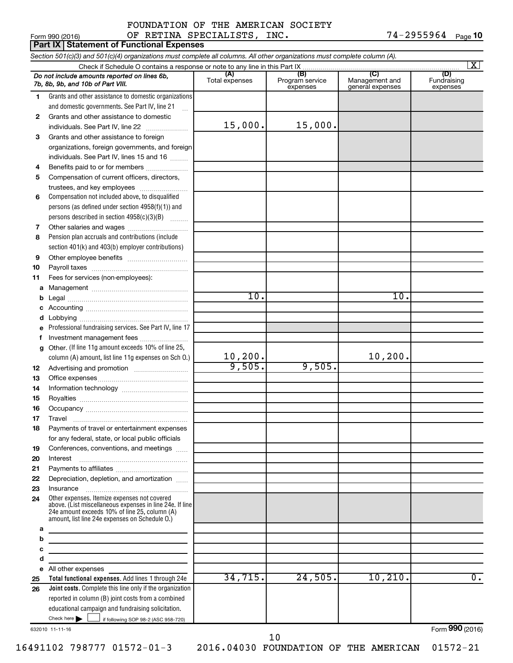#### Form 990 (2016) OF RETINA SPECIALISTS,INC. 74-2955964 <sub>Page</sub> FOUNDATION OF THE AMERICAN SOCIETY

|              | Part IX   Statement of Functional Expenses                                                                                                                                                                  |                       |                                    |                                           |                                |
|--------------|-------------------------------------------------------------------------------------------------------------------------------------------------------------------------------------------------------------|-----------------------|------------------------------------|-------------------------------------------|--------------------------------|
|              | Section 501(c)(3) and 501(c)(4) organizations must complete all columns. All other organizations must complete column (A).                                                                                  |                       |                                    |                                           |                                |
|              |                                                                                                                                                                                                             |                       |                                    |                                           | X                              |
|              | Do not include amounts reported on lines 6b,<br>7b, 8b, 9b, and 10b of Part VIII.                                                                                                                           | (A)<br>Total expenses | (B)<br>Program service<br>expenses | (C)<br>Management and<br>general expenses | (D)<br>Fundraising<br>expenses |
| 1.           | Grants and other assistance to domestic organizations                                                                                                                                                       |                       |                                    |                                           |                                |
|              | and domestic governments. See Part IV, line 21                                                                                                                                                              |                       |                                    |                                           |                                |
| 2            | Grants and other assistance to domestic                                                                                                                                                                     |                       |                                    |                                           |                                |
|              | individuals. See Part IV, line 22                                                                                                                                                                           | 15,000.               | 15,000.                            |                                           |                                |
| 3            | Grants and other assistance to foreign                                                                                                                                                                      |                       |                                    |                                           |                                |
|              | organizations, foreign governments, and foreign                                                                                                                                                             |                       |                                    |                                           |                                |
|              | individuals. See Part IV, lines 15 and 16                                                                                                                                                                   |                       |                                    |                                           |                                |
| 4            | Benefits paid to or for members                                                                                                                                                                             |                       |                                    |                                           |                                |
| 5            | Compensation of current officers, directors,                                                                                                                                                                |                       |                                    |                                           |                                |
|              | trustees, and key employees                                                                                                                                                                                 |                       |                                    |                                           |                                |
| 6            | Compensation not included above, to disqualified                                                                                                                                                            |                       |                                    |                                           |                                |
|              | persons (as defined under section $4958(f)(1)$ ) and                                                                                                                                                        |                       |                                    |                                           |                                |
|              | persons described in section 4958(c)(3)(B)                                                                                                                                                                  |                       |                                    |                                           |                                |
| 7            | Other salaries and wages                                                                                                                                                                                    |                       |                                    |                                           |                                |
| 8            | Pension plan accruals and contributions (include                                                                                                                                                            |                       |                                    |                                           |                                |
|              | section 401(k) and 403(b) employer contributions)                                                                                                                                                           |                       |                                    |                                           |                                |
| 9            | Other employee benefits                                                                                                                                                                                     |                       |                                    |                                           |                                |
| 10           | Fees for services (non-employees):                                                                                                                                                                          |                       |                                    |                                           |                                |
| 11           |                                                                                                                                                                                                             |                       |                                    |                                           |                                |
| a<br>b       |                                                                                                                                                                                                             | 10.                   |                                    | 10.                                       |                                |
| c            |                                                                                                                                                                                                             |                       |                                    |                                           |                                |
| d            |                                                                                                                                                                                                             |                       |                                    |                                           |                                |
| e            | Professional fundraising services. See Part IV, line 17                                                                                                                                                     |                       |                                    |                                           |                                |
| f            | Investment management fees                                                                                                                                                                                  |                       |                                    |                                           |                                |
| $\mathbf{q}$ | Other. (If line 11g amount exceeds 10% of line 25,                                                                                                                                                          |                       |                                    |                                           |                                |
|              | column (A) amount, list line 11g expenses on Sch O.)                                                                                                                                                        | 10, 200.              |                                    | 10, 200.                                  |                                |
| 12           |                                                                                                                                                                                                             | $\frac{1}{9,505}$     | 9,505.                             |                                           |                                |
| 13           |                                                                                                                                                                                                             |                       |                                    |                                           |                                |
| 14           |                                                                                                                                                                                                             |                       |                                    |                                           |                                |
| 15           |                                                                                                                                                                                                             |                       |                                    |                                           |                                |
| 16           |                                                                                                                                                                                                             |                       |                                    |                                           |                                |
| 17           | Travel                                                                                                                                                                                                      |                       |                                    |                                           |                                |
| 18           | Payments of travel or entertainment expenses                                                                                                                                                                |                       |                                    |                                           |                                |
|              | for any federal, state, or local public officials                                                                                                                                                           |                       |                                    |                                           |                                |
| 19           | Conferences, conventions, and meetings                                                                                                                                                                      |                       |                                    |                                           |                                |
| 20           | Interest                                                                                                                                                                                                    |                       |                                    |                                           |                                |
| 21           |                                                                                                                                                                                                             |                       |                                    |                                           |                                |
| 22           | Depreciation, depletion, and amortization                                                                                                                                                                   |                       |                                    |                                           |                                |
| 23           | Insurance                                                                                                                                                                                                   |                       |                                    |                                           |                                |
| 24           | Other expenses. Itemize expenses not covered<br>above. (List miscellaneous expenses in line 24e. If line<br>24e amount exceeds 10% of line 25, column (A)<br>amount, list line 24e expenses on Schedule O.) |                       |                                    |                                           |                                |
| а            |                                                                                                                                                                                                             |                       |                                    |                                           |                                |
| b            | the control of the control of the control of the control of the control of                                                                                                                                  |                       |                                    |                                           |                                |
| с            | <u> 1980 - Jan Sterling von Berger von Berger von Berger von Berger von Berger von Berger von Berger von Berger</u>                                                                                         |                       |                                    |                                           |                                |
| d            | All other expenses                                                                                                                                                                                          |                       |                                    |                                           |                                |
| e<br>25      | Total functional expenses. Add lines 1 through 24e                                                                                                                                                          | 34,715.               | 24,505.                            | 10, 210.                                  | $\overline{0}$ .               |
| 26           | Joint costs. Complete this line only if the organization                                                                                                                                                    |                       |                                    |                                           |                                |
|              | reported in column (B) joint costs from a combined                                                                                                                                                          |                       |                                    |                                           |                                |
|              | educational campaign and fundraising solicitation.                                                                                                                                                          |                       |                                    |                                           |                                |
|              | Check here       if following SOP 98-2 (ASC 958-720)                                                                                                                                                        |                       |                                    |                                           |                                |

632010 11-11-16

Form (2016) **990**

16491102 798777 01572-01-3 2016.04030 FOUNDATION OF THE AMERICAN 01572-21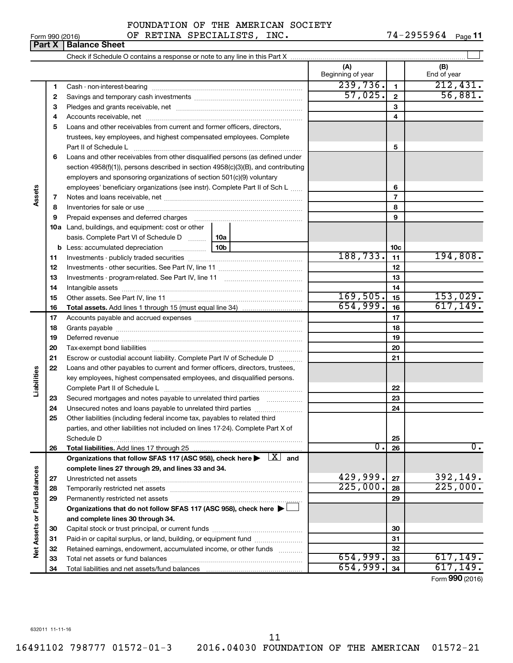$\frac{1}{2}$ 

 $\overline{\phantom{0}}$ 

74-2955964 Page 11

| (A)<br>(B)<br>Beginning of year<br>End of year<br>239,736.<br>212,431.<br>$\mathbf{1}$<br>1<br>57,025.<br>56,881.<br>$\mathbf{2}$<br>2<br>3<br>3<br>4<br>4<br>Loans and other receivables from current and former officers, directors,<br>5<br>trustees, key employees, and highest compensated employees. Complete<br>5<br>Loans and other receivables from other disqualified persons (as defined under<br>6<br>section 4958(f)(1)), persons described in section 4958(c)(3)(B), and contributing<br>employers and sponsoring organizations of section 501(c)(9) voluntary<br>employees' beneficiary organizations (see instr). Complete Part II of Sch L<br>6<br>Assets<br>$\overline{7}$<br>7<br>8<br>8<br>Prepaid expenses and deferred charges [11] [11] Prepaid expenses and deferred charges [11] [11] American contract experiment and the Prepaid expension of Prepaid experiment and the Prepaid experiment and the Prepaid experi<br>9<br>9<br><b>10a</b> Land, buildings, and equipment: cost or other<br>basis. Complete Part VI of Schedule D<br>10a  <br><b>b</b> Less: accumulated depreciation <i>mimimimini</i><br>10 <sub>b</sub><br>10 <sub>c</sub><br>188, 733.<br>194,808.<br>11<br>11<br>12<br>12<br>13<br>13<br>14<br>14<br>169,505.<br>153,029.<br>15<br>15<br>654,999.<br>617, 149.<br>16<br>16<br>17<br>17<br>18<br>18<br>19<br>19<br>20<br>20<br>21<br>Escrow or custodial account liability. Complete Part IV of Schedule D<br>21<br>Loans and other payables to current and former officers, directors, trustees,<br>22<br>Liabilities<br>key employees, highest compensated employees, and disqualified persons.<br>22<br>Secured mortgages and notes payable to unrelated third parties<br>23<br>23<br>Unsecured notes and loans payable to unrelated third parties<br>24<br>24<br>Other liabilities (including federal income tax, payables to related third<br>25<br>parties, and other liabilities not included on lines 17-24). Complete Part X of<br>25<br>Schedule D<br>0.<br>$\overline{0}$ .<br>Total liabilities. Add lines 17 through 25<br>26<br>26<br>Organizations that follow SFAS 117 (ASC 958), check here $\blacktriangleright \begin{array}{c} \boxed{X} \\ \end{array}$ and<br>complete lines 27 through 29, and lines 33 and 34.<br>Net Assets or Fund Balances<br>429,999.<br>392,149.<br>27<br>27<br>225,000.<br>225,000.<br>28<br>28<br>29<br>29<br>Permanently restricted net assets<br>Organizations that do not follow SFAS 117 (ASC 958), check here $\blacktriangleright$<br>and complete lines 30 through 34.<br>30<br>30<br>Paid-in or capital surplus, or land, building, or equipment fund<br>31<br>31<br>32<br>Retained earnings, endowment, accumulated income, or other funds<br>32<br>654,999.<br>617, 149.<br>33<br>33<br>654,999.<br>617, 149.<br>34<br>34 |  |  |  |  |                 |
|-----------------------------------------------------------------------------------------------------------------------------------------------------------------------------------------------------------------------------------------------------------------------------------------------------------------------------------------------------------------------------------------------------------------------------------------------------------------------------------------------------------------------------------------------------------------------------------------------------------------------------------------------------------------------------------------------------------------------------------------------------------------------------------------------------------------------------------------------------------------------------------------------------------------------------------------------------------------------------------------------------------------------------------------------------------------------------------------------------------------------------------------------------------------------------------------------------------------------------------------------------------------------------------------------------------------------------------------------------------------------------------------------------------------------------------------------------------------------------------------------------------------------------------------------------------------------------------------------------------------------------------------------------------------------------------------------------------------------------------------------------------------------------------------------------------------------------------------------------------------------------------------------------------------------------------------------------------------------------------------------------------------------------------------------------------------------------------------------------------------------------------------------------------------------------------------------------------------------------------------------------------------------------------------------------------------------------------------------------------------------------------------------------------------------------------------------------------------------------------------------------------------------------------------------------------------------------------------------------------------------------------------------------------------------------------------------------------------------------------------------------------------------------------------------------------------------------------|--|--|--|--|-----------------|
|                                                                                                                                                                                                                                                                                                                                                                                                                                                                                                                                                                                                                                                                                                                                                                                                                                                                                                                                                                                                                                                                                                                                                                                                                                                                                                                                                                                                                                                                                                                                                                                                                                                                                                                                                                                                                                                                                                                                                                                                                                                                                                                                                                                                                                                                                                                                                                                                                                                                                                                                                                                                                                                                                                                                                                                                                                   |  |  |  |  |                 |
|                                                                                                                                                                                                                                                                                                                                                                                                                                                                                                                                                                                                                                                                                                                                                                                                                                                                                                                                                                                                                                                                                                                                                                                                                                                                                                                                                                                                                                                                                                                                                                                                                                                                                                                                                                                                                                                                                                                                                                                                                                                                                                                                                                                                                                                                                                                                                                                                                                                                                                                                                                                                                                                                                                                                                                                                                                   |  |  |  |  |                 |
|                                                                                                                                                                                                                                                                                                                                                                                                                                                                                                                                                                                                                                                                                                                                                                                                                                                                                                                                                                                                                                                                                                                                                                                                                                                                                                                                                                                                                                                                                                                                                                                                                                                                                                                                                                                                                                                                                                                                                                                                                                                                                                                                                                                                                                                                                                                                                                                                                                                                                                                                                                                                                                                                                                                                                                                                                                   |  |  |  |  |                 |
|                                                                                                                                                                                                                                                                                                                                                                                                                                                                                                                                                                                                                                                                                                                                                                                                                                                                                                                                                                                                                                                                                                                                                                                                                                                                                                                                                                                                                                                                                                                                                                                                                                                                                                                                                                                                                                                                                                                                                                                                                                                                                                                                                                                                                                                                                                                                                                                                                                                                                                                                                                                                                                                                                                                                                                                                                                   |  |  |  |  |                 |
|                                                                                                                                                                                                                                                                                                                                                                                                                                                                                                                                                                                                                                                                                                                                                                                                                                                                                                                                                                                                                                                                                                                                                                                                                                                                                                                                                                                                                                                                                                                                                                                                                                                                                                                                                                                                                                                                                                                                                                                                                                                                                                                                                                                                                                                                                                                                                                                                                                                                                                                                                                                                                                                                                                                                                                                                                                   |  |  |  |  |                 |
|                                                                                                                                                                                                                                                                                                                                                                                                                                                                                                                                                                                                                                                                                                                                                                                                                                                                                                                                                                                                                                                                                                                                                                                                                                                                                                                                                                                                                                                                                                                                                                                                                                                                                                                                                                                                                                                                                                                                                                                                                                                                                                                                                                                                                                                                                                                                                                                                                                                                                                                                                                                                                                                                                                                                                                                                                                   |  |  |  |  |                 |
|                                                                                                                                                                                                                                                                                                                                                                                                                                                                                                                                                                                                                                                                                                                                                                                                                                                                                                                                                                                                                                                                                                                                                                                                                                                                                                                                                                                                                                                                                                                                                                                                                                                                                                                                                                                                                                                                                                                                                                                                                                                                                                                                                                                                                                                                                                                                                                                                                                                                                                                                                                                                                                                                                                                                                                                                                                   |  |  |  |  |                 |
|                                                                                                                                                                                                                                                                                                                                                                                                                                                                                                                                                                                                                                                                                                                                                                                                                                                                                                                                                                                                                                                                                                                                                                                                                                                                                                                                                                                                                                                                                                                                                                                                                                                                                                                                                                                                                                                                                                                                                                                                                                                                                                                                                                                                                                                                                                                                                                                                                                                                                                                                                                                                                                                                                                                                                                                                                                   |  |  |  |  |                 |
|                                                                                                                                                                                                                                                                                                                                                                                                                                                                                                                                                                                                                                                                                                                                                                                                                                                                                                                                                                                                                                                                                                                                                                                                                                                                                                                                                                                                                                                                                                                                                                                                                                                                                                                                                                                                                                                                                                                                                                                                                                                                                                                                                                                                                                                                                                                                                                                                                                                                                                                                                                                                                                                                                                                                                                                                                                   |  |  |  |  |                 |
|                                                                                                                                                                                                                                                                                                                                                                                                                                                                                                                                                                                                                                                                                                                                                                                                                                                                                                                                                                                                                                                                                                                                                                                                                                                                                                                                                                                                                                                                                                                                                                                                                                                                                                                                                                                                                                                                                                                                                                                                                                                                                                                                                                                                                                                                                                                                                                                                                                                                                                                                                                                                                                                                                                                                                                                                                                   |  |  |  |  |                 |
|                                                                                                                                                                                                                                                                                                                                                                                                                                                                                                                                                                                                                                                                                                                                                                                                                                                                                                                                                                                                                                                                                                                                                                                                                                                                                                                                                                                                                                                                                                                                                                                                                                                                                                                                                                                                                                                                                                                                                                                                                                                                                                                                                                                                                                                                                                                                                                                                                                                                                                                                                                                                                                                                                                                                                                                                                                   |  |  |  |  |                 |
|                                                                                                                                                                                                                                                                                                                                                                                                                                                                                                                                                                                                                                                                                                                                                                                                                                                                                                                                                                                                                                                                                                                                                                                                                                                                                                                                                                                                                                                                                                                                                                                                                                                                                                                                                                                                                                                                                                                                                                                                                                                                                                                                                                                                                                                                                                                                                                                                                                                                                                                                                                                                                                                                                                                                                                                                                                   |  |  |  |  |                 |
|                                                                                                                                                                                                                                                                                                                                                                                                                                                                                                                                                                                                                                                                                                                                                                                                                                                                                                                                                                                                                                                                                                                                                                                                                                                                                                                                                                                                                                                                                                                                                                                                                                                                                                                                                                                                                                                                                                                                                                                                                                                                                                                                                                                                                                                                                                                                                                                                                                                                                                                                                                                                                                                                                                                                                                                                                                   |  |  |  |  |                 |
|                                                                                                                                                                                                                                                                                                                                                                                                                                                                                                                                                                                                                                                                                                                                                                                                                                                                                                                                                                                                                                                                                                                                                                                                                                                                                                                                                                                                                                                                                                                                                                                                                                                                                                                                                                                                                                                                                                                                                                                                                                                                                                                                                                                                                                                                                                                                                                                                                                                                                                                                                                                                                                                                                                                                                                                                                                   |  |  |  |  |                 |
|                                                                                                                                                                                                                                                                                                                                                                                                                                                                                                                                                                                                                                                                                                                                                                                                                                                                                                                                                                                                                                                                                                                                                                                                                                                                                                                                                                                                                                                                                                                                                                                                                                                                                                                                                                                                                                                                                                                                                                                                                                                                                                                                                                                                                                                                                                                                                                                                                                                                                                                                                                                                                                                                                                                                                                                                                                   |  |  |  |  |                 |
|                                                                                                                                                                                                                                                                                                                                                                                                                                                                                                                                                                                                                                                                                                                                                                                                                                                                                                                                                                                                                                                                                                                                                                                                                                                                                                                                                                                                                                                                                                                                                                                                                                                                                                                                                                                                                                                                                                                                                                                                                                                                                                                                                                                                                                                                                                                                                                                                                                                                                                                                                                                                                                                                                                                                                                                                                                   |  |  |  |  |                 |
|                                                                                                                                                                                                                                                                                                                                                                                                                                                                                                                                                                                                                                                                                                                                                                                                                                                                                                                                                                                                                                                                                                                                                                                                                                                                                                                                                                                                                                                                                                                                                                                                                                                                                                                                                                                                                                                                                                                                                                                                                                                                                                                                                                                                                                                                                                                                                                                                                                                                                                                                                                                                                                                                                                                                                                                                                                   |  |  |  |  |                 |
|                                                                                                                                                                                                                                                                                                                                                                                                                                                                                                                                                                                                                                                                                                                                                                                                                                                                                                                                                                                                                                                                                                                                                                                                                                                                                                                                                                                                                                                                                                                                                                                                                                                                                                                                                                                                                                                                                                                                                                                                                                                                                                                                                                                                                                                                                                                                                                                                                                                                                                                                                                                                                                                                                                                                                                                                                                   |  |  |  |  |                 |
|                                                                                                                                                                                                                                                                                                                                                                                                                                                                                                                                                                                                                                                                                                                                                                                                                                                                                                                                                                                                                                                                                                                                                                                                                                                                                                                                                                                                                                                                                                                                                                                                                                                                                                                                                                                                                                                                                                                                                                                                                                                                                                                                                                                                                                                                                                                                                                                                                                                                                                                                                                                                                                                                                                                                                                                                                                   |  |  |  |  |                 |
|                                                                                                                                                                                                                                                                                                                                                                                                                                                                                                                                                                                                                                                                                                                                                                                                                                                                                                                                                                                                                                                                                                                                                                                                                                                                                                                                                                                                                                                                                                                                                                                                                                                                                                                                                                                                                                                                                                                                                                                                                                                                                                                                                                                                                                                                                                                                                                                                                                                                                                                                                                                                                                                                                                                                                                                                                                   |  |  |  |  |                 |
|                                                                                                                                                                                                                                                                                                                                                                                                                                                                                                                                                                                                                                                                                                                                                                                                                                                                                                                                                                                                                                                                                                                                                                                                                                                                                                                                                                                                                                                                                                                                                                                                                                                                                                                                                                                                                                                                                                                                                                                                                                                                                                                                                                                                                                                                                                                                                                                                                                                                                                                                                                                                                                                                                                                                                                                                                                   |  |  |  |  |                 |
|                                                                                                                                                                                                                                                                                                                                                                                                                                                                                                                                                                                                                                                                                                                                                                                                                                                                                                                                                                                                                                                                                                                                                                                                                                                                                                                                                                                                                                                                                                                                                                                                                                                                                                                                                                                                                                                                                                                                                                                                                                                                                                                                                                                                                                                                                                                                                                                                                                                                                                                                                                                                                                                                                                                                                                                                                                   |  |  |  |  |                 |
|                                                                                                                                                                                                                                                                                                                                                                                                                                                                                                                                                                                                                                                                                                                                                                                                                                                                                                                                                                                                                                                                                                                                                                                                                                                                                                                                                                                                                                                                                                                                                                                                                                                                                                                                                                                                                                                                                                                                                                                                                                                                                                                                                                                                                                                                                                                                                                                                                                                                                                                                                                                                                                                                                                                                                                                                                                   |  |  |  |  |                 |
|                                                                                                                                                                                                                                                                                                                                                                                                                                                                                                                                                                                                                                                                                                                                                                                                                                                                                                                                                                                                                                                                                                                                                                                                                                                                                                                                                                                                                                                                                                                                                                                                                                                                                                                                                                                                                                                                                                                                                                                                                                                                                                                                                                                                                                                                                                                                                                                                                                                                                                                                                                                                                                                                                                                                                                                                                                   |  |  |  |  |                 |
|                                                                                                                                                                                                                                                                                                                                                                                                                                                                                                                                                                                                                                                                                                                                                                                                                                                                                                                                                                                                                                                                                                                                                                                                                                                                                                                                                                                                                                                                                                                                                                                                                                                                                                                                                                                                                                                                                                                                                                                                                                                                                                                                                                                                                                                                                                                                                                                                                                                                                                                                                                                                                                                                                                                                                                                                                                   |  |  |  |  |                 |
|                                                                                                                                                                                                                                                                                                                                                                                                                                                                                                                                                                                                                                                                                                                                                                                                                                                                                                                                                                                                                                                                                                                                                                                                                                                                                                                                                                                                                                                                                                                                                                                                                                                                                                                                                                                                                                                                                                                                                                                                                                                                                                                                                                                                                                                                                                                                                                                                                                                                                                                                                                                                                                                                                                                                                                                                                                   |  |  |  |  |                 |
|                                                                                                                                                                                                                                                                                                                                                                                                                                                                                                                                                                                                                                                                                                                                                                                                                                                                                                                                                                                                                                                                                                                                                                                                                                                                                                                                                                                                                                                                                                                                                                                                                                                                                                                                                                                                                                                                                                                                                                                                                                                                                                                                                                                                                                                                                                                                                                                                                                                                                                                                                                                                                                                                                                                                                                                                                                   |  |  |  |  |                 |
|                                                                                                                                                                                                                                                                                                                                                                                                                                                                                                                                                                                                                                                                                                                                                                                                                                                                                                                                                                                                                                                                                                                                                                                                                                                                                                                                                                                                                                                                                                                                                                                                                                                                                                                                                                                                                                                                                                                                                                                                                                                                                                                                                                                                                                                                                                                                                                                                                                                                                                                                                                                                                                                                                                                                                                                                                                   |  |  |  |  |                 |
|                                                                                                                                                                                                                                                                                                                                                                                                                                                                                                                                                                                                                                                                                                                                                                                                                                                                                                                                                                                                                                                                                                                                                                                                                                                                                                                                                                                                                                                                                                                                                                                                                                                                                                                                                                                                                                                                                                                                                                                                                                                                                                                                                                                                                                                                                                                                                                                                                                                                                                                                                                                                                                                                                                                                                                                                                                   |  |  |  |  |                 |
|                                                                                                                                                                                                                                                                                                                                                                                                                                                                                                                                                                                                                                                                                                                                                                                                                                                                                                                                                                                                                                                                                                                                                                                                                                                                                                                                                                                                                                                                                                                                                                                                                                                                                                                                                                                                                                                                                                                                                                                                                                                                                                                                                                                                                                                                                                                                                                                                                                                                                                                                                                                                                                                                                                                                                                                                                                   |  |  |  |  |                 |
|                                                                                                                                                                                                                                                                                                                                                                                                                                                                                                                                                                                                                                                                                                                                                                                                                                                                                                                                                                                                                                                                                                                                                                                                                                                                                                                                                                                                                                                                                                                                                                                                                                                                                                                                                                                                                                                                                                                                                                                                                                                                                                                                                                                                                                                                                                                                                                                                                                                                                                                                                                                                                                                                                                                                                                                                                                   |  |  |  |  |                 |
|                                                                                                                                                                                                                                                                                                                                                                                                                                                                                                                                                                                                                                                                                                                                                                                                                                                                                                                                                                                                                                                                                                                                                                                                                                                                                                                                                                                                                                                                                                                                                                                                                                                                                                                                                                                                                                                                                                                                                                                                                                                                                                                                                                                                                                                                                                                                                                                                                                                                                                                                                                                                                                                                                                                                                                                                                                   |  |  |  |  |                 |
|                                                                                                                                                                                                                                                                                                                                                                                                                                                                                                                                                                                                                                                                                                                                                                                                                                                                                                                                                                                                                                                                                                                                                                                                                                                                                                                                                                                                                                                                                                                                                                                                                                                                                                                                                                                                                                                                                                                                                                                                                                                                                                                                                                                                                                                                                                                                                                                                                                                                                                                                                                                                                                                                                                                                                                                                                                   |  |  |  |  |                 |
|                                                                                                                                                                                                                                                                                                                                                                                                                                                                                                                                                                                                                                                                                                                                                                                                                                                                                                                                                                                                                                                                                                                                                                                                                                                                                                                                                                                                                                                                                                                                                                                                                                                                                                                                                                                                                                                                                                                                                                                                                                                                                                                                                                                                                                                                                                                                                                                                                                                                                                                                                                                                                                                                                                                                                                                                                                   |  |  |  |  |                 |
|                                                                                                                                                                                                                                                                                                                                                                                                                                                                                                                                                                                                                                                                                                                                                                                                                                                                                                                                                                                                                                                                                                                                                                                                                                                                                                                                                                                                                                                                                                                                                                                                                                                                                                                                                                                                                                                                                                                                                                                                                                                                                                                                                                                                                                                                                                                                                                                                                                                                                                                                                                                                                                                                                                                                                                                                                                   |  |  |  |  |                 |
|                                                                                                                                                                                                                                                                                                                                                                                                                                                                                                                                                                                                                                                                                                                                                                                                                                                                                                                                                                                                                                                                                                                                                                                                                                                                                                                                                                                                                                                                                                                                                                                                                                                                                                                                                                                                                                                                                                                                                                                                                                                                                                                                                                                                                                                                                                                                                                                                                                                                                                                                                                                                                                                                                                                                                                                                                                   |  |  |  |  |                 |
|                                                                                                                                                                                                                                                                                                                                                                                                                                                                                                                                                                                                                                                                                                                                                                                                                                                                                                                                                                                                                                                                                                                                                                                                                                                                                                                                                                                                                                                                                                                                                                                                                                                                                                                                                                                                                                                                                                                                                                                                                                                                                                                                                                                                                                                                                                                                                                                                                                                                                                                                                                                                                                                                                                                                                                                                                                   |  |  |  |  |                 |
|                                                                                                                                                                                                                                                                                                                                                                                                                                                                                                                                                                                                                                                                                                                                                                                                                                                                                                                                                                                                                                                                                                                                                                                                                                                                                                                                                                                                                                                                                                                                                                                                                                                                                                                                                                                                                                                                                                                                                                                                                                                                                                                                                                                                                                                                                                                                                                                                                                                                                                                                                                                                                                                                                                                                                                                                                                   |  |  |  |  |                 |
|                                                                                                                                                                                                                                                                                                                                                                                                                                                                                                                                                                                                                                                                                                                                                                                                                                                                                                                                                                                                                                                                                                                                                                                                                                                                                                                                                                                                                                                                                                                                                                                                                                                                                                                                                                                                                                                                                                                                                                                                                                                                                                                                                                                                                                                                                                                                                                                                                                                                                                                                                                                                                                                                                                                                                                                                                                   |  |  |  |  |                 |
|                                                                                                                                                                                                                                                                                                                                                                                                                                                                                                                                                                                                                                                                                                                                                                                                                                                                                                                                                                                                                                                                                                                                                                                                                                                                                                                                                                                                                                                                                                                                                                                                                                                                                                                                                                                                                                                                                                                                                                                                                                                                                                                                                                                                                                                                                                                                                                                                                                                                                                                                                                                                                                                                                                                                                                                                                                   |  |  |  |  |                 |
|                                                                                                                                                                                                                                                                                                                                                                                                                                                                                                                                                                                                                                                                                                                                                                                                                                                                                                                                                                                                                                                                                                                                                                                                                                                                                                                                                                                                                                                                                                                                                                                                                                                                                                                                                                                                                                                                                                                                                                                                                                                                                                                                                                                                                                                                                                                                                                                                                                                                                                                                                                                                                                                                                                                                                                                                                                   |  |  |  |  |                 |
|                                                                                                                                                                                                                                                                                                                                                                                                                                                                                                                                                                                                                                                                                                                                                                                                                                                                                                                                                                                                                                                                                                                                                                                                                                                                                                                                                                                                                                                                                                                                                                                                                                                                                                                                                                                                                                                                                                                                                                                                                                                                                                                                                                                                                                                                                                                                                                                                                                                                                                                                                                                                                                                                                                                                                                                                                                   |  |  |  |  |                 |
|                                                                                                                                                                                                                                                                                                                                                                                                                                                                                                                                                                                                                                                                                                                                                                                                                                                                                                                                                                                                                                                                                                                                                                                                                                                                                                                                                                                                                                                                                                                                                                                                                                                                                                                                                                                                                                                                                                                                                                                                                                                                                                                                                                                                                                                                                                                                                                                                                                                                                                                                                                                                                                                                                                                                                                                                                                   |  |  |  |  |                 |
|                                                                                                                                                                                                                                                                                                                                                                                                                                                                                                                                                                                                                                                                                                                                                                                                                                                                                                                                                                                                                                                                                                                                                                                                                                                                                                                                                                                                                                                                                                                                                                                                                                                                                                                                                                                                                                                                                                                                                                                                                                                                                                                                                                                                                                                                                                                                                                                                                                                                                                                                                                                                                                                                                                                                                                                                                                   |  |  |  |  |                 |
|                                                                                                                                                                                                                                                                                                                                                                                                                                                                                                                                                                                                                                                                                                                                                                                                                                                                                                                                                                                                                                                                                                                                                                                                                                                                                                                                                                                                                                                                                                                                                                                                                                                                                                                                                                                                                                                                                                                                                                                                                                                                                                                                                                                                                                                                                                                                                                                                                                                                                                                                                                                                                                                                                                                                                                                                                                   |  |  |  |  |                 |
|                                                                                                                                                                                                                                                                                                                                                                                                                                                                                                                                                                                                                                                                                                                                                                                                                                                                                                                                                                                                                                                                                                                                                                                                                                                                                                                                                                                                                                                                                                                                                                                                                                                                                                                                                                                                                                                                                                                                                                                                                                                                                                                                                                                                                                                                                                                                                                                                                                                                                                                                                                                                                                                                                                                                                                                                                                   |  |  |  |  |                 |
|                                                                                                                                                                                                                                                                                                                                                                                                                                                                                                                                                                                                                                                                                                                                                                                                                                                                                                                                                                                                                                                                                                                                                                                                                                                                                                                                                                                                                                                                                                                                                                                                                                                                                                                                                                                                                                                                                                                                                                                                                                                                                                                                                                                                                                                                                                                                                                                                                                                                                                                                                                                                                                                                                                                                                                                                                                   |  |  |  |  |                 |
|                                                                                                                                                                                                                                                                                                                                                                                                                                                                                                                                                                                                                                                                                                                                                                                                                                                                                                                                                                                                                                                                                                                                                                                                                                                                                                                                                                                                                                                                                                                                                                                                                                                                                                                                                                                                                                                                                                                                                                                                                                                                                                                                                                                                                                                                                                                                                                                                                                                                                                                                                                                                                                                                                                                                                                                                                                   |  |  |  |  |                 |
|                                                                                                                                                                                                                                                                                                                                                                                                                                                                                                                                                                                                                                                                                                                                                                                                                                                                                                                                                                                                                                                                                                                                                                                                                                                                                                                                                                                                                                                                                                                                                                                                                                                                                                                                                                                                                                                                                                                                                                                                                                                                                                                                                                                                                                                                                                                                                                                                                                                                                                                                                                                                                                                                                                                                                                                                                                   |  |  |  |  |                 |
|                                                                                                                                                                                                                                                                                                                                                                                                                                                                                                                                                                                                                                                                                                                                                                                                                                                                                                                                                                                                                                                                                                                                                                                                                                                                                                                                                                                                                                                                                                                                                                                                                                                                                                                                                                                                                                                                                                                                                                                                                                                                                                                                                                                                                                                                                                                                                                                                                                                                                                                                                                                                                                                                                                                                                                                                                                   |  |  |  |  | Form 990 (2016) |

Form 990 (2016)  $\qquad \qquad \text{OF RETINA SPECIALISTICS, INC.}$   $\qquad \qquad \qquad 74-2955964$   $\qquad \qquad$   $\qquad$   $\qquad$ **Part X Balance Sheet**

632011 11-11-16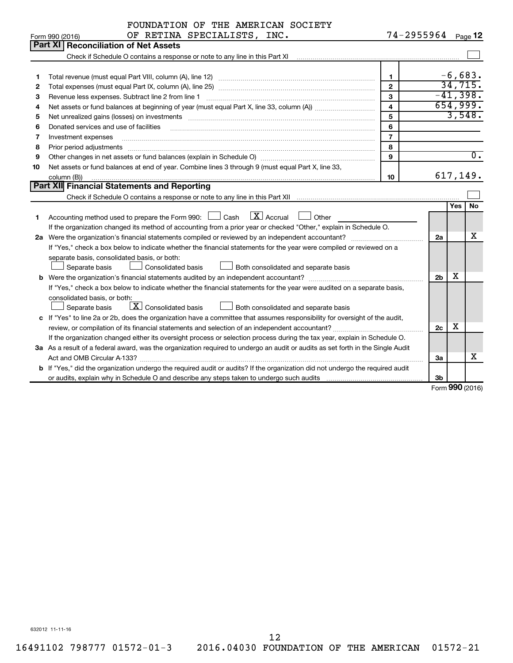|    | FOUNDATION OF THE AMERICAN SOCIETY                                                                                                   |                         |                |     |                             |
|----|--------------------------------------------------------------------------------------------------------------------------------------|-------------------------|----------------|-----|-----------------------------|
|    | OF RETINA SPECIALISTS, INC.<br>Form 990 (2016)                                                                                       | 74-2955964 Page 12      |                |     |                             |
|    | Part XI   Reconciliation of Net Assets                                                                                               |                         |                |     |                             |
|    |                                                                                                                                      |                         |                |     |                             |
|    |                                                                                                                                      |                         |                |     |                             |
| 1  |                                                                                                                                      | $\mathbf{1}$            |                |     | $-6,683.$                   |
| 2  |                                                                                                                                      | $\overline{2}$          |                |     | 34,715.                     |
| З  | Revenue less expenses. Subtract line 2 from line 1                                                                                   | 3                       |                |     | $-41,398.$                  |
| 4  |                                                                                                                                      | $\overline{\mathbf{4}}$ |                |     | 654,999.                    |
| 5  |                                                                                                                                      | 5                       |                |     | 3,548.                      |
| 6  | Donated services and use of facilities                                                                                               | 6                       |                |     |                             |
| 7  | Investment expenses                                                                                                                  | $\overline{7}$          |                |     |                             |
| 8  | Prior period adjustments                                                                                                             | 8                       |                |     |                             |
| 9  |                                                                                                                                      | 9                       |                |     | $\overline{0}$ .            |
| 10 | Net assets or fund balances at end of year. Combine lines 3 through 9 (must equal Part X, line 33,                                   |                         |                |     |                             |
|    | column (B))                                                                                                                          | 10                      |                |     | 617, 149.                   |
|    | <b>Part XII Financial Statements and Reporting</b>                                                                                   |                         |                |     |                             |
|    | Check if Schedule O contains a response or note to any line in this Part XII                                                         |                         |                |     |                             |
|    |                                                                                                                                      |                         |                | Yes | <b>No</b>                   |
| 1. | $\boxed{\mathbf{X}}$ Accrual<br>Accounting method used to prepare the Form 990: $\Box$ Cash<br>Other                                 |                         |                |     |                             |
|    | If the organization changed its method of accounting from a prior year or checked "Other," explain in Schedule O.                    |                         |                |     |                             |
|    | 2a Were the organization's financial statements compiled or reviewed by an independent accountant?                                   |                         | 2a             |     | x                           |
|    | If "Yes," check a box below to indicate whether the financial statements for the year were compiled or reviewed on a                 |                         |                |     |                             |
|    | separate basis, consolidated basis, or both:                                                                                         |                         |                |     |                             |
|    | Separate basis<br>Consolidated basis<br>Both consolidated and separate basis                                                         |                         |                |     |                             |
|    |                                                                                                                                      |                         | 2 <sub>b</sub> | х   |                             |
|    | If "Yes," check a box below to indicate whether the financial statements for the year were audited on a separate basis,              |                         |                |     |                             |
|    | consolidated basis, or both:                                                                                                         |                         |                |     |                             |
|    | X Consolidated basis<br>Separate basis<br>Both consolidated and separate basis                                                       |                         |                |     |                             |
|    | c If "Yes" to line 2a or 2b, does the organization have a committee that assumes responsibility for oversight of the audit,          |                         |                |     |                             |
|    | review, or compilation of its financial statements and selection of an independent accountant?                                       |                         | 2c             | х   |                             |
|    | If the organization changed either its oversight process or selection process during the tax year, explain in Schedule O.            |                         |                |     |                             |
|    | 3a As a result of a federal award, was the organization required to undergo an audit or audits as set forth in the Single Audit      |                         |                |     |                             |
|    | Act and OMB Circular A-133?                                                                                                          |                         | За             |     | x                           |
|    | <b>b</b> If "Yes," did the organization undergo the required audit or audits? If the organization did not undergo the required audit |                         |                |     |                             |
|    |                                                                                                                                      |                         | Зb             |     | $F_{\alpha r m}$ 990 (2016) |
|    |                                                                                                                                      |                         |                |     |                             |

Form (2016) **990**

632012 11-11-16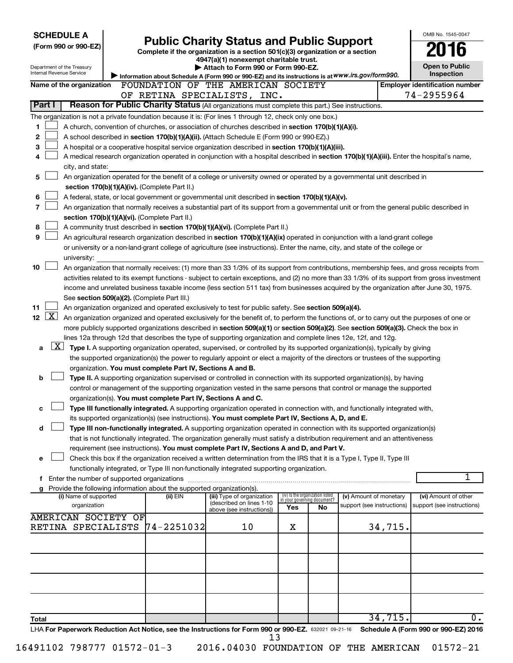| <b>SCHEDULE A</b>                                                                                         |                                                                                    |                                                                                                                                            |     |                                   |                            |         | OMB No. 1545-0047                                                                                                                             |
|-----------------------------------------------------------------------------------------------------------|------------------------------------------------------------------------------------|--------------------------------------------------------------------------------------------------------------------------------------------|-----|-----------------------------------|----------------------------|---------|-----------------------------------------------------------------------------------------------------------------------------------------------|
| (Form 990 or 990-EZ)                                                                                      |                                                                                    | <b>Public Charity Status and Public Support</b><br>Complete if the organization is a section 501(c)(3) organization or a section           |     |                                   |                            |         |                                                                                                                                               |
|                                                                                                           |                                                                                    | 4947(a)(1) nonexempt charitable trust.                                                                                                     |     |                                   |                            |         |                                                                                                                                               |
| Department of the Treasury<br>Internal Revenue Service                                                    |                                                                                    | Attach to Form 990 or Form 990-EZ.<br>Information about Schedule A (Form 990 or 990-EZ) and its instructions is at WWW.irs.gov/form990.    |     |                                   |                            |         | <b>Open to Public</b><br><b>Inspection</b>                                                                                                    |
| Name of the organization                                                                                  |                                                                                    | FOUNDATION OF THE AMERICAN SOCIETY                                                                                                         |     |                                   |                            |         | <b>Employer identification number</b>                                                                                                         |
|                                                                                                           |                                                                                    | OF RETINA SPECIALISTS, INC.                                                                                                                |     |                                   |                            |         | 74-2955964                                                                                                                                    |
| Part I                                                                                                    |                                                                                    | Reason for Public Charity Status (All organizations must complete this part.) See instructions.                                            |     |                                   |                            |         |                                                                                                                                               |
| The organization is not a private foundation because it is: (For lines 1 through 12, check only one box.) |                                                                                    |                                                                                                                                            |     |                                   |                            |         |                                                                                                                                               |
| 1.                                                                                                        |                                                                                    | A church, convention of churches, or association of churches described in section 170(b)(1)(A)(i).                                         |     |                                   |                            |         |                                                                                                                                               |
| 2                                                                                                         |                                                                                    | A school described in section 170(b)(1)(A)(ii). (Attach Schedule E (Form 990 or 990-EZ).)                                                  |     |                                   |                            |         |                                                                                                                                               |
| 3                                                                                                         |                                                                                    | A hospital or a cooperative hospital service organization described in section 170(b)(1)(A)(iii).                                          |     |                                   |                            |         |                                                                                                                                               |
| 4<br>city, and state:                                                                                     |                                                                                    | A medical research organization operated in conjunction with a hospital described in section 170(b)(1)(A)(iii). Enter the hospital's name, |     |                                   |                            |         |                                                                                                                                               |
| 5                                                                                                         |                                                                                    | An organization operated for the benefit of a college or university owned or operated by a governmental unit described in                  |     |                                   |                            |         |                                                                                                                                               |
|                                                                                                           | section 170(b)(1)(A)(iv). (Complete Part II.)                                      |                                                                                                                                            |     |                                   |                            |         |                                                                                                                                               |
| 6                                                                                                         |                                                                                    | A federal, state, or local government or governmental unit described in section 170(b)(1)(A)(v).                                           |     |                                   |                            |         |                                                                                                                                               |
| $\overline{7}$                                                                                            |                                                                                    | An organization that normally receives a substantial part of its support from a governmental unit or from the general public described in  |     |                                   |                            |         |                                                                                                                                               |
|                                                                                                           | section 170(b)(1)(A)(vi). (Complete Part II.)                                      |                                                                                                                                            |     |                                   |                            |         |                                                                                                                                               |
| 8                                                                                                         |                                                                                    | A community trust described in section 170(b)(1)(A)(vi). (Complete Part II.)                                                               |     |                                   |                            |         |                                                                                                                                               |
| 9                                                                                                         |                                                                                    | An agricultural research organization described in section 170(b)(1)(A)(ix) operated in conjunction with a land-grant college              |     |                                   |                            |         |                                                                                                                                               |
|                                                                                                           |                                                                                    | or university or a non-land-grant college of agriculture (see instructions). Enter the name, city, and state of the college or             |     |                                   |                            |         |                                                                                                                                               |
| university:                                                                                               |                                                                                    |                                                                                                                                            |     |                                   |                            |         |                                                                                                                                               |
| 10                                                                                                        |                                                                                    | An organization that normally receives: (1) more than 33 1/3% of its support from contributions, membership fees, and gross receipts from  |     |                                   |                            |         |                                                                                                                                               |
|                                                                                                           |                                                                                    | income and unrelated business taxable income (less section 511 tax) from businesses acquired by the organization after June 30, 1975.      |     |                                   |                            |         | activities related to its exempt functions - subject to certain exceptions, and (2) no more than 33 1/3% of its support from gross investment |
|                                                                                                           | See section 509(a)(2). (Complete Part III.)                                        |                                                                                                                                            |     |                                   |                            |         |                                                                                                                                               |
| 11                                                                                                        |                                                                                    | An organization organized and operated exclusively to test for public safety. See section 509(a)(4).                                       |     |                                   |                            |         |                                                                                                                                               |
| $\lfloor x \rfloor$<br>12 <sup>°</sup>                                                                    |                                                                                    | An organization organized and operated exclusively for the benefit of, to perform the functions of, or to carry out the purposes of one or |     |                                   |                            |         |                                                                                                                                               |
|                                                                                                           |                                                                                    | more publicly supported organizations described in section 509(a)(1) or section 509(a)(2). See section 509(a)(3). Check the box in         |     |                                   |                            |         |                                                                                                                                               |
|                                                                                                           |                                                                                    | lines 12a through 12d that describes the type of supporting organization and complete lines 12e, 12f, and 12g.                             |     |                                   |                            |         |                                                                                                                                               |
| $\lfloor x \rfloor$<br>a                                                                                  |                                                                                    | Type I. A supporting organization operated, supervised, or controlled by its supported organization(s), typically by giving                |     |                                   |                            |         |                                                                                                                                               |
|                                                                                                           |                                                                                    | the supported organization(s) the power to regularly appoint or elect a majority of the directors or trustees of the supporting            |     |                                   |                            |         |                                                                                                                                               |
|                                                                                                           | organization. You must complete Part IV, Sections A and B.                         |                                                                                                                                            |     |                                   |                            |         |                                                                                                                                               |
| b                                                                                                         |                                                                                    | Type II. A supporting organization supervised or controlled in connection with its supported organization(s), by having                    |     |                                   |                            |         |                                                                                                                                               |
|                                                                                                           | organization(s). You must complete Part IV, Sections A and C.                      | control or management of the supporting organization vested in the same persons that control or manage the supported                       |     |                                   |                            |         |                                                                                                                                               |
| с                                                                                                         |                                                                                    | Type III functionally integrated. A supporting organization operated in connection with, and functionally integrated with,                 |     |                                   |                            |         |                                                                                                                                               |
|                                                                                                           |                                                                                    | its supported organization(s) (see instructions). You must complete Part IV, Sections A, D, and E.                                         |     |                                   |                            |         |                                                                                                                                               |
| d                                                                                                         |                                                                                    | Type III non-functionally integrated. A supporting organization operated in connection with its supported organization(s)                  |     |                                   |                            |         |                                                                                                                                               |
|                                                                                                           |                                                                                    | that is not functionally integrated. The organization generally must satisfy a distribution requirement and an attentiveness               |     |                                   |                            |         |                                                                                                                                               |
|                                                                                                           |                                                                                    | requirement (see instructions). You must complete Part IV, Sections A and D, and Part V.                                                   |     |                                   |                            |         |                                                                                                                                               |
| е                                                                                                         |                                                                                    | Check this box if the organization received a written determination from the IRS that it is a Type I, Type II, Type III                    |     |                                   |                            |         |                                                                                                                                               |
|                                                                                                           |                                                                                    | functionally integrated, or Type III non-functionally integrated supporting organization.                                                  |     |                                   |                            |         |                                                                                                                                               |
| Enter the number of supported organizations<br>f                                                          |                                                                                    |                                                                                                                                            |     |                                   |                            |         | 1                                                                                                                                             |
| g<br>(i) Name of supported                                                                                | Provide the following information about the supported organization(s).<br>(ii) EIN | (iii) Type of organization                                                                                                                 |     | (iv) Is the organization listed   | (v) Amount of monetary     |         | (vi) Amount of other                                                                                                                          |
| organization                                                                                              |                                                                                    | (described on lines 1-10                                                                                                                   | Yes | in your governing document?<br>No | support (see instructions) |         | support (see instructions)                                                                                                                    |
| <b>AMERICAN SOCIETY OF</b>                                                                                |                                                                                    | above (see instructions))                                                                                                                  |     |                                   |                            |         |                                                                                                                                               |
| RETINA SPECIALISTS                                                                                        | 74-2251032                                                                         | 10                                                                                                                                         | х   |                                   |                            | 34,715. |                                                                                                                                               |
|                                                                                                           |                                                                                    |                                                                                                                                            |     |                                   |                            |         |                                                                                                                                               |
|                                                                                                           |                                                                                    |                                                                                                                                            |     |                                   |                            |         |                                                                                                                                               |
|                                                                                                           |                                                                                    |                                                                                                                                            |     |                                   |                            |         |                                                                                                                                               |
|                                                                                                           |                                                                                    |                                                                                                                                            |     |                                   |                            |         |                                                                                                                                               |
|                                                                                                           |                                                                                    |                                                                                                                                            |     |                                   |                            |         |                                                                                                                                               |
|                                                                                                           |                                                                                    |                                                                                                                                            |     |                                   |                            |         |                                                                                                                                               |
|                                                                                                           |                                                                                    |                                                                                                                                            |     |                                   |                            |         |                                                                                                                                               |
| Total                                                                                                     |                                                                                    |                                                                                                                                            |     |                                   |                            | 34,715. | 0.                                                                                                                                            |
| LHA For Paperwork Reduction Act Notice, see the Instructions for Form 990 or 990-EZ. 632021 09-21-16      |                                                                                    |                                                                                                                                            |     |                                   |                            |         | Schedule A (Form 990 or 990-EZ) 2016                                                                                                          |
|                                                                                                           |                                                                                    | 13                                                                                                                                         |     |                                   |                            |         |                                                                                                                                               |

|  |  |  | 16491102 798777 01572-01-3 |  |  |
|--|--|--|----------------------------|--|--|
|--|--|--|----------------------------|--|--|

2016.04030 FOUNDATION OF THE AMERICAN 01572-21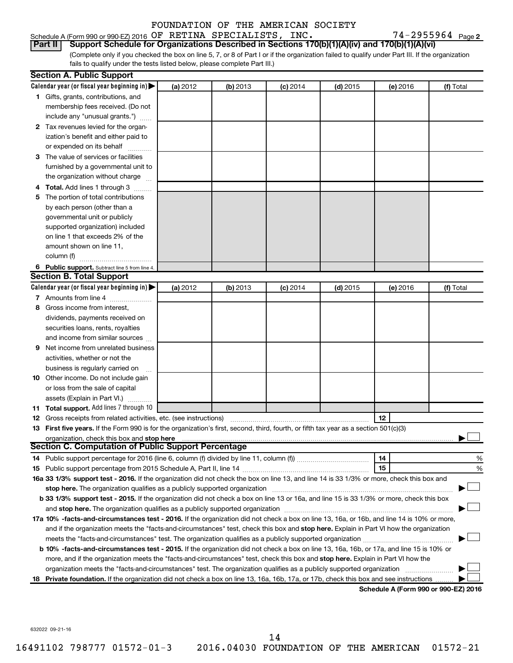#### Schedule A (Form 990 or 990-EZ) 2016 Page OF RETINA SPECIALISTS, INC. 74-2955964 FOUNDATION OF THE AMERICAN SOCIETY

74-2955964 Page 2

(Complete only if you checked the box on line 5, 7, or 8 of Part I or if the organization failed to qualify under Part III. If the organization **Part II Support Schedule for Organizations Described in Sections 170(b)(1)(A)(iv) and 170(b)(1)(A)(vi)**

fails to qualify under the tests listed below, please complete Part III.)

|     | <b>Section A. Public Support</b>                                                                                                                                                                                              |          |          |            |            |                                             |           |
|-----|-------------------------------------------------------------------------------------------------------------------------------------------------------------------------------------------------------------------------------|----------|----------|------------|------------|---------------------------------------------|-----------|
|     | Calendar year (or fiscal year beginning in)                                                                                                                                                                                   | (a) 2012 | (b) 2013 | $(c)$ 2014 | $(d)$ 2015 | (e) 2016                                    | (f) Total |
|     | 1 Gifts, grants, contributions, and                                                                                                                                                                                           |          |          |            |            |                                             |           |
|     | membership fees received. (Do not                                                                                                                                                                                             |          |          |            |            |                                             |           |
|     | include any "unusual grants.")                                                                                                                                                                                                |          |          |            |            |                                             |           |
|     | 2 Tax revenues levied for the organ-                                                                                                                                                                                          |          |          |            |            |                                             |           |
|     | ization's benefit and either paid to                                                                                                                                                                                          |          |          |            |            |                                             |           |
|     | or expended on its behalf                                                                                                                                                                                                     |          |          |            |            |                                             |           |
| з   | The value of services or facilities                                                                                                                                                                                           |          |          |            |            |                                             |           |
|     | furnished by a governmental unit to                                                                                                                                                                                           |          |          |            |            |                                             |           |
|     | the organization without charge                                                                                                                                                                                               |          |          |            |            |                                             |           |
|     | Total. Add lines 1 through 3                                                                                                                                                                                                  |          |          |            |            |                                             |           |
| 5   | The portion of total contributions                                                                                                                                                                                            |          |          |            |            |                                             |           |
|     | by each person (other than a                                                                                                                                                                                                  |          |          |            |            |                                             |           |
|     | governmental unit or publicly                                                                                                                                                                                                 |          |          |            |            |                                             |           |
|     | supported organization) included                                                                                                                                                                                              |          |          |            |            |                                             |           |
|     | on line 1 that exceeds 2% of the                                                                                                                                                                                              |          |          |            |            |                                             |           |
|     | amount shown on line 11,                                                                                                                                                                                                      |          |          |            |            |                                             |           |
|     | column (f)                                                                                                                                                                                                                    |          |          |            |            |                                             |           |
|     | 6 Public support. Subtract line 5 from line 4.                                                                                                                                                                                |          |          |            |            |                                             |           |
|     | <b>Section B. Total Support</b>                                                                                                                                                                                               |          |          |            |            |                                             |           |
|     | Calendar year (or fiscal year beginning in) $\blacktriangleright$                                                                                                                                                             | (a) 2012 | (b) 2013 | $(c)$ 2014 | $(d)$ 2015 | (e) 2016                                    | (f) Total |
|     | 7 Amounts from line 4                                                                                                                                                                                                         |          |          |            |            |                                             |           |
| 8   | Gross income from interest,                                                                                                                                                                                                   |          |          |            |            |                                             |           |
|     | dividends, payments received on                                                                                                                                                                                               |          |          |            |            |                                             |           |
|     | securities loans, rents, royalties                                                                                                                                                                                            |          |          |            |            |                                             |           |
|     | and income from similar sources                                                                                                                                                                                               |          |          |            |            |                                             |           |
| 9   | Net income from unrelated business                                                                                                                                                                                            |          |          |            |            |                                             |           |
|     | activities, whether or not the                                                                                                                                                                                                |          |          |            |            |                                             |           |
|     | business is regularly carried on                                                                                                                                                                                              |          |          |            |            |                                             |           |
|     | 10 Other income. Do not include gain                                                                                                                                                                                          |          |          |            |            |                                             |           |
|     | or loss from the sale of capital                                                                                                                                                                                              |          |          |            |            |                                             |           |
|     | assets (Explain in Part VI.)                                                                                                                                                                                                  |          |          |            |            |                                             |           |
| 11. | Total support. Add lines 7 through 10                                                                                                                                                                                         |          |          |            |            |                                             |           |
| 12  | Gross receipts from related activities, etc. (see instructions)                                                                                                                                                               |          |          |            |            | 12                                          |           |
|     | 13 First five years. If the Form 990 is for the organization's first, second, third, fourth, or fifth tax year as a section 501(c)(3)                                                                                         |          |          |            |            |                                             |           |
|     |                                                                                                                                                                                                                               |          |          |            |            |                                             |           |
|     | Section C. Computation of Public Support Percentage                                                                                                                                                                           |          |          |            |            |                                             |           |
|     |                                                                                                                                                                                                                               |          |          |            |            | 14                                          | %         |
|     |                                                                                                                                                                                                                               |          |          |            |            | 15                                          | %         |
|     | 16a 33 1/3% support test - 2016. If the organization did not check the box on line 13, and line 14 is 33 1/3% or more, check this box and                                                                                     |          |          |            |            |                                             |           |
|     | stop here. The organization qualifies as a publicly supported organization manufaction manufacture or the organization manufacture or the organization manufacture or the organization of the state of the state of the state |          |          |            |            |                                             |           |
|     | b 33 1/3% support test - 2015. If the organization did not check a box on line 13 or 16a, and line 15 is 33 1/3% or more, check this box                                                                                      |          |          |            |            |                                             |           |
|     |                                                                                                                                                                                                                               |          |          |            |            |                                             |           |
|     | 17a 10% -facts-and-circumstances test - 2016. If the organization did not check a box on line 13, 16a, or 16b, and line 14 is 10% or more,                                                                                    |          |          |            |            |                                             |           |
|     | and if the organization meets the "facts-and-circumstances" test, check this box and stop here. Explain in Part VI how the organization                                                                                       |          |          |            |            |                                             |           |
|     |                                                                                                                                                                                                                               |          |          |            |            |                                             |           |
|     | <b>b 10% -facts-and-circumstances test - 2015.</b> If the organization did not check a box on line 13, 16a, 16b, or 17a, and line 15 is 10% or                                                                                |          |          |            |            |                                             |           |
|     | more, and if the organization meets the "facts-and-circumstances" test, check this box and stop here. Explain in Part VI how the                                                                                              |          |          |            |            |                                             |           |
|     |                                                                                                                                                                                                                               |          |          |            |            |                                             |           |
| 18  | Private foundation. If the organization did not check a box on line 13, 16a, 16b, 17a, or 17b, check this box and see instructions                                                                                            |          |          |            |            | <b>Cohodulo A (Form 000 or 000 EZ) 2016</b> |           |

**Schedule A (Form 990 or 990-EZ) 2016**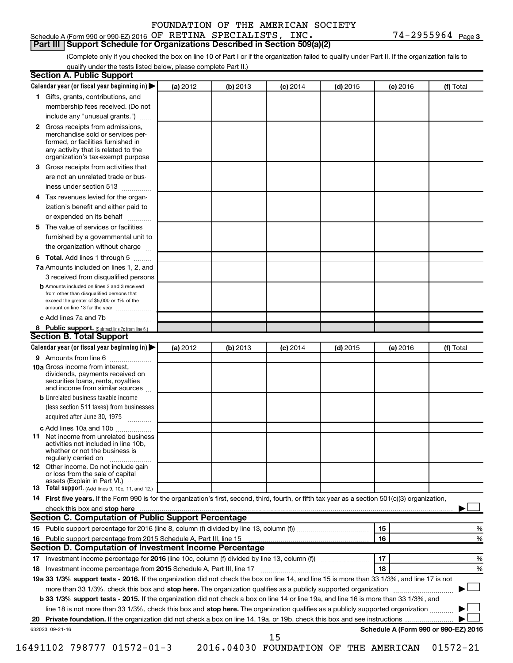#### Schedule A (Form 990 or 990-EZ) 2016 Page OF RETINA SPECIALISTS, INC. 74-2955964 **Part III Support Schedule for Organizations Described in Section 509(a)(2)**

(Complete only if you checked the box on line 10 of Part I or if the organization failed to qualify under Part II. If the organization fails to qualify under the tests listed below, please complete Part II.)

| <b>Section A. Public Support</b>                                                                                                                                                                                                        |          |          |                 |            |          |                                      |
|-----------------------------------------------------------------------------------------------------------------------------------------------------------------------------------------------------------------------------------------|----------|----------|-----------------|------------|----------|--------------------------------------|
| Calendar year (or fiscal year beginning in)                                                                                                                                                                                             | (a) 2012 | (b) 2013 | $(c)$ 2014      | $(d)$ 2015 | (e) 2016 | (f) Total                            |
| 1 Gifts, grants, contributions, and                                                                                                                                                                                                     |          |          |                 |            |          |                                      |
| membership fees received. (Do not                                                                                                                                                                                                       |          |          |                 |            |          |                                      |
| include any "unusual grants.")                                                                                                                                                                                                          |          |          |                 |            |          |                                      |
| 2 Gross receipts from admissions,<br>merchandise sold or services per-<br>formed, or facilities furnished in<br>any activity that is related to the<br>organization's tax-exempt purpose                                                |          |          |                 |            |          |                                      |
| 3 Gross receipts from activities that                                                                                                                                                                                                   |          |          |                 |            |          |                                      |
| are not an unrelated trade or bus-<br>iness under section 513                                                                                                                                                                           |          |          |                 |            |          |                                      |
| 4 Tax revenues levied for the organ-                                                                                                                                                                                                    |          |          |                 |            |          |                                      |
| ization's benefit and either paid to<br>or expended on its behalf                                                                                                                                                                       |          |          |                 |            |          |                                      |
| 5 The value of services or facilities                                                                                                                                                                                                   |          |          |                 |            |          |                                      |
| furnished by a governmental unit to                                                                                                                                                                                                     |          |          |                 |            |          |                                      |
| the organization without charge                                                                                                                                                                                                         |          |          |                 |            |          |                                      |
| 6 Total. Add lines 1 through 5                                                                                                                                                                                                          |          |          |                 |            |          |                                      |
| 7a Amounts included on lines 1, 2, and                                                                                                                                                                                                  |          |          |                 |            |          |                                      |
| 3 received from disqualified persons                                                                                                                                                                                                    |          |          |                 |            |          |                                      |
| <b>b</b> Amounts included on lines 2 and 3 received<br>from other than disqualified persons that<br>exceed the greater of \$5,000 or 1% of the<br>amount on line 13 for the year                                                        |          |          |                 |            |          |                                      |
| c Add lines 7a and 7b                                                                                                                                                                                                                   |          |          |                 |            |          |                                      |
| 8 Public support. (Subtract line 7c from line 6.)                                                                                                                                                                                       |          |          |                 |            |          |                                      |
| <b>Section B. Total Support</b>                                                                                                                                                                                                         |          |          |                 |            |          |                                      |
| Calendar year (or fiscal year beginning in)                                                                                                                                                                                             | (a) 2012 | (b) 2013 | <b>(c)</b> 2014 | $(d)$ 2015 | (e) 2016 | (f) Total                            |
| 9 Amounts from line 6                                                                                                                                                                                                                   |          |          |                 |            |          |                                      |
| <b>10a</b> Gross income from interest,<br>dividends, payments received on<br>securities loans, rents, royalties<br>and income from similar sources                                                                                      |          |          |                 |            |          |                                      |
| <b>b</b> Unrelated business taxable income<br>(less section 511 taxes) from businesses<br>acquired after June 30, 1975                                                                                                                  |          |          |                 |            |          |                                      |
| c Add lines 10a and 10b                                                                                                                                                                                                                 |          |          |                 |            |          |                                      |
| <b>11</b> Net income from unrelated business<br>activities not included in line 10b.<br>whether or not the business is<br>regularly carried on                                                                                          |          |          |                 |            |          |                                      |
| 12 Other income. Do not include gain<br>or loss from the sale of capital<br>assets (Explain in Part VI.)                                                                                                                                |          |          |                 |            |          |                                      |
| <b>13</b> Total support. (Add lines 9, 10c, 11, and 12.)                                                                                                                                                                                |          |          |                 |            |          |                                      |
| 14 First five years. If the Form 990 is for the organization's first, second, third, fourth, or fifth tax year as a section 501(c)(3) organization,                                                                                     |          |          |                 |            |          |                                      |
| check this box and stop here <b>contained and the contained and stop here</b> check this box and stop here <b>contained and the contained and stop here</b> contained and stop here contained and and stop here contained and stop here |          |          |                 |            |          |                                      |
| Section C. Computation of Public Support Percentage                                                                                                                                                                                     |          |          |                 |            |          |                                      |
|                                                                                                                                                                                                                                         |          |          |                 |            | 15       | ℅                                    |
|                                                                                                                                                                                                                                         |          |          |                 |            | 16       | %                                    |
| Section D. Computation of Investment Income Percentage                                                                                                                                                                                  |          |          |                 |            |          |                                      |
|                                                                                                                                                                                                                                         |          |          |                 |            | 17       | %                                    |
| 18 Investment income percentage from 2015 Schedule A, Part III, line 17                                                                                                                                                                 |          |          |                 |            | 18       | %                                    |
| 19a 33 1/3% support tests - 2016. If the organization did not check the box on line 14, and line 15 is more than 33 1/3%, and line 17 is not                                                                                            |          |          |                 |            |          |                                      |
| more than 33 1/3%, check this box and stop here. The organization qualifies as a publicly supported organization                                                                                                                        |          |          |                 |            |          |                                      |
| b 33 1/3% support tests - 2015. If the organization did not check a box on line 14 or line 19a, and line 16 is more than 33 1/3%, and                                                                                                   |          |          |                 |            |          |                                      |
| line 18 is not more than 33 1/3%, check this box and stop here. The organization qualifies as a publicly supported organization                                                                                                         |          |          |                 |            |          |                                      |
|                                                                                                                                                                                                                                         |          |          |                 |            |          |                                      |
| 632023 09-21-16                                                                                                                                                                                                                         |          |          | 15              |            |          | Schedule A (Form 990 or 990-EZ) 2016 |
|                                                                                                                                                                                                                                         |          |          |                 |            |          |                                      |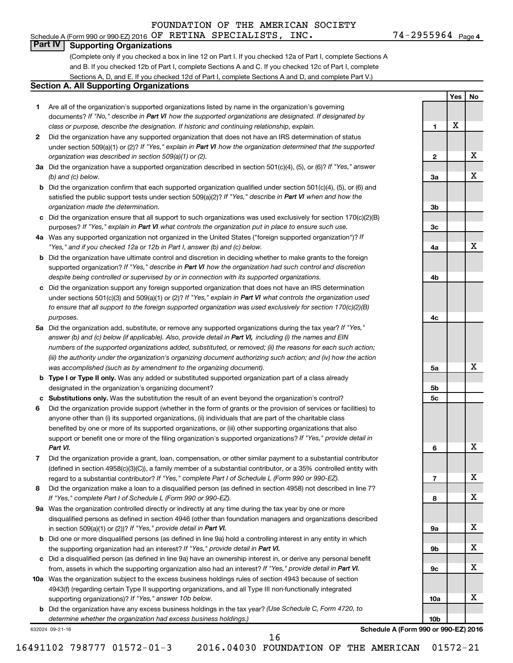# **Part IV Supporting Organizations**

(Complete only if you checked a box in line 12 on Part I. If you checked 12a of Part I, complete Sections A and B. If you checked 12b of Part I, complete Sections A and C. If you checked 12c of Part I, complete Sections A, D, and E. If you checked 12d of Part I, complete Sections A and D, and complete Part V.)

#### **Section A. All Supporting Organizations**

- **1** Are all of the organization's supported organizations listed by name in the organization's governing documents? If "No," describe in Part VI how the supported organizations are designated. If designated by *class or purpose, describe the designation. If historic and continuing relationship, explain.*
- **2** Did the organization have any supported organization that does not have an IRS determination of status under section 509(a)(1) or (2)? If "Yes," explain in Part VI how the organization determined that the supported *organization was described in section 509(a)(1) or (2).*
- **3a** Did the organization have a supported organization described in section 501(c)(4), (5), or (6)? If "Yes," answer *(b) and (c) below.*
- **b** Did the organization confirm that each supported organization qualified under section 501(c)(4), (5), or (6) and satisfied the public support tests under section 509(a)(2)? If "Yes," describe in Part VI when and how the *organization made the determination.*
- **c** Did the organization ensure that all support to such organizations was used exclusively for section 170(c)(2)(B) purposes? If "Yes," explain in Part VI what controls the organization put in place to ensure such use.
- **4 a** *If* Was any supported organization not organized in the United States ("foreign supported organization")? *"Yes," and if you checked 12a or 12b in Part I, answer (b) and (c) below.*
- **b** Did the organization have ultimate control and discretion in deciding whether to make grants to the foreign supported organization? If "Yes," describe in Part VI how the organization had such control and discretion *despite being controlled or supervised by or in connection with its supported organizations.*
- **c** Did the organization support any foreign supported organization that does not have an IRS determination under sections 501(c)(3) and 509(a)(1) or (2)? If "Yes," explain in Part VI what controls the organization used *to ensure that all support to the foreign supported organization was used exclusively for section 170(c)(2)(B) purposes.*
- **5a** Did the organization add, substitute, or remove any supported organizations during the tax year? If "Yes," answer (b) and (c) below (if applicable). Also, provide detail in Part VI, including (i) the names and EIN *numbers of the supported organizations added, substituted, or removed; (ii) the reasons for each such action; (iii) the authority under the organization's organizing document authorizing such action; and (iv) how the action was accomplished (such as by amendment to the organizing document).*
- **b Type I or Type II only.** Was any added or substituted supported organization part of a class already designated in the organization's organizing document?
- **c Substitutions only.**  Was the substitution the result of an event beyond the organization's control?
- **6** Did the organization provide support (whether in the form of grants or the provision of services or facilities) to support or benefit one or more of the filing organization's supported organizations? If "Yes," provide detail in anyone other than (i) its supported organizations, (ii) individuals that are part of the charitable class benefited by one or more of its supported organizations, or (iii) other supporting organizations that also *Part VI.*
- **7** Did the organization provide a grant, loan, compensation, or other similar payment to a substantial contributor regard to a substantial contributor? If "Yes," complete Part I of Schedule L (Form 990 or 990-EZ). (defined in section 4958(c)(3)(C)), a family member of a substantial contributor, or a 35% controlled entity with
- **8** Did the organization make a loan to a disqualified person (as defined in section 4958) not described in line 7? *If "Yes," complete Part I of Schedule L (Form 990 or 990-EZ).*
- **9 a** Was the organization controlled directly or indirectly at any time during the tax year by one or more in section 509(a)(1) or (2))? If "Yes," provide detail in Part VI. disqualified persons as defined in section 4946 (other than foundation managers and organizations described
- **b** Did one or more disqualified persons (as defined in line 9a) hold a controlling interest in any entity in which the supporting organization had an interest? If "Yes," provide detail in Part VI.
- **c** Did a disqualified person (as defined in line 9a) have an ownership interest in, or derive any personal benefit from, assets in which the supporting organization also had an interest? If "Yes," provide detail in Part VI.
- **10 a** Was the organization subject to the excess business holdings rules of section 4943 because of section supporting organizations)? If "Yes," answer 10b below. 4943(f) (regarding certain Type II supporting organizations, and all Type III non-functionally integrated
	- **b** Did the organization have any excess business holdings in the tax year? (Use Schedule C, Form 4720, to *determine whether the organization had excess business holdings.)*

632024 09-21-16

**Schedule A (Form 990 or 990-EZ) 2016**

**10b**

X

X

16

16491102 798777 01572-01-3 2016.04030 FOUNDATION OF THE AMERICAN 01572-21

**1**

**2**

**3a**

**3b**

**3c**

**4a**

**4b**

**4c**

**5a**

**5b 5c** **Yes No**

X

X

X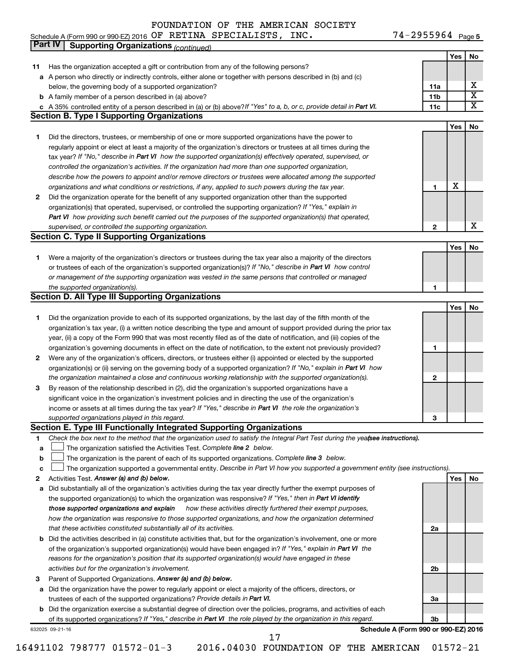74-2955964 Page 5 Schedule A (Form 990 or 990-EZ) 2016 UF KETINA SPECIALISTS,INC。 /4-Z955964 Page OF RETINA SPECIALISTS, INC. 74-2955964

|    | <b>Supporting Organizations (continued)</b>                                                                                     |                 | Yes |  |
|----|---------------------------------------------------------------------------------------------------------------------------------|-----------------|-----|--|
| 11 | Has the organization accepted a gift or contribution from any of the following persons?                                         |                 |     |  |
|    | a A person who directly or indirectly controls, either alone or together with persons described in (b) and (c)                  |                 |     |  |
|    | below, the governing body of a supported organization?                                                                          | 11a             |     |  |
|    | <b>b</b> A family member of a person described in (a) above?                                                                    | 11 <sub>b</sub> |     |  |
|    | c A 35% controlled entity of a person described in (a) or (b) above? If "Yes" to a, b, or c, provide detail in Part VI.         | 11c             |     |  |
|    | <b>Section B. Type I Supporting Organizations</b>                                                                               |                 |     |  |
|    |                                                                                                                                 |                 | Yes |  |
| 1  | Did the directors, trustees, or membership of one or more supported organizations have the power to                             |                 |     |  |
|    | regularly appoint or elect at least a majority of the organization's directors or trustees at all times during the              |                 |     |  |
|    | tax year? If "No," describe in Part VI how the supported organization(s) effectively operated, supervised, or                   |                 |     |  |
|    | controlled the organization's activities. If the organization had more than one supported organization,                         |                 |     |  |
|    | describe how the powers to appoint and/or remove directors or trustees were allocated among the supported                       |                 |     |  |
|    | organizations and what conditions or restrictions, if any, applied to such powers during the tax year.                          | 1               | X   |  |
| 2  | Did the organization operate for the benefit of any supported organization other than the supported                             |                 |     |  |
|    | organization(s) that operated, supervised, or controlled the supporting organization? If "Yes," explain in                      |                 |     |  |
|    | Part VI how providing such benefit carried out the purposes of the supported organization(s) that operated,                     |                 |     |  |
|    | supervised, or controlled the supporting organization.                                                                          | $\mathbf{2}$    |     |  |
|    | <b>Section C. Type II Supporting Organizations</b>                                                                              |                 |     |  |
|    |                                                                                                                                 |                 | Yes |  |
| 1  | Were a majority of the organization's directors or trustees during the tax year also a majority of the directors                |                 |     |  |
|    | or trustees of each of the organization's supported organization(s)? If "No," describe in Part VI how control                   |                 |     |  |
|    | or management of the supporting organization was vested in the same persons that controlled or managed                          |                 |     |  |
|    | the supported organization(s).                                                                                                  | 1               |     |  |
|    | <b>Section D. All Type III Supporting Organizations</b>                                                                         |                 |     |  |
|    |                                                                                                                                 |                 | Yes |  |
| 1  | Did the organization provide to each of its supported organizations, by the last day of the fifth month of the                  |                 |     |  |
|    | organization's tax year, (i) a written notice describing the type and amount of support provided during the prior tax           |                 |     |  |
|    | year, (ii) a copy of the Form 990 that was most recently filed as of the date of notification, and (iii) copies of the          |                 |     |  |
|    | organization's governing documents in effect on the date of notification, to the extent not previously provided?                | 1               |     |  |
| 2  | Were any of the organization's officers, directors, or trustees either (i) appointed or elected by the supported                |                 |     |  |
|    | organization(s) or (ii) serving on the governing body of a supported organization? If "No," explain in Part VI how              |                 |     |  |
|    | the organization maintained a close and continuous working relationship with the supported organization(s).                     | $\mathbf{2}$    |     |  |
| 3  | By reason of the relationship described in (2), did the organization's supported organizations have a                           |                 |     |  |
|    | significant voice in the organization's investment policies and in directing the use of the organization's                      |                 |     |  |
|    | income or assets at all times during the tax year? If "Yes," describe in Part VI the role the organization's                    |                 |     |  |
|    | supported organizations played in this regard.                                                                                  | з               |     |  |
|    | Section E. Type III Functionally Integrated Supporting Organizations                                                            |                 |     |  |
| 1  | Check the box next to the method that the organization used to satisfy the Integral Part Test during the yea(see instructions). |                 |     |  |
| a  | The organization satisfied the Activities Test. Complete line 2 below.                                                          |                 |     |  |
| b  | The organization is the parent of each of its supported organizations. Complete line 3 below.                                   |                 |     |  |
| c  | The organization supported a governmental entity. Describe in Part VI how you supported a government entity (see instructions). |                 |     |  |
| 2  | Activities Test. Answer (a) and (b) below.                                                                                      |                 | Yes |  |
| а  | Did substantially all of the organization's activities during the tax year directly further the exempt purposes of              |                 |     |  |
|    | the supported organization(s) to which the organization was responsive? If "Yes," then in Part VI identify                      |                 |     |  |
|    | how these activities directly furthered their exempt purposes,<br>those supported organizations and explain                     |                 |     |  |
|    | how the organization was responsive to those supported organizations, and how the organization determined                       |                 |     |  |
|    | that these activities constituted substantially all of its activities.                                                          | 2a              |     |  |
|    | b Did the activities described in (a) constitute activities that, but for the organization's involvement, one or more           |                 |     |  |
|    | of the organization's supported organization(s) would have been engaged in? If "Yes," explain in Part VI the                    |                 |     |  |
|    | reasons for the organization's position that its supported organization(s) would have engaged in these                          |                 |     |  |
|    | activities but for the organization's involvement.                                                                              | 2 <sub>b</sub>  |     |  |
| З  | Parent of Supported Organizations. Answer (a) and (b) below.                                                                    |                 |     |  |
|    | a Did the organization have the power to regularly appoint or elect a majority of the officers, directors, or                   |                 |     |  |
|    | trustees of each of the supported organizations? Provide details in Part VI.                                                    | За              |     |  |
|    |                                                                                                                                 |                 |     |  |
|    | <b>b</b> Did the organization exercise a substantial degree of direction over the policies, programs, and activities of each    |                 |     |  |
|    | of its supported organizations? If "Yes," describe in Part VI the role played by the organization in this regard.               | Зb              |     |  |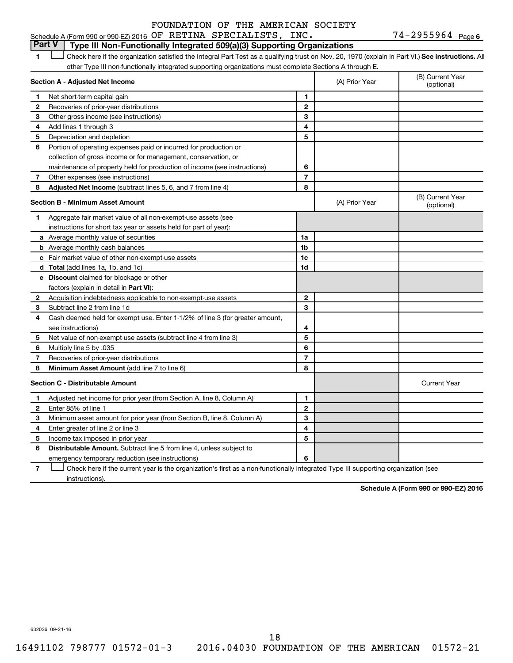#### Schedule A (Form 990 or 990-EZ) 2016 Page OF RETINA SPECIALISTS, INC. 74-2955964 FOUNDATION OF THE AMERICAN SOCIETY

74-2955964 Page 6

#### **Part V Type III Non-Functionally Integrated 509(a)(3) Supporting Organizations**

1 **Letter See instructions.** All Check here if the organization satisfied the Integral Part Test as a qualifying trust on Nov. 20, 1970 (explain in Part VI.) See instructions. All other Type III non-functionally integrated supporting organizations must complete Sections A through E.

|              | Section A - Adjusted Net Income                                              |                | (A) Prior Year | (B) Current Year<br>(optional) |
|--------------|------------------------------------------------------------------------------|----------------|----------------|--------------------------------|
| 1            | Net short-term capital gain                                                  | 1              |                |                                |
| 2            | Recoveries of prior-year distributions                                       | $\overline{2}$ |                |                                |
| З            | Other gross income (see instructions)                                        | 3              |                |                                |
| 4            | Add lines 1 through 3                                                        | 4              |                |                                |
| 5            | Depreciation and depletion                                                   | 5              |                |                                |
| 6            | Portion of operating expenses paid or incurred for production or             |                |                |                                |
|              | collection of gross income or for management, conservation, or               |                |                |                                |
|              | maintenance of property held for production of income (see instructions)     | 6              |                |                                |
| 7            | Other expenses (see instructions)                                            | $\overline{7}$ |                |                                |
| 8            | Adjusted Net Income (subtract lines 5, 6, and 7 from line 4)                 | 8              |                |                                |
|              | <b>Section B - Minimum Asset Amount</b>                                      |                | (A) Prior Year | (B) Current Year<br>(optional) |
| 1            | Aggregate fair market value of all non-exempt-use assets (see                |                |                |                                |
|              | instructions for short tax year or assets held for part of year):            |                |                |                                |
|              | a Average monthly value of securities                                        | 1a             |                |                                |
|              | <b>b</b> Average monthly cash balances                                       | 1b             |                |                                |
|              | <b>c</b> Fair market value of other non-exempt-use assets                    | 1c             |                |                                |
|              | <b>d</b> Total (add lines 1a, 1b, and 1c)                                    | 1d             |                |                                |
|              | <b>e</b> Discount claimed for blockage or other                              |                |                |                                |
|              | factors (explain in detail in <b>Part VI</b> ):                              |                |                |                                |
| 2            | Acquisition indebtedness applicable to non-exempt-use assets                 | $\mathbf{2}$   |                |                                |
| З            | Subtract line 2 from line 1d                                                 | 3              |                |                                |
| 4            | Cash deemed held for exempt use. Enter 1-1/2% of line 3 (for greater amount, |                |                |                                |
|              | see instructions)                                                            | 4              |                |                                |
| 5            | Net value of non-exempt-use assets (subtract line 4 from line 3)             | 5              |                |                                |
| 6            | Multiply line 5 by .035                                                      | 6              |                |                                |
| 7            | Recoveries of prior-year distributions                                       | 7              |                |                                |
| 8            | Minimum Asset Amount (add line 7 to line 6)                                  | 8              |                |                                |
|              | <b>Section C - Distributable Amount</b>                                      |                |                | <b>Current Year</b>            |
| 1            | Adjusted net income for prior year (from Section A, line 8, Column A)        | 1              |                |                                |
| $\mathbf{2}$ | Enter 85% of line 1                                                          | $\mathbf{2}$   |                |                                |
| З            | Minimum asset amount for prior year (from Section B, line 8, Column A)       | 3              |                |                                |
| 4            | Enter greater of line 2 or line 3                                            | 4              |                |                                |
| 5            | Income tax imposed in prior year                                             | 5              |                |                                |
| 6            | <b>Distributable Amount.</b> Subtract line 5 from line 4, unless subject to  |                |                |                                |
|              | emergency temporary reduction (see instructions)                             | 6              |                |                                |
|              |                                                                              |                |                |                                |

**7** Let Check here if the current year is the organization's first as a non-functionally integrated Type III supporting organization (see instructions).

**Schedule A (Form 990 or 990-EZ) 2016**

632026 09-21-16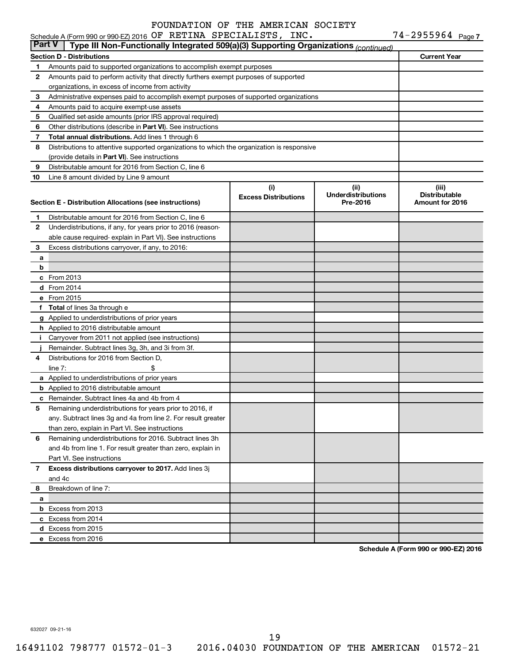| <b>Part V</b> | Type III Non-Functionally Integrated 509(a)(3) Supporting Organizations (continued)        |                             |                                       |                                         |  |  |  |  |  |  |
|---------------|--------------------------------------------------------------------------------------------|-----------------------------|---------------------------------------|-----------------------------------------|--|--|--|--|--|--|
|               | <b>Section D - Distributions</b>                                                           |                             |                                       | <b>Current Year</b>                     |  |  |  |  |  |  |
| 1             | Amounts paid to supported organizations to accomplish exempt purposes                      |                             |                                       |                                         |  |  |  |  |  |  |
| 2             | Amounts paid to perform activity that directly furthers exempt purposes of supported       |                             |                                       |                                         |  |  |  |  |  |  |
|               | organizations, in excess of income from activity                                           |                             |                                       |                                         |  |  |  |  |  |  |
| З             | Administrative expenses paid to accomplish exempt purposes of supported organizations      |                             |                                       |                                         |  |  |  |  |  |  |
| 4             | Amounts paid to acquire exempt-use assets                                                  |                             |                                       |                                         |  |  |  |  |  |  |
| 5             | Qualified set-aside amounts (prior IRS approval required)                                  |                             |                                       |                                         |  |  |  |  |  |  |
| 6             | Other distributions (describe in Part VI). See instructions                                |                             |                                       |                                         |  |  |  |  |  |  |
| 7             | Total annual distributions. Add lines 1 through 6                                          |                             |                                       |                                         |  |  |  |  |  |  |
| 8             | Distributions to attentive supported organizations to which the organization is responsive |                             |                                       |                                         |  |  |  |  |  |  |
|               | (provide details in Part VI). See instructions                                             |                             |                                       |                                         |  |  |  |  |  |  |
| 9             | Distributable amount for 2016 from Section C, line 6                                       |                             |                                       |                                         |  |  |  |  |  |  |
| 10            | Line 8 amount divided by Line 9 amount                                                     |                             |                                       |                                         |  |  |  |  |  |  |
|               |                                                                                            | (i)                         | (iii)                                 | (iii)                                   |  |  |  |  |  |  |
|               | Section E - Distribution Allocations (see instructions)                                    | <b>Excess Distributions</b> | <b>Underdistributions</b><br>Pre-2016 | <b>Distributable</b><br>Amount for 2016 |  |  |  |  |  |  |
|               |                                                                                            |                             |                                       |                                         |  |  |  |  |  |  |
| 1             | Distributable amount for 2016 from Section C, line 6                                       |                             |                                       |                                         |  |  |  |  |  |  |
| 2             | Underdistributions, if any, for years prior to 2016 (reason-                               |                             |                                       |                                         |  |  |  |  |  |  |
|               | able cause required-explain in Part VI). See instructions                                  |                             |                                       |                                         |  |  |  |  |  |  |
| З             | Excess distributions carryover, if any, to 2016:                                           |                             |                                       |                                         |  |  |  |  |  |  |
| а             |                                                                                            |                             |                                       |                                         |  |  |  |  |  |  |
| b             |                                                                                            |                             |                                       |                                         |  |  |  |  |  |  |
|               | c From 2013                                                                                |                             |                                       |                                         |  |  |  |  |  |  |
|               | <b>d</b> From 2014                                                                         |                             |                                       |                                         |  |  |  |  |  |  |
|               | e From 2015                                                                                |                             |                                       |                                         |  |  |  |  |  |  |
|               | f Total of lines 3a through e                                                              |                             |                                       |                                         |  |  |  |  |  |  |
|               | g Applied to underdistributions of prior years                                             |                             |                                       |                                         |  |  |  |  |  |  |
|               | <b>h</b> Applied to 2016 distributable amount                                              |                             |                                       |                                         |  |  |  |  |  |  |
|               | i Carryover from 2011 not applied (see instructions)                                       |                             |                                       |                                         |  |  |  |  |  |  |
|               | Remainder. Subtract lines 3g, 3h, and 3i from 3f.                                          |                             |                                       |                                         |  |  |  |  |  |  |
| 4             | Distributions for 2016 from Section D,                                                     |                             |                                       |                                         |  |  |  |  |  |  |
|               | line $7:$                                                                                  |                             |                                       |                                         |  |  |  |  |  |  |
|               | a Applied to underdistributions of prior years                                             |                             |                                       |                                         |  |  |  |  |  |  |
|               | <b>b</b> Applied to 2016 distributable amount                                              |                             |                                       |                                         |  |  |  |  |  |  |
|               | c Remainder. Subtract lines 4a and 4b from 4                                               |                             |                                       |                                         |  |  |  |  |  |  |
| 5             | Remaining underdistributions for years prior to 2016, if                                   |                             |                                       |                                         |  |  |  |  |  |  |
|               | any. Subtract lines 3g and 4a from line 2. For result greater                              |                             |                                       |                                         |  |  |  |  |  |  |
|               | than zero, explain in Part VI. See instructions                                            |                             |                                       |                                         |  |  |  |  |  |  |
| 6             | Remaining underdistributions for 2016. Subtract lines 3h                                   |                             |                                       |                                         |  |  |  |  |  |  |
|               | and 4b from line 1. For result greater than zero, explain in                               |                             |                                       |                                         |  |  |  |  |  |  |
|               | Part VI. See instructions                                                                  |                             |                                       |                                         |  |  |  |  |  |  |
| 7             | Excess distributions carryover to 2017. Add lines 3j                                       |                             |                                       |                                         |  |  |  |  |  |  |
|               | and 4c                                                                                     |                             |                                       |                                         |  |  |  |  |  |  |
| 8             | Breakdown of line 7:                                                                       |                             |                                       |                                         |  |  |  |  |  |  |
| a             |                                                                                            |                             |                                       |                                         |  |  |  |  |  |  |
|               | <b>b</b> Excess from 2013                                                                  |                             |                                       |                                         |  |  |  |  |  |  |
|               | c Excess from 2014                                                                         |                             |                                       |                                         |  |  |  |  |  |  |
|               | d Excess from 2015                                                                         |                             |                                       |                                         |  |  |  |  |  |  |
|               | e Excess from 2016                                                                         |                             |                                       |                                         |  |  |  |  |  |  |

**Schedule A (Form 990 or 990-EZ) 2016**

632027 09-21-16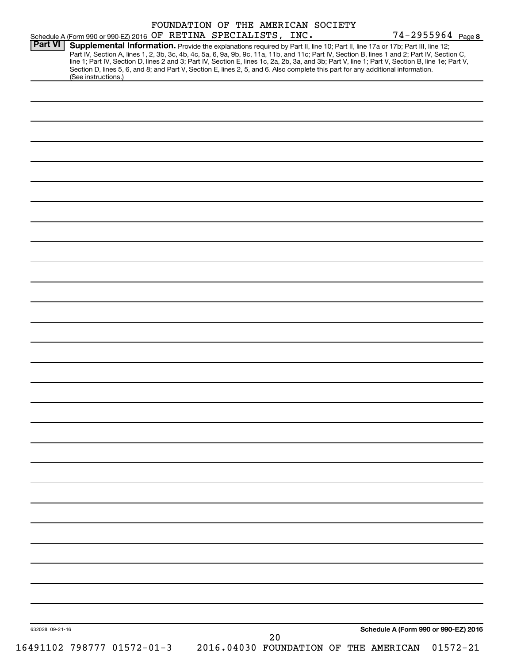| <b>Part VI</b>  | Schedule A (Form 990 or 990-EZ) 2016 OF RETINA SPECIALISTS, INC.<br>Supplemental Information. Provide the explanations required by Part II, line 10; Part II, line 17a or 17b; Part III, line 12;                                                                                                                                                                                                                                   |    |                                                                  | 74-2955964 Page 8 |
|-----------------|-------------------------------------------------------------------------------------------------------------------------------------------------------------------------------------------------------------------------------------------------------------------------------------------------------------------------------------------------------------------------------------------------------------------------------------|----|------------------------------------------------------------------|-------------------|
|                 | Part IV, Section A, lines 1, 2, 3b, 3c, 4b, 4c, 5a, 6, 9a, 9b, 9c, 11a, 11b, and 11c; Part IV, Section B, lines 1 and 2; Part IV, Section C,<br>line 1; Part IV, Section D, lines 2 and 3; Part IV, Section E, lines 1c, 2a, 2b, 3a, and 3b; Part V, line 1; Part V, Section B, line 1e; Part V,<br>Section D, lines 5, 6, and 8; and Part V, Section E, lines 2, 5, and 6. Also complete this part for any additional information. |    |                                                                  |                   |
|                 | (See instructions.)                                                                                                                                                                                                                                                                                                                                                                                                                 |    |                                                                  |                   |
|                 |                                                                                                                                                                                                                                                                                                                                                                                                                                     |    |                                                                  |                   |
|                 |                                                                                                                                                                                                                                                                                                                                                                                                                                     |    |                                                                  |                   |
|                 |                                                                                                                                                                                                                                                                                                                                                                                                                                     |    |                                                                  |                   |
|                 |                                                                                                                                                                                                                                                                                                                                                                                                                                     |    |                                                                  |                   |
|                 |                                                                                                                                                                                                                                                                                                                                                                                                                                     |    |                                                                  |                   |
|                 |                                                                                                                                                                                                                                                                                                                                                                                                                                     |    |                                                                  |                   |
|                 |                                                                                                                                                                                                                                                                                                                                                                                                                                     |    |                                                                  |                   |
|                 |                                                                                                                                                                                                                                                                                                                                                                                                                                     |    |                                                                  |                   |
|                 |                                                                                                                                                                                                                                                                                                                                                                                                                                     |    |                                                                  |                   |
|                 |                                                                                                                                                                                                                                                                                                                                                                                                                                     |    |                                                                  |                   |
|                 |                                                                                                                                                                                                                                                                                                                                                                                                                                     |    |                                                                  |                   |
|                 |                                                                                                                                                                                                                                                                                                                                                                                                                                     |    |                                                                  |                   |
|                 |                                                                                                                                                                                                                                                                                                                                                                                                                                     |    |                                                                  |                   |
|                 |                                                                                                                                                                                                                                                                                                                                                                                                                                     |    |                                                                  |                   |
|                 |                                                                                                                                                                                                                                                                                                                                                                                                                                     |    |                                                                  |                   |
|                 |                                                                                                                                                                                                                                                                                                                                                                                                                                     |    |                                                                  |                   |
|                 |                                                                                                                                                                                                                                                                                                                                                                                                                                     |    |                                                                  |                   |
|                 |                                                                                                                                                                                                                                                                                                                                                                                                                                     |    |                                                                  |                   |
|                 |                                                                                                                                                                                                                                                                                                                                                                                                                                     |    |                                                                  |                   |
|                 |                                                                                                                                                                                                                                                                                                                                                                                                                                     |    |                                                                  |                   |
|                 |                                                                                                                                                                                                                                                                                                                                                                                                                                     |    |                                                                  |                   |
|                 |                                                                                                                                                                                                                                                                                                                                                                                                                                     |    |                                                                  |                   |
|                 |                                                                                                                                                                                                                                                                                                                                                                                                                                     |    |                                                                  |                   |
|                 |                                                                                                                                                                                                                                                                                                                                                                                                                                     |    |                                                                  |                   |
|                 |                                                                                                                                                                                                                                                                                                                                                                                                                                     |    |                                                                  |                   |
|                 |                                                                                                                                                                                                                                                                                                                                                                                                                                     |    |                                                                  |                   |
|                 |                                                                                                                                                                                                                                                                                                                                                                                                                                     |    |                                                                  |                   |
|                 |                                                                                                                                                                                                                                                                                                                                                                                                                                     |    |                                                                  |                   |
|                 |                                                                                                                                                                                                                                                                                                                                                                                                                                     |    |                                                                  |                   |
|                 |                                                                                                                                                                                                                                                                                                                                                                                                                                     |    |                                                                  |                   |
|                 |                                                                                                                                                                                                                                                                                                                                                                                                                                     |    |                                                                  |                   |
|                 |                                                                                                                                                                                                                                                                                                                                                                                                                                     |    |                                                                  |                   |
|                 |                                                                                                                                                                                                                                                                                                                                                                                                                                     |    |                                                                  |                   |
| 632028 09-21-16 |                                                                                                                                                                                                                                                                                                                                                                                                                                     |    | Schedule A (Form 990 or 990-EZ) 2016                             |                   |
|                 |                                                                                                                                                                                                                                                                                                                                                                                                                                     | 20 | 16491102 798777 01572-01-3 2016.04030 FOUNDATION OF THE AMERICAN |                   |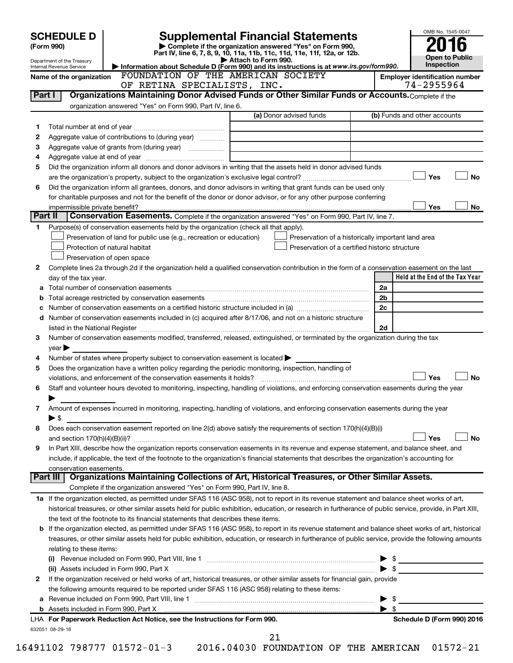| (Form 990)<br>Department of the Treasury<br>Internal Revenue Service<br>Name of the organization<br>Protection of natural habitat | FOUNDATION OF THE AMERICAN SOCIETY<br>OF RETINA SPECIALISTS, INC.<br>organization answered "Yes" on Form 990, Part IV, line 6.<br>Aggregate value of contributions to (during year)<br>Purpose(s) of conservation easements held by the organization (check all that apply).<br>Preservation of land for public use (e.g., recreation or education) | Complete if the organization answered "Yes" on Form 990,<br>Part IV, line 6, 7, 8, 9, 10, 11a, 11b, 11c, 11d, 11e, 11f, 12a, or 12b.<br>Attach to Form 990.<br>Information about Schedule D (Form 990) and its instructions is at www.irs.gov/form990.<br>Organizations Maintaining Donor Advised Funds or Other Similar Funds or Accounts. Complete if the<br>(a) Donor advised funds<br>the control of the control of the control of the control of the control of<br>Did the organization inform all donors and donor advisors in writing that the assets held in donor advised funds<br>Did the organization inform all grantees, donors, and donor advisors in writing that grant funds can be used only<br>for charitable purposes and not for the benefit of the donor or donor advisor, or for any other purpose conferring<br>Conservation Easements. Complete if the organization answered "Yes" on Form 990, Part IV, line 7.<br>Preservation of a historically important land area<br>Preservation of a certified historic structure |                                                                                                 | <b>Open to Public</b><br>Inspection<br><b>Employer identification number</b><br>74-2955964<br>(b) Funds and other accounts<br>Yes<br><b>No</b><br>No<br>Yes                                                                                                                                                                                                                                                                                                                                                                                                                                                                  |
|-----------------------------------------------------------------------------------------------------------------------------------|-----------------------------------------------------------------------------------------------------------------------------------------------------------------------------------------------------------------------------------------------------------------------------------------------------------------------------------------------------|--------------------------------------------------------------------------------------------------------------------------------------------------------------------------------------------------------------------------------------------------------------------------------------------------------------------------------------------------------------------------------------------------------------------------------------------------------------------------------------------------------------------------------------------------------------------------------------------------------------------------------------------------------------------------------------------------------------------------------------------------------------------------------------------------------------------------------------------------------------------------------------------------------------------------------------------------------------------------------------------------------------------------------------------------|-------------------------------------------------------------------------------------------------|------------------------------------------------------------------------------------------------------------------------------------------------------------------------------------------------------------------------------------------------------------------------------------------------------------------------------------------------------------------------------------------------------------------------------------------------------------------------------------------------------------------------------------------------------------------------------------------------------------------------------|
|                                                                                                                                   |                                                                                                                                                                                                                                                                                                                                                     |                                                                                                                                                                                                                                                                                                                                                                                                                                                                                                                                                                                                                                                                                                                                                                                                                                                                                                                                                                                                                                                  |                                                                                                 |                                                                                                                                                                                                                                                                                                                                                                                                                                                                                                                                                                                                                              |
|                                                                                                                                   |                                                                                                                                                                                                                                                                                                                                                     |                                                                                                                                                                                                                                                                                                                                                                                                                                                                                                                                                                                                                                                                                                                                                                                                                                                                                                                                                                                                                                                  |                                                                                                 |                                                                                                                                                                                                                                                                                                                                                                                                                                                                                                                                                                                                                              |
|                                                                                                                                   |                                                                                                                                                                                                                                                                                                                                                     |                                                                                                                                                                                                                                                                                                                                                                                                                                                                                                                                                                                                                                                                                                                                                                                                                                                                                                                                                                                                                                                  |                                                                                                 |                                                                                                                                                                                                                                                                                                                                                                                                                                                                                                                                                                                                                              |
|                                                                                                                                   |                                                                                                                                                                                                                                                                                                                                                     |                                                                                                                                                                                                                                                                                                                                                                                                                                                                                                                                                                                                                                                                                                                                                                                                                                                                                                                                                                                                                                                  |                                                                                                 |                                                                                                                                                                                                                                                                                                                                                                                                                                                                                                                                                                                                                              |
|                                                                                                                                   |                                                                                                                                                                                                                                                                                                                                                     |                                                                                                                                                                                                                                                                                                                                                                                                                                                                                                                                                                                                                                                                                                                                                                                                                                                                                                                                                                                                                                                  |                                                                                                 |                                                                                                                                                                                                                                                                                                                                                                                                                                                                                                                                                                                                                              |
|                                                                                                                                   |                                                                                                                                                                                                                                                                                                                                                     |                                                                                                                                                                                                                                                                                                                                                                                                                                                                                                                                                                                                                                                                                                                                                                                                                                                                                                                                                                                                                                                  |                                                                                                 |                                                                                                                                                                                                                                                                                                                                                                                                                                                                                                                                                                                                                              |
|                                                                                                                                   |                                                                                                                                                                                                                                                                                                                                                     |                                                                                                                                                                                                                                                                                                                                                                                                                                                                                                                                                                                                                                                                                                                                                                                                                                                                                                                                                                                                                                                  |                                                                                                 |                                                                                                                                                                                                                                                                                                                                                                                                                                                                                                                                                                                                                              |
|                                                                                                                                   |                                                                                                                                                                                                                                                                                                                                                     |                                                                                                                                                                                                                                                                                                                                                                                                                                                                                                                                                                                                                                                                                                                                                                                                                                                                                                                                                                                                                                                  |                                                                                                 |                                                                                                                                                                                                                                                                                                                                                                                                                                                                                                                                                                                                                              |
|                                                                                                                                   |                                                                                                                                                                                                                                                                                                                                                     |                                                                                                                                                                                                                                                                                                                                                                                                                                                                                                                                                                                                                                                                                                                                                                                                                                                                                                                                                                                                                                                  |                                                                                                 |                                                                                                                                                                                                                                                                                                                                                                                                                                                                                                                                                                                                                              |
|                                                                                                                                   |                                                                                                                                                                                                                                                                                                                                                     |                                                                                                                                                                                                                                                                                                                                                                                                                                                                                                                                                                                                                                                                                                                                                                                                                                                                                                                                                                                                                                                  |                                                                                                 |                                                                                                                                                                                                                                                                                                                                                                                                                                                                                                                                                                                                                              |
|                                                                                                                                   |                                                                                                                                                                                                                                                                                                                                                     |                                                                                                                                                                                                                                                                                                                                                                                                                                                                                                                                                                                                                                                                                                                                                                                                                                                                                                                                                                                                                                                  |                                                                                                 |                                                                                                                                                                                                                                                                                                                                                                                                                                                                                                                                                                                                                              |
|                                                                                                                                   |                                                                                                                                                                                                                                                                                                                                                     |                                                                                                                                                                                                                                                                                                                                                                                                                                                                                                                                                                                                                                                                                                                                                                                                                                                                                                                                                                                                                                                  |                                                                                                 |                                                                                                                                                                                                                                                                                                                                                                                                                                                                                                                                                                                                                              |
|                                                                                                                                   |                                                                                                                                                                                                                                                                                                                                                     |                                                                                                                                                                                                                                                                                                                                                                                                                                                                                                                                                                                                                                                                                                                                                                                                                                                                                                                                                                                                                                                  |                                                                                                 |                                                                                                                                                                                                                                                                                                                                                                                                                                                                                                                                                                                                                              |
|                                                                                                                                   |                                                                                                                                                                                                                                                                                                                                                     |                                                                                                                                                                                                                                                                                                                                                                                                                                                                                                                                                                                                                                                                                                                                                                                                                                                                                                                                                                                                                                                  |                                                                                                 |                                                                                                                                                                                                                                                                                                                                                                                                                                                                                                                                                                                                                              |
|                                                                                                                                   |                                                                                                                                                                                                                                                                                                                                                     |                                                                                                                                                                                                                                                                                                                                                                                                                                                                                                                                                                                                                                                                                                                                                                                                                                                                                                                                                                                                                                                  |                                                                                                 |                                                                                                                                                                                                                                                                                                                                                                                                                                                                                                                                                                                                                              |
|                                                                                                                                   |                                                                                                                                                                                                                                                                                                                                                     |                                                                                                                                                                                                                                                                                                                                                                                                                                                                                                                                                                                                                                                                                                                                                                                                                                                                                                                                                                                                                                                  |                                                                                                 |                                                                                                                                                                                                                                                                                                                                                                                                                                                                                                                                                                                                                              |
|                                                                                                                                   |                                                                                                                                                                                                                                                                                                                                                     |                                                                                                                                                                                                                                                                                                                                                                                                                                                                                                                                                                                                                                                                                                                                                                                                                                                                                                                                                                                                                                                  |                                                                                                 |                                                                                                                                                                                                                                                                                                                                                                                                                                                                                                                                                                                                                              |
|                                                                                                                                   |                                                                                                                                                                                                                                                                                                                                                     |                                                                                                                                                                                                                                                                                                                                                                                                                                                                                                                                                                                                                                                                                                                                                                                                                                                                                                                                                                                                                                                  |                                                                                                 |                                                                                                                                                                                                                                                                                                                                                                                                                                                                                                                                                                                                                              |
| Preservation of open space                                                                                                        |                                                                                                                                                                                                                                                                                                                                                     |                                                                                                                                                                                                                                                                                                                                                                                                                                                                                                                                                                                                                                                                                                                                                                                                                                                                                                                                                                                                                                                  |                                                                                                 |                                                                                                                                                                                                                                                                                                                                                                                                                                                                                                                                                                                                                              |
|                                                                                                                                   |                                                                                                                                                                                                                                                                                                                                                     | Complete lines 2a through 2d if the organization held a qualified conservation contribution in the form of a conservation easement on the last                                                                                                                                                                                                                                                                                                                                                                                                                                                                                                                                                                                                                                                                                                                                                                                                                                                                                                   |                                                                                                 |                                                                                                                                                                                                                                                                                                                                                                                                                                                                                                                                                                                                                              |
| day of the tax year.                                                                                                              |                                                                                                                                                                                                                                                                                                                                                     |                                                                                                                                                                                                                                                                                                                                                                                                                                                                                                                                                                                                                                                                                                                                                                                                                                                                                                                                                                                                                                                  |                                                                                                 | Held at the End of the Tax Year                                                                                                                                                                                                                                                                                                                                                                                                                                                                                                                                                                                              |
|                                                                                                                                   |                                                                                                                                                                                                                                                                                                                                                     |                                                                                                                                                                                                                                                                                                                                                                                                                                                                                                                                                                                                                                                                                                                                                                                                                                                                                                                                                                                                                                                  | 2a                                                                                              |                                                                                                                                                                                                                                                                                                                                                                                                                                                                                                                                                                                                                              |
|                                                                                                                                   |                                                                                                                                                                                                                                                                                                                                                     |                                                                                                                                                                                                                                                                                                                                                                                                                                                                                                                                                                                                                                                                                                                                                                                                                                                                                                                                                                                                                                                  | 2b                                                                                              |                                                                                                                                                                                                                                                                                                                                                                                                                                                                                                                                                                                                                              |
|                                                                                                                                   |                                                                                                                                                                                                                                                                                                                                                     |                                                                                                                                                                                                                                                                                                                                                                                                                                                                                                                                                                                                                                                                                                                                                                                                                                                                                                                                                                                                                                                  | 2c                                                                                              |                                                                                                                                                                                                                                                                                                                                                                                                                                                                                                                                                                                                                              |
|                                                                                                                                   |                                                                                                                                                                                                                                                                                                                                                     | d Number of conservation easements included in (c) acquired after 8/17/06, and not on a historic structure                                                                                                                                                                                                                                                                                                                                                                                                                                                                                                                                                                                                                                                                                                                                                                                                                                                                                                                                       |                                                                                                 |                                                                                                                                                                                                                                                                                                                                                                                                                                                                                                                                                                                                                              |
|                                                                                                                                   |                                                                                                                                                                                                                                                                                                                                                     | listed in the National Register [111] Marshall Marshall Marshall Marshall Marshall Marshall Marshall Marshall M                                                                                                                                                                                                                                                                                                                                                                                                                                                                                                                                                                                                                                                                                                                                                                                                                                                                                                                                  | 2d                                                                                              |                                                                                                                                                                                                                                                                                                                                                                                                                                                                                                                                                                                                                              |
|                                                                                                                                   |                                                                                                                                                                                                                                                                                                                                                     | Number of conservation easements modified, transferred, released, extinguished, or terminated by the organization during the tax                                                                                                                                                                                                                                                                                                                                                                                                                                                                                                                                                                                                                                                                                                                                                                                                                                                                                                                 |                                                                                                 |                                                                                                                                                                                                                                                                                                                                                                                                                                                                                                                                                                                                                              |
| $\mathsf{year}$                                                                                                                   |                                                                                                                                                                                                                                                                                                                                                     |                                                                                                                                                                                                                                                                                                                                                                                                                                                                                                                                                                                                                                                                                                                                                                                                                                                                                                                                                                                                                                                  |                                                                                                 |                                                                                                                                                                                                                                                                                                                                                                                                                                                                                                                                                                                                                              |
|                                                                                                                                   | Number of states where property subject to conservation easement is located >                                                                                                                                                                                                                                                                       |                                                                                                                                                                                                                                                                                                                                                                                                                                                                                                                                                                                                                                                                                                                                                                                                                                                                                                                                                                                                                                                  |                                                                                                 |                                                                                                                                                                                                                                                                                                                                                                                                                                                                                                                                                                                                                              |
|                                                                                                                                   |                                                                                                                                                                                                                                                                                                                                                     | Does the organization have a written policy regarding the periodic monitoring, inspection, handling of                                                                                                                                                                                                                                                                                                                                                                                                                                                                                                                                                                                                                                                                                                                                                                                                                                                                                                                                           |                                                                                                 |                                                                                                                                                                                                                                                                                                                                                                                                                                                                                                                                                                                                                              |
|                                                                                                                                   | violations, and enforcement of the conservation easements it holds?                                                                                                                                                                                                                                                                                 |                                                                                                                                                                                                                                                                                                                                                                                                                                                                                                                                                                                                                                                                                                                                                                                                                                                                                                                                                                                                                                                  |                                                                                                 | Yes<br><b>No</b>                                                                                                                                                                                                                                                                                                                                                                                                                                                                                                                                                                                                             |
|                                                                                                                                   |                                                                                                                                                                                                                                                                                                                                                     | Staff and volunteer hours devoted to monitoring, inspecting, handling of violations, and enforcing conservation easements during the year                                                                                                                                                                                                                                                                                                                                                                                                                                                                                                                                                                                                                                                                                                                                                                                                                                                                                                        |                                                                                                 |                                                                                                                                                                                                                                                                                                                                                                                                                                                                                                                                                                                                                              |
|                                                                                                                                   |                                                                                                                                                                                                                                                                                                                                                     | Amount of expenses incurred in monitoring, inspecting, handling of violations, and enforcing conservation easements during the year                                                                                                                                                                                                                                                                                                                                                                                                                                                                                                                                                                                                                                                                                                                                                                                                                                                                                                              |                                                                                                 |                                                                                                                                                                                                                                                                                                                                                                                                                                                                                                                                                                                                                              |
|                                                                                                                                   |                                                                                                                                                                                                                                                                                                                                                     |                                                                                                                                                                                                                                                                                                                                                                                                                                                                                                                                                                                                                                                                                                                                                                                                                                                                                                                                                                                                                                                  |                                                                                                 |                                                                                                                                                                                                                                                                                                                                                                                                                                                                                                                                                                                                                              |
|                                                                                                                                   |                                                                                                                                                                                                                                                                                                                                                     | Does each conservation easement reported on line 2(d) above satisfy the requirements of section 170(h)(4)(B)(i)                                                                                                                                                                                                                                                                                                                                                                                                                                                                                                                                                                                                                                                                                                                                                                                                                                                                                                                                  |                                                                                                 |                                                                                                                                                                                                                                                                                                                                                                                                                                                                                                                                                                                                                              |
|                                                                                                                                   |                                                                                                                                                                                                                                                                                                                                                     |                                                                                                                                                                                                                                                                                                                                                                                                                                                                                                                                                                                                                                                                                                                                                                                                                                                                                                                                                                                                                                                  |                                                                                                 | Yes<br><b>No</b>                                                                                                                                                                                                                                                                                                                                                                                                                                                                                                                                                                                                             |
|                                                                                                                                   |                                                                                                                                                                                                                                                                                                                                                     | In Part XIII, describe how the organization reports conservation easements in its revenue and expense statement, and balance sheet, and                                                                                                                                                                                                                                                                                                                                                                                                                                                                                                                                                                                                                                                                                                                                                                                                                                                                                                          |                                                                                                 |                                                                                                                                                                                                                                                                                                                                                                                                                                                                                                                                                                                                                              |
|                                                                                                                                   |                                                                                                                                                                                                                                                                                                                                                     | include, if applicable, the text of the footnote to the organization's financial statements that describes the organization's accounting for                                                                                                                                                                                                                                                                                                                                                                                                                                                                                                                                                                                                                                                                                                                                                                                                                                                                                                     |                                                                                                 |                                                                                                                                                                                                                                                                                                                                                                                                                                                                                                                                                                                                                              |
| conservation easements.                                                                                                           |                                                                                                                                                                                                                                                                                                                                                     |                                                                                                                                                                                                                                                                                                                                                                                                                                                                                                                                                                                                                                                                                                                                                                                                                                                                                                                                                                                                                                                  |                                                                                                 |                                                                                                                                                                                                                                                                                                                                                                                                                                                                                                                                                                                                                              |
|                                                                                                                                   |                                                                                                                                                                                                                                                                                                                                                     | Organizations Maintaining Collections of Art, Historical Treasures, or Other Similar Assets.                                                                                                                                                                                                                                                                                                                                                                                                                                                                                                                                                                                                                                                                                                                                                                                                                                                                                                                                                     |                                                                                                 |                                                                                                                                                                                                                                                                                                                                                                                                                                                                                                                                                                                                                              |
|                                                                                                                                   | Complete if the organization answered "Yes" on Form 990, Part IV, line 8.                                                                                                                                                                                                                                                                           |                                                                                                                                                                                                                                                                                                                                                                                                                                                                                                                                                                                                                                                                                                                                                                                                                                                                                                                                                                                                                                                  |                                                                                                 |                                                                                                                                                                                                                                                                                                                                                                                                                                                                                                                                                                                                                              |
|                                                                                                                                   |                                                                                                                                                                                                                                                                                                                                                     | 1a If the organization elected, as permitted under SFAS 116 (ASC 958), not to report in its revenue statement and balance sheet works of art,                                                                                                                                                                                                                                                                                                                                                                                                                                                                                                                                                                                                                                                                                                                                                                                                                                                                                                    |                                                                                                 |                                                                                                                                                                                                                                                                                                                                                                                                                                                                                                                                                                                                                              |
|                                                                                                                                   |                                                                                                                                                                                                                                                                                                                                                     | historical treasures, or other similar assets held for public exhibition, education, or research in furtherance of public service, provide, in Part XIII,                                                                                                                                                                                                                                                                                                                                                                                                                                                                                                                                                                                                                                                                                                                                                                                                                                                                                        |                                                                                                 |                                                                                                                                                                                                                                                                                                                                                                                                                                                                                                                                                                                                                              |
|                                                                                                                                   | the text of the footnote to its financial statements that describes these items.                                                                                                                                                                                                                                                                    |                                                                                                                                                                                                                                                                                                                                                                                                                                                                                                                                                                                                                                                                                                                                                                                                                                                                                                                                                                                                                                                  |                                                                                                 |                                                                                                                                                                                                                                                                                                                                                                                                                                                                                                                                                                                                                              |
|                                                                                                                                   |                                                                                                                                                                                                                                                                                                                                                     |                                                                                                                                                                                                                                                                                                                                                                                                                                                                                                                                                                                                                                                                                                                                                                                                                                                                                                                                                                                                                                                  |                                                                                                 |                                                                                                                                                                                                                                                                                                                                                                                                                                                                                                                                                                                                                              |
|                                                                                                                                   |                                                                                                                                                                                                                                                                                                                                                     |                                                                                                                                                                                                                                                                                                                                                                                                                                                                                                                                                                                                                                                                                                                                                                                                                                                                                                                                                                                                                                                  |                                                                                                 |                                                                                                                                                                                                                                                                                                                                                                                                                                                                                                                                                                                                                              |
|                                                                                                                                   |                                                                                                                                                                                                                                                                                                                                                     |                                                                                                                                                                                                                                                                                                                                                                                                                                                                                                                                                                                                                                                                                                                                                                                                                                                                                                                                                                                                                                                  |                                                                                                 |                                                                                                                                                                                                                                                                                                                                                                                                                                                                                                                                                                                                                              |
| relating to these items:                                                                                                          |                                                                                                                                                                                                                                                                                                                                                     |                                                                                                                                                                                                                                                                                                                                                                                                                                                                                                                                                                                                                                                                                                                                                                                                                                                                                                                                                                                                                                                  |                                                                                                 | $\triangleright$ \$                                                                                                                                                                                                                                                                                                                                                                                                                                                                                                                                                                                                          |
|                                                                                                                                   |                                                                                                                                                                                                                                                                                                                                                     |                                                                                                                                                                                                                                                                                                                                                                                                                                                                                                                                                                                                                                                                                                                                                                                                                                                                                                                                                                                                                                                  |                                                                                                 | $\triangleright$ \$                                                                                                                                                                                                                                                                                                                                                                                                                                                                                                                                                                                                          |
|                                                                                                                                   |                                                                                                                                                                                                                                                                                                                                                     |                                                                                                                                                                                                                                                                                                                                                                                                                                                                                                                                                                                                                                                                                                                                                                                                                                                                                                                                                                                                                                                  |                                                                                                 |                                                                                                                                                                                                                                                                                                                                                                                                                                                                                                                                                                                                                              |
|                                                                                                                                   |                                                                                                                                                                                                                                                                                                                                                     |                                                                                                                                                                                                                                                                                                                                                                                                                                                                                                                                                                                                                                                                                                                                                                                                                                                                                                                                                                                                                                                  |                                                                                                 |                                                                                                                                                                                                                                                                                                                                                                                                                                                                                                                                                                                                                              |
|                                                                                                                                   |                                                                                                                                                                                                                                                                                                                                                     |                                                                                                                                                                                                                                                                                                                                                                                                                                                                                                                                                                                                                                                                                                                                                                                                                                                                                                                                                                                                                                                  |                                                                                                 |                                                                                                                                                                                                                                                                                                                                                                                                                                                                                                                                                                                                                              |
|                                                                                                                                   |                                                                                                                                                                                                                                                                                                                                                     |                                                                                                                                                                                                                                                                                                                                                                                                                                                                                                                                                                                                                                                                                                                                                                                                                                                                                                                                                                                                                                                  |                                                                                                 |                                                                                                                                                                                                                                                                                                                                                                                                                                                                                                                                                                                                                              |
|                                                                                                                                   | LHA For Paperwork Reduction Act Notice, see the Instructions for Form 990.                                                                                                                                                                                                                                                                          |                                                                                                                                                                                                                                                                                                                                                                                                                                                                                                                                                                                                                                                                                                                                                                                                                                                                                                                                                                                                                                                  |                                                                                                 | Schedule D (Form 990) 2016                                                                                                                                                                                                                                                                                                                                                                                                                                                                                                                                                                                                   |
|                                                                                                                                   |                                                                                                                                                                                                                                                                                                                                                     |                                                                                                                                                                                                                                                                                                                                                                                                                                                                                                                                                                                                                                                                                                                                                                                                                                                                                                                                                                                                                                                  | the following amounts required to be reported under SFAS 116 (ASC 958) relating to these items: | <b>b</b> If the organization elected, as permitted under SFAS 116 (ASC 958), to report in its revenue statement and balance sheet works of art, historical<br>treasures, or other similar assets held for public exhibition, education, or research in furtherance of public service, provide the following amounts<br>(ii) Assets included in Form 990, Part X [11] Marson Martin Marson Marson Marson Marson Marson Marson Marson M<br>If the organization received or held works of art, historical treasures, or other similar assets for financial gain, provide<br>$\blacktriangleright$ \$<br>$\blacktriangleright$ s |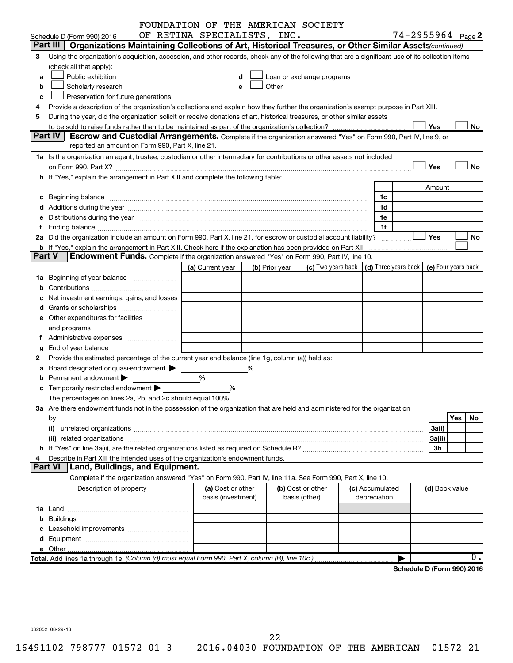|        |                                                                                                                                                                                                                                | FOUNDATION OF THE AMERICAN SOCIETY |                |                                                                                                                                                                                                                               |                 |                            |                     |           |
|--------|--------------------------------------------------------------------------------------------------------------------------------------------------------------------------------------------------------------------------------|------------------------------------|----------------|-------------------------------------------------------------------------------------------------------------------------------------------------------------------------------------------------------------------------------|-----------------|----------------------------|---------------------|-----------|
|        | Schedule D (Form 990) 2016                                                                                                                                                                                                     | OF RETINA SPECIALISTS, INC.        |                |                                                                                                                                                                                                                               |                 | $74 - 2955964$ Page 2      |                     |           |
|        | Part III   Organizations Maintaining Collections of Art, Historical Treasures, or Other Similar Assets (continued)                                                                                                             |                                    |                |                                                                                                                                                                                                                               |                 |                            |                     |           |
| 3      | Using the organization's acquisition, accession, and other records, check any of the following that are a significant use of its collection items<br>(check all that apply):                                                   |                                    |                |                                                                                                                                                                                                                               |                 |                            |                     |           |
| a      | Public exhibition                                                                                                                                                                                                              |                                    |                | Loan or exchange programs                                                                                                                                                                                                     |                 |                            |                     |           |
| b      | Scholarly research                                                                                                                                                                                                             |                                    |                | Other and the contract of the contract of the contract of the contract of the contract of the contract of the contract of the contract of the contract of the contract of the contract of the contract of the contract of the |                 |                            |                     |           |
| c      | Preservation for future generations                                                                                                                                                                                            |                                    |                |                                                                                                                                                                                                                               |                 |                            |                     |           |
|        | Provide a description of the organization's collections and explain how they further the organization's exempt purpose in Part XIII.                                                                                           |                                    |                |                                                                                                                                                                                                                               |                 |                            |                     |           |
| 5      | During the year, did the organization solicit or receive donations of art, historical treasures, or other similar assets                                                                                                       |                                    |                |                                                                                                                                                                                                                               |                 |                            |                     |           |
|        |                                                                                                                                                                                                                                |                                    |                |                                                                                                                                                                                                                               |                 |                            | Yes                 | No        |
|        | Part IV<br><b>Escrow and Custodial Arrangements.</b> Complete if the organization answered "Yes" on Form 990, Part IV, line 9, or                                                                                              |                                    |                |                                                                                                                                                                                                                               |                 |                            |                     |           |
|        | reported an amount on Form 990, Part X, line 21.                                                                                                                                                                               |                                    |                |                                                                                                                                                                                                                               |                 |                            |                     |           |
|        | 1a Is the organization an agent, trustee, custodian or other intermediary for contributions or other assets not included                                                                                                       |                                    |                |                                                                                                                                                                                                                               |                 |                            |                     |           |
|        |                                                                                                                                                                                                                                |                                    |                |                                                                                                                                                                                                                               |                 |                            | Yes                 | <b>No</b> |
|        | b If "Yes," explain the arrangement in Part XIII and complete the following table:                                                                                                                                             |                                    |                |                                                                                                                                                                                                                               |                 |                            |                     |           |
|        |                                                                                                                                                                                                                                |                                    |                |                                                                                                                                                                                                                               |                 |                            |                     |           |
|        |                                                                                                                                                                                                                                |                                    |                |                                                                                                                                                                                                                               |                 |                            | Amount              |           |
|        |                                                                                                                                                                                                                                |                                    |                |                                                                                                                                                                                                                               | 1c              |                            |                     |           |
|        |                                                                                                                                                                                                                                |                                    |                |                                                                                                                                                                                                                               | 1d              |                            |                     |           |
|        | e Distributions during the year manufactured and contain an account of the year manufactured and the year manufactured and the year manufactured and the year manufactured and the year manufactured and the year manufactured |                                    |                |                                                                                                                                                                                                                               | 1e              |                            |                     |           |
|        |                                                                                                                                                                                                                                |                                    |                |                                                                                                                                                                                                                               | 1f              |                            | Yes                 |           |
|        | 2a Did the organization include an amount on Form 990, Part X, line 21, for escrow or custodial account liability?                                                                                                             |                                    |                |                                                                                                                                                                                                                               | .               |                            |                     | No        |
| Part V | <b>b</b> If "Yes," explain the arrangement in Part XIII. Check here if the explanation has been provided on Part XIII<br><b>Endowment Funds.</b> Complete if the organization answered "Yes" on Form 990, Part IV, line 10.    |                                    |                |                                                                                                                                                                                                                               |                 |                            |                     |           |
|        |                                                                                                                                                                                                                                |                                    |                |                                                                                                                                                                                                                               |                 |                            |                     |           |
|        |                                                                                                                                                                                                                                | (a) Current year                   | (b) Prior year | (c) Two years back $\vert$ (d) Three years back $\vert$                                                                                                                                                                       |                 |                            | (e) Four years back |           |
|        |                                                                                                                                                                                                                                |                                    |                |                                                                                                                                                                                                                               |                 |                            |                     |           |
|        |                                                                                                                                                                                                                                |                                    |                |                                                                                                                                                                                                                               |                 |                            |                     |           |
|        | Net investment earnings, gains, and losses                                                                                                                                                                                     |                                    |                |                                                                                                                                                                                                                               |                 |                            |                     |           |
|        |                                                                                                                                                                                                                                |                                    |                |                                                                                                                                                                                                                               |                 |                            |                     |           |
|        | e Other expenditures for facilities                                                                                                                                                                                            |                                    |                |                                                                                                                                                                                                                               |                 |                            |                     |           |
|        |                                                                                                                                                                                                                                |                                    |                |                                                                                                                                                                                                                               |                 |                            |                     |           |
|        | f Administrative expenses                                                                                                                                                                                                      |                                    |                |                                                                                                                                                                                                                               |                 |                            |                     |           |
| g      |                                                                                                                                                                                                                                |                                    |                |                                                                                                                                                                                                                               |                 |                            |                     |           |
|        | Provide the estimated percentage of the current year end balance (line 1g, column (a)) held as:                                                                                                                                |                                    |                |                                                                                                                                                                                                                               |                 |                            |                     |           |
|        | a Board designated or quasi-endowment >                                                                                                                                                                                        |                                    | %              |                                                                                                                                                                                                                               |                 |                            |                     |           |
|        | Permanent endowment                                                                                                                                                                                                            | %                                  |                |                                                                                                                                                                                                                               |                 |                            |                     |           |
|        | c Temporarily restricted endowment $\blacktriangleright$                                                                                                                                                                       | %                                  |                |                                                                                                                                                                                                                               |                 |                            |                     |           |
|        | The percentages on lines 2a, 2b, and 2c should equal 100%.                                                                                                                                                                     |                                    |                |                                                                                                                                                                                                                               |                 |                            |                     |           |
|        | 3a Are there endowment funds not in the possession of the organization that are held and administered for the organization                                                                                                     |                                    |                |                                                                                                                                                                                                                               |                 |                            |                     |           |
|        | by:                                                                                                                                                                                                                            |                                    |                |                                                                                                                                                                                                                               |                 |                            |                     | Yes<br>No |
|        | (i)                                                                                                                                                                                                                            |                                    |                |                                                                                                                                                                                                                               |                 |                            | 3a(i)               |           |
|        |                                                                                                                                                                                                                                |                                    |                |                                                                                                                                                                                                                               |                 |                            | 3a(ii)              |           |
|        |                                                                                                                                                                                                                                |                                    |                |                                                                                                                                                                                                                               |                 |                            | 3b                  |           |
|        | Describe in Part XIII the intended uses of the organization's endowment funds.                                                                                                                                                 |                                    |                |                                                                                                                                                                                                                               |                 |                            |                     |           |
|        | <b>Part VI</b><br>Land, Buildings, and Equipment.                                                                                                                                                                              |                                    |                |                                                                                                                                                                                                                               |                 |                            |                     |           |
|        | Complete if the organization answered "Yes" on Form 990, Part IV, line 11a. See Form 990, Part X, line 10.                                                                                                                     |                                    |                |                                                                                                                                                                                                                               |                 |                            |                     |           |
|        | Description of property                                                                                                                                                                                                        | (a) Cost or other                  |                | (b) Cost or other                                                                                                                                                                                                             | (c) Accumulated |                            | (d) Book value      |           |
|        |                                                                                                                                                                                                                                | basis (investment)                 |                | basis (other)                                                                                                                                                                                                                 | depreciation    |                            |                     |           |
|        |                                                                                                                                                                                                                                |                                    |                |                                                                                                                                                                                                                               |                 |                            |                     |           |
|        |                                                                                                                                                                                                                                |                                    |                |                                                                                                                                                                                                                               |                 |                            |                     |           |
|        |                                                                                                                                                                                                                                |                                    |                |                                                                                                                                                                                                                               |                 |                            |                     |           |
|        |                                                                                                                                                                                                                                |                                    |                |                                                                                                                                                                                                                               |                 |                            |                     |           |
|        |                                                                                                                                                                                                                                |                                    |                |                                                                                                                                                                                                                               |                 |                            |                     |           |
|        | Total. Add lines 1a through 1e. (Column (d) must equal Form 990, Part X, column (B), line 10c.)                                                                                                                                |                                    |                |                                                                                                                                                                                                                               |                 |                            |                     | 0.        |
|        |                                                                                                                                                                                                                                |                                    |                |                                                                                                                                                                                                                               |                 | Schedule D (Form 990) 2016 |                     |           |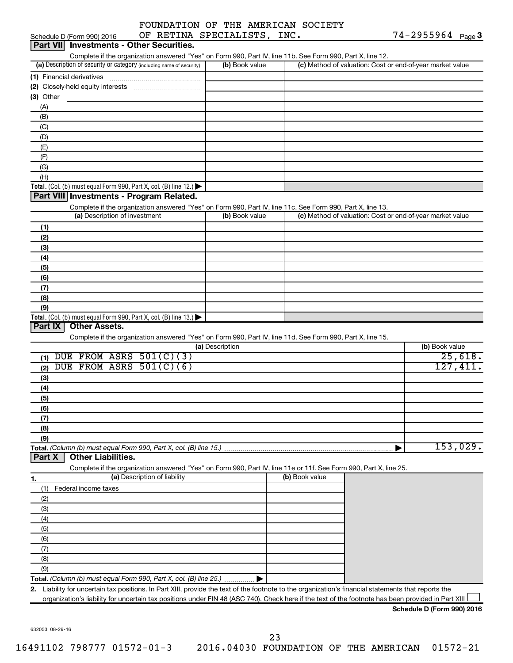| Schedule D (Form 990) 2016                                                                                                                                                         | OF RETINA SPECIALISTS, INC. |                |                                                           | $74 - 2955964$ Page 3      |
|------------------------------------------------------------------------------------------------------------------------------------------------------------------------------------|-----------------------------|----------------|-----------------------------------------------------------|----------------------------|
| <b>Investments - Other Securities.</b><br><b>Part VIII</b>                                                                                                                         |                             |                |                                                           |                            |
| Complete if the organization answered "Yes" on Form 990, Part IV, line 11b. See Form 990, Part X, line 12.<br>(a) Description of security or category (including name of security) | (b) Book value              |                | (c) Method of valuation: Cost or end-of-year market value |                            |
| (1) Financial derivatives                                                                                                                                                          |                             |                |                                                           |                            |
|                                                                                                                                                                                    |                             |                |                                                           |                            |
| $(3)$ Other                                                                                                                                                                        |                             |                |                                                           |                            |
| (A)                                                                                                                                                                                |                             |                |                                                           |                            |
| (B)                                                                                                                                                                                |                             |                |                                                           |                            |
| (C)                                                                                                                                                                                |                             |                |                                                           |                            |
| (D)                                                                                                                                                                                |                             |                |                                                           |                            |
| (E)                                                                                                                                                                                |                             |                |                                                           |                            |
| (F)                                                                                                                                                                                |                             |                |                                                           |                            |
| (G)                                                                                                                                                                                |                             |                |                                                           |                            |
| (H)                                                                                                                                                                                |                             |                |                                                           |                            |
| Total. (Col. (b) must equal Form 990, Part X, col. (B) line 12.)                                                                                                                   |                             |                |                                                           |                            |
| Part VIII Investments - Program Related.                                                                                                                                           |                             |                |                                                           |                            |
| Complete if the organization answered "Yes" on Form 990, Part IV, line 11c. See Form 990, Part X, line 13.                                                                         |                             |                |                                                           |                            |
| (a) Description of investment                                                                                                                                                      | (b) Book value              |                | (c) Method of valuation: Cost or end-of-year market value |                            |
| (1)                                                                                                                                                                                |                             |                |                                                           |                            |
| (2)                                                                                                                                                                                |                             |                |                                                           |                            |
| (3)                                                                                                                                                                                |                             |                |                                                           |                            |
| (4)                                                                                                                                                                                |                             |                |                                                           |                            |
| (5)                                                                                                                                                                                |                             |                |                                                           |                            |
| (6)                                                                                                                                                                                |                             |                |                                                           |                            |
| (7)                                                                                                                                                                                |                             |                |                                                           |                            |
| (8)                                                                                                                                                                                |                             |                |                                                           |                            |
| (9)                                                                                                                                                                                |                             |                |                                                           |                            |
| Total. (Col. (b) must equal Form 990, Part X, col. (B) line 13.)<br>Part IX<br><b>Other Assets.</b>                                                                                |                             |                |                                                           |                            |
| Complete if the organization answered "Yes" on Form 990, Part IV, line 11d. See Form 990, Part X, line 15.                                                                         |                             |                |                                                           |                            |
|                                                                                                                                                                                    | (a) Description             |                |                                                           | (b) Book value             |
| DUE FROM ASRS 501(C)(3)<br>(1)                                                                                                                                                     |                             |                |                                                           | 25,618.                    |
| DUE FROM ASRS 501(C)(6)<br>(2)                                                                                                                                                     |                             |                |                                                           | 127,411.                   |
| (3)                                                                                                                                                                                |                             |                |                                                           |                            |
| (4)                                                                                                                                                                                |                             |                |                                                           |                            |
| (5)                                                                                                                                                                                |                             |                |                                                           |                            |
| (6)                                                                                                                                                                                |                             |                |                                                           |                            |
| (7)                                                                                                                                                                                |                             |                |                                                           |                            |
| (8)                                                                                                                                                                                |                             |                |                                                           |                            |
| (9)                                                                                                                                                                                |                             |                |                                                           |                            |
| Total. (Column (b) must equal Form 990, Part X, col. (B) line 15.)                                                                                                                 |                             |                |                                                           | 153,029.                   |
| <b>Other Liabilities.</b><br>Part X                                                                                                                                                |                             |                |                                                           |                            |
| Complete if the organization answered "Yes" on Form 990, Part IV, line 11e or 11f. See Form 990, Part X, line 25.                                                                  |                             |                |                                                           |                            |
| (a) Description of liability<br>1.                                                                                                                                                 |                             | (b) Book value |                                                           |                            |
| (1)<br>Federal income taxes                                                                                                                                                        |                             |                |                                                           |                            |
| (2)                                                                                                                                                                                |                             |                |                                                           |                            |
| (3)                                                                                                                                                                                |                             |                |                                                           |                            |
| (4)                                                                                                                                                                                |                             |                |                                                           |                            |
| (5)                                                                                                                                                                                |                             |                |                                                           |                            |
| (6)                                                                                                                                                                                |                             |                |                                                           |                            |
| (7)                                                                                                                                                                                |                             |                |                                                           |                            |
| (8)                                                                                                                                                                                |                             |                |                                                           |                            |
| (9)                                                                                                                                                                                |                             |                |                                                           |                            |
| Total. (Column (b) must equal Form 990, Part X, col. (B) line 25.)                                                                                                                 |                             |                |                                                           |                            |
| Liability for uncertain tax positions. In Part XIII, provide the text of the footnote to the organization's financial statements that reports the<br>2.                            |                             |                |                                                           |                            |
| organization's liability for uncertain tax positions under FIN 48 (ASC 740). Check here if the text of the footnote has been provided in Part XIII                                 |                             |                |                                                           |                            |
|                                                                                                                                                                                    |                             |                |                                                           | Schedule D (Form 990) 2016 |

632053 08-29-16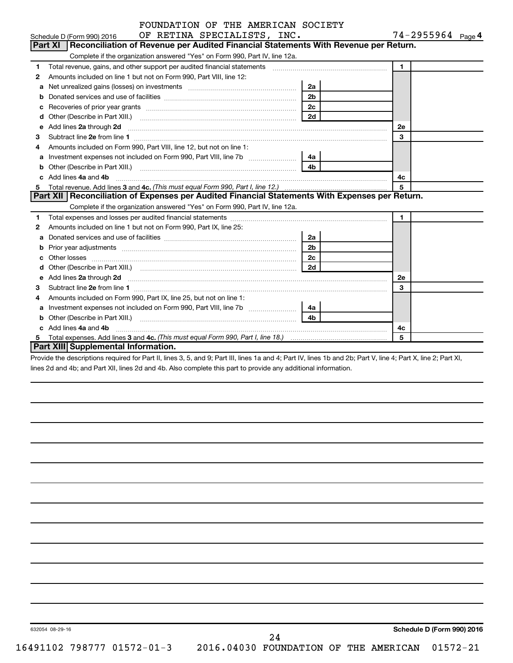|                       |  | FOUNDATION OF THE AMERICAN SOCIETY |  |
|-----------------------|--|------------------------------------|--|
| AR BRAINS ABRAISITAMA |  |                                    |  |

|    | OF RETINA SPECIALISTS, INC.<br>Schedule D (Form 990) 2016                                                                     |                | 74-2955964 Page 4 |
|----|-------------------------------------------------------------------------------------------------------------------------------|----------------|-------------------|
|    | <b>Part XI</b><br>Reconciliation of Revenue per Audited Financial Statements With Revenue per Return.                         |                |                   |
|    | Complete if the organization answered "Yes" on Form 990, Part IV, line 12a.                                                   |                |                   |
| 1. | Total revenue, gains, and other support per audited financial statements [[[[[[[[[[[[[[[[[[[[[[[[]]]]]]]]]]]]                 |                | $\mathbf{1}$      |
| 2  | Amounts included on line 1 but not on Form 990, Part VIII, line 12:                                                           |                |                   |
| a  | Net unrealized gains (losses) on investments [111] [12] matter and all products are not all products and all p                | 2a             |                   |
| b  |                                                                                                                               | 2 <sub>b</sub> |                   |
| c  |                                                                                                                               | 2c             |                   |
| d  | Other (Describe in Part XIII.) [1001] [2010] [2010] [2010] [2010] [2010] [2010] [2010] [2010] [2010] [2010] [                 | 2d             |                   |
| e  | Add lines 2a through 2d                                                                                                       |                | <b>2e</b>         |
| 3  |                                                                                                                               |                | 3                 |
| 4  | Amounts included on Form 990, Part VIII, line 12, but not on line 1:                                                          |                |                   |
| a  | Investment expenses not included on Form 990, Part VIII, line 7b [[[[[[[[[[[[[[[[[[[[[[]]]]]]]                                | 4a             |                   |
| b  |                                                                                                                               | 4b.            |                   |
|    | c Add lines 4a and 4b                                                                                                         |                | 4с                |
| 5. |                                                                                                                               |                | 5                 |
|    | Part XII Reconciliation of Expenses per Audited Financial Statements With Expenses per Return.                                |                |                   |
|    | Complete if the organization answered "Yes" on Form 990, Part IV, line 12a.                                                   |                |                   |
| 1. |                                                                                                                               |                | $\mathbf{1}$      |
| 2  | Amounts included on line 1 but not on Form 990, Part IX, line 25:                                                             |                |                   |
| a  |                                                                                                                               | 2a             |                   |
| b  |                                                                                                                               | 2 <sub>b</sub> |                   |
| c  | Other losses                                                                                                                  | 2c             |                   |
| d  |                                                                                                                               | 2d             |                   |
| e  | Add lines 2a through 2d                                                                                                       |                | 2e                |
| з  | Subtract line 2e from line 1 <b>Manual Community of the Community of the Community Community</b> Subtract line 2e from line 1 |                | 3                 |
| 4  | Amounts included on Form 990, Part IX, line 25, but not on line 1:                                                            |                |                   |
| a  |                                                                                                                               | 4a l           |                   |
| b  | Other (Describe in Part XIII.)                                                                                                | 4 <sub>b</sub> |                   |
|    | c Add lines 4a and 4b                                                                                                         |                | 4c                |
|    | Dout VIII Curricus antel Information                                                                                          |                | 5                 |

#### **Part XIII Supplemental Information.**

Provide the descriptions required for Part II, lines 3, 5, and 9; Part III, lines 1a and 4; Part IV, lines 1b and 2b; Part V, line 4; Part X, line 2; Part XI, lines 2d and 4b; and Part XII, lines 2d and 4b. Also complete this part to provide any additional information.

632054 08-29-16

**Schedule D (Form 990) 2016**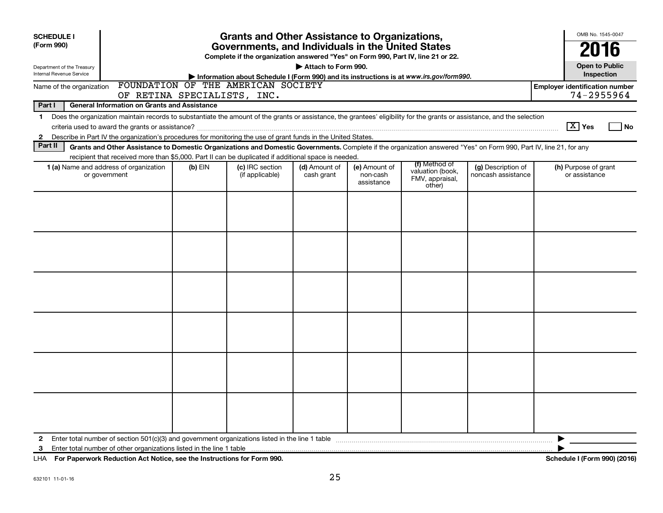| <b>SCHEDULE I</b>                                                                                                                                                                                                                                                                                              |                             | <b>Grants and Other Assistance to Organizations,</b>                                                                                  |                             |                                         |                                                                |                                          | OMB No. 1545-0047                                   |
|----------------------------------------------------------------------------------------------------------------------------------------------------------------------------------------------------------------------------------------------------------------------------------------------------------------|-----------------------------|---------------------------------------------------------------------------------------------------------------------------------------|-----------------------------|-----------------------------------------|----------------------------------------------------------------|------------------------------------------|-----------------------------------------------------|
| (Form 990)                                                                                                                                                                                                                                                                                                     |                             | Governments, and Individuals in the United States<br>Complete if the organization answered "Yes" on Form 990, Part IV, line 21 or 22. |                             |                                         |                                                                |                                          | 2016                                                |
| Department of the Treasury<br>Internal Revenue Service                                                                                                                                                                                                                                                         |                             | Information about Schedule I (Form 990) and its instructions is at www.irs.gov/form990.                                               | Attach to Form 990.         |                                         |                                                                |                                          | <b>Open to Public</b><br>Inspection                 |
| Name of the organization                                                                                                                                                                                                                                                                                       | OF RETINA SPECIALISTS, INC. | FOUNDATION OF THE AMERICAN SOCIETY                                                                                                    |                             |                                         |                                                                |                                          | <b>Employer identification number</b><br>74-2955964 |
| Part I<br><b>General Information on Grants and Assistance</b>                                                                                                                                                                                                                                                  |                             |                                                                                                                                       |                             |                                         |                                                                |                                          |                                                     |
| Does the organization maintain records to substantiate the amount of the grants or assistance, the grantees' eligibility for the grants or assistance, and the selection<br>1<br>Describe in Part IV the organization's procedures for monitoring the use of grant funds in the United States.<br>$\mathbf{2}$ |                             |                                                                                                                                       |                             |                                         |                                                                |                                          | $\boxed{\text{X}}$ Yes<br>  No                      |
| Part II<br>Grants and Other Assistance to Domestic Organizations and Domestic Governments. Complete if the organization answered "Yes" on Form 990, Part IV, line 21, for any                                                                                                                                  |                             |                                                                                                                                       |                             |                                         |                                                                |                                          |                                                     |
| recipient that received more than \$5,000. Part II can be duplicated if additional space is needed.                                                                                                                                                                                                            |                             |                                                                                                                                       |                             |                                         |                                                                |                                          |                                                     |
| 1 (a) Name and address of organization<br>or government                                                                                                                                                                                                                                                        | $(b)$ EIN                   | (c) IRC section<br>(if applicable)                                                                                                    | (d) Amount of<br>cash grant | (e) Amount of<br>non-cash<br>assistance | (f) Method of<br>valuation (book,<br>FMV, appraisal,<br>other) | (g) Description of<br>noncash assistance | (h) Purpose of grant<br>or assistance               |
|                                                                                                                                                                                                                                                                                                                |                             |                                                                                                                                       |                             |                                         |                                                                |                                          |                                                     |
|                                                                                                                                                                                                                                                                                                                |                             |                                                                                                                                       |                             |                                         |                                                                |                                          |                                                     |
|                                                                                                                                                                                                                                                                                                                |                             |                                                                                                                                       |                             |                                         |                                                                |                                          |                                                     |
|                                                                                                                                                                                                                                                                                                                |                             |                                                                                                                                       |                             |                                         |                                                                |                                          |                                                     |
|                                                                                                                                                                                                                                                                                                                |                             |                                                                                                                                       |                             |                                         |                                                                |                                          |                                                     |
|                                                                                                                                                                                                                                                                                                                |                             |                                                                                                                                       |                             |                                         |                                                                |                                          |                                                     |
| $\mathbf{2}$<br>Enter total number of other organizations listed in the line 1 table manufactured content total number of other organizations listed in the line 1 table<br>3                                                                                                                                  |                             |                                                                                                                                       |                             |                                         |                                                                |                                          | ▶                                                   |

**For Paperwork Reduction Act Notice, see the Instructions for Form 990. Schedule I (Form 990) (2016)** LHA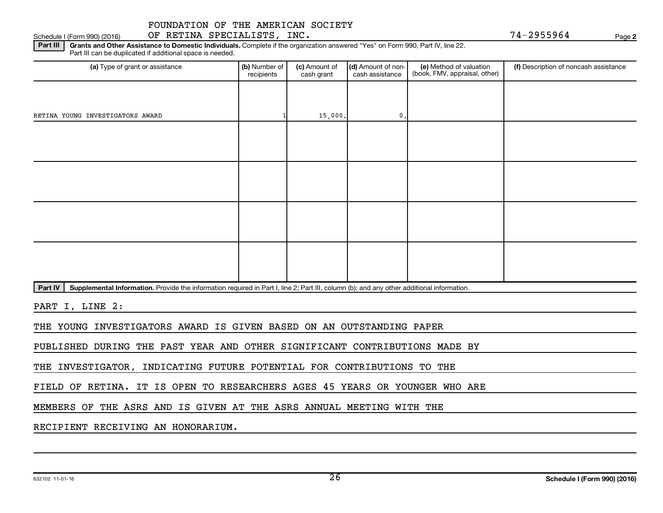Schedule I (Form 990) (2016) OF RETINA SPECIALISTS,INC. Page

**2**

Part III | Grants and Other Assistance to Domestic Individuals. Complete if the organization answered "Yes" on Form 990, Part IV, line 22. Part III can be duplicated if additional space is needed.

| (a) Type of grant or assistance                                                                                                                      | (b) Number of<br>recipients | (c) Amount of<br>cash grant | (d) Amount of non-<br>cash assistance | (e) Method of valuation<br>(book, FMV, appraisal, other) | (f) Description of noncash assistance |
|------------------------------------------------------------------------------------------------------------------------------------------------------|-----------------------------|-----------------------------|---------------------------------------|----------------------------------------------------------|---------------------------------------|
|                                                                                                                                                      |                             |                             |                                       |                                                          |                                       |
| RETINA YOUNG INVESTIGATORS AWARD                                                                                                                     |                             | 15,000.                     | $\mathbf{0}$ .                        |                                                          |                                       |
|                                                                                                                                                      |                             |                             |                                       |                                                          |                                       |
|                                                                                                                                                      |                             |                             |                                       |                                                          |                                       |
|                                                                                                                                                      |                             |                             |                                       |                                                          |                                       |
|                                                                                                                                                      |                             |                             |                                       |                                                          |                                       |
|                                                                                                                                                      |                             |                             |                                       |                                                          |                                       |
|                                                                                                                                                      |                             |                             |                                       |                                                          |                                       |
|                                                                                                                                                      |                             |                             |                                       |                                                          |                                       |
|                                                                                                                                                      |                             |                             |                                       |                                                          |                                       |
| Part IV<br>Supplemental Information. Provide the information required in Part I, line 2; Part III, column (b); and any other additional information. |                             |                             |                                       |                                                          |                                       |

PART I, LINE 2:

THE YOUNG INVESTIGATORS AWARD IS GIVEN BASED ON AN OUTSTANDING PAPER

PUBLISHED DURING THE PAST YEAR AND OTHER SIGNIFICANT CONTRIBUTIONS MADE BY

THE INVESTIGATOR, INDICATING FUTURE POTENTIAL FOR CONTRIBUTIONS TO THE

FIELD OF RETINA. IT IS OPEN TO RESEARCHERS AGES 45 YEARS OR YOUNGER WHO ARE

MEMBERS OF THE ASRS AND IS GIVEN AT THE ASRS ANNUAL MEETING WITH THE

RECIPIENT RECEIVING AN HONORARIUM.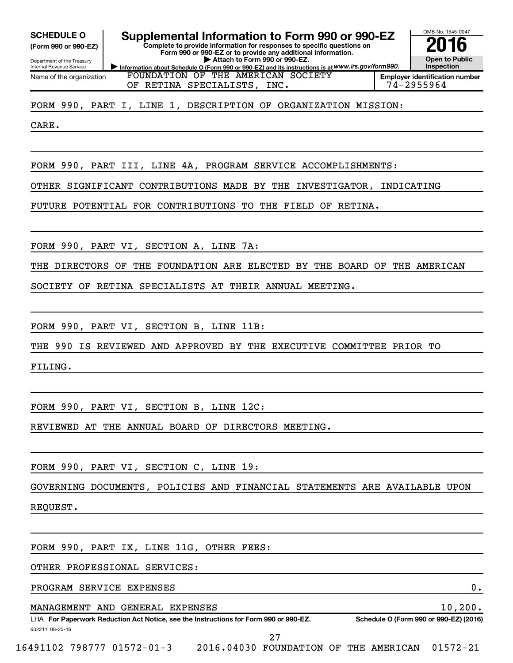**(Form 990 or 990-EZ)**

Department of the Treasury Internal Revenue Service Name of the organization

**SCHEDULE O Supplemental Information to Form 990 or 990-EZ 2016**

**Complete to provide information for responses to specific questions on Form 990 or 990-EZ or to provide any additional information. | Attach to Form 990 or 990-EZ.**

**Information about Schedule O (Form 990 or 990-EZ) and its instructions is at WWW.irs.gov/form990.** FOUNDATION OF THE AMERICAN SOCIETY OF RETINA SPECIALISTS, INC.  $\vert$  74-2955964

OMB No. 1545-0047 **Open to Public Inspection**

**Employer identification number**

FORM 990, PART I, LINE 1, DESCRIPTION OF ORGANIZATION MISSION:

CARE.

FORM 990, PART III, LINE 4A, PROGRAM SERVICE ACCOMPLISHMENTS:

OTHER SIGNIFICANT CONTRIBUTIONS MADE BY THE INVESTIGATOR, INDICATING

FUTURE POTENTIAL FOR CONTRIBUTIONS TO THE FIELD OF RETINA.

FORM 990, PART VI, SECTION A, LINE 7A:

THE DIRECTORS OF THE FOUNDATION ARE ELECTED BY THE BOARD OF THE AMERICAN

SOCIETY OF RETINA SPECIALISTS AT THEIR ANNUAL MEETING.

FORM 990, PART VI, SECTION B, LINE 11B:

THE 990 IS REVIEWED AND APPROVED BY THE EXECUTIVE COMMITTEE PRIOR TO

FILING.

FORM 990, PART VI, SECTION B, LINE 12C:

REVIEWED AT THE ANNUAL BOARD OF DIRECTORS MEETING.

FORM 990, PART VI, SECTION C, LINE 19:

GOVERNING DOCUMENTS, POLICIES AND FINANCIAL STATEMENTS ARE AVAILABLE UPON

REQUEST.

FORM 990, PART IX, LINE 11G, OTHER FEES:

OTHER PROFESSIONAL SERVICES:

PROGRAM SERVICE EXPENSES **0.** 

MANAGEMENT AND GENERAL EXPENSES 10,200.

632211 08-25-16 LHA For Paperwork Reduction Act Notice, see the Instructions for Form 990 or 990-EZ. Schedule O (Form 990 or 990-EZ) (2016)

27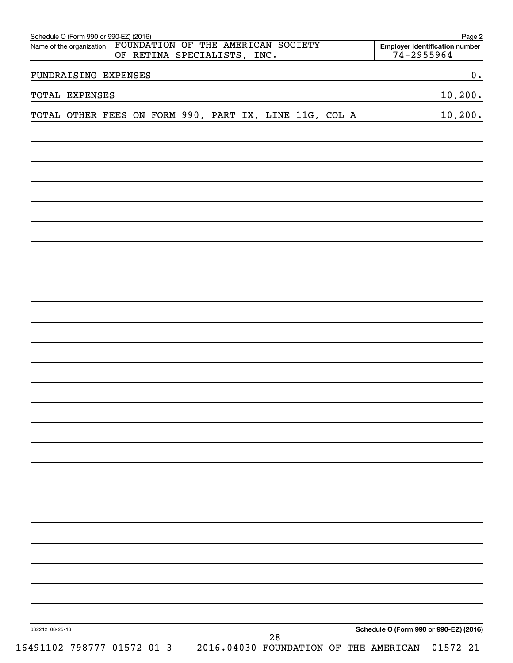|                 | Schedule O (Form 990 or 990-EZ) (2016)<br>Name of the organization |  | OF RETINA SPECIALISTS, INC. |  | FOUNDATION OF THE AMERICAN SOCIETY                                         |  | 74-2955964                             | Page 2<br><b>Employer identification number</b> |
|-----------------|--------------------------------------------------------------------|--|-----------------------------|--|----------------------------------------------------------------------------|--|----------------------------------------|-------------------------------------------------|
|                 | FUNDRAISING EXPENSES                                               |  |                             |  |                                                                            |  |                                        | 0.                                              |
|                 | TOTAL EXPENSES                                                     |  |                             |  | the control of the control of the control of the control of the control of |  |                                        | 10, 200.                                        |
|                 | TOTAL OTHER FEES ON FORM 990, PART IX, LINE 11G, COL A             |  |                             |  |                                                                            |  |                                        | 10, 200.                                        |
|                 |                                                                    |  |                             |  |                                                                            |  |                                        |                                                 |
|                 |                                                                    |  |                             |  |                                                                            |  |                                        |                                                 |
|                 |                                                                    |  |                             |  |                                                                            |  |                                        |                                                 |
|                 |                                                                    |  |                             |  |                                                                            |  |                                        |                                                 |
|                 |                                                                    |  |                             |  |                                                                            |  |                                        |                                                 |
|                 |                                                                    |  |                             |  |                                                                            |  |                                        |                                                 |
|                 |                                                                    |  |                             |  |                                                                            |  |                                        |                                                 |
|                 |                                                                    |  |                             |  |                                                                            |  |                                        |                                                 |
|                 |                                                                    |  |                             |  |                                                                            |  |                                        |                                                 |
|                 |                                                                    |  |                             |  |                                                                            |  |                                        |                                                 |
|                 |                                                                    |  |                             |  |                                                                            |  |                                        |                                                 |
|                 |                                                                    |  |                             |  |                                                                            |  |                                        |                                                 |
|                 |                                                                    |  |                             |  |                                                                            |  |                                        |                                                 |
|                 |                                                                    |  |                             |  |                                                                            |  |                                        |                                                 |
|                 |                                                                    |  |                             |  |                                                                            |  |                                        |                                                 |
|                 |                                                                    |  |                             |  |                                                                            |  |                                        |                                                 |
|                 |                                                                    |  |                             |  |                                                                            |  |                                        |                                                 |
|                 |                                                                    |  |                             |  |                                                                            |  |                                        |                                                 |
|                 |                                                                    |  |                             |  |                                                                            |  |                                        |                                                 |
|                 |                                                                    |  |                             |  |                                                                            |  |                                        |                                                 |
|                 |                                                                    |  |                             |  |                                                                            |  |                                        |                                                 |
|                 |                                                                    |  |                             |  |                                                                            |  |                                        |                                                 |
|                 |                                                                    |  |                             |  |                                                                            |  |                                        |                                                 |
|                 |                                                                    |  |                             |  |                                                                            |  |                                        |                                                 |
|                 |                                                                    |  |                             |  |                                                                            |  |                                        |                                                 |
|                 |                                                                    |  |                             |  |                                                                            |  |                                        |                                                 |
| 632212 08-25-16 |                                                                    |  |                             |  |                                                                            |  | Schedule O (Form 990 or 990-EZ) (2016) |                                                 |
|                 | 16491102 798777 01572-01-3                                         |  |                             |  | 28                                                                         |  | 2016.04030 FOUNDATION OF THE AMERICAN  | $01572 - 21$                                    |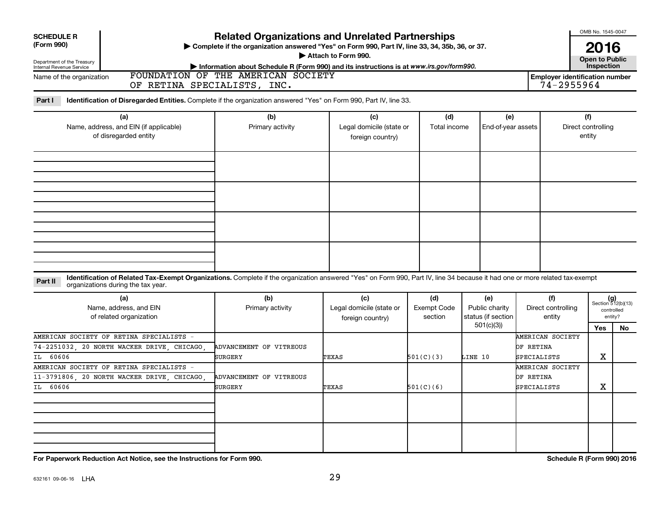| <b>SCHEDULE R</b>                                               |                                                                                                                                                                                                                   | <b>Related Organizations and Unrelated Partnerships</b>                                          |                                              |                        |                                      |                                 | OMB No. 1545-0047                                   |                             |
|-----------------------------------------------------------------|-------------------------------------------------------------------------------------------------------------------------------------------------------------------------------------------------------------------|--------------------------------------------------------------------------------------------------|----------------------------------------------|------------------------|--------------------------------------|---------------------------------|-----------------------------------------------------|-----------------------------|
| (Form 990)                                                      |                                                                                                                                                                                                                   | > Complete if the organization answered "Yes" on Form 990, Part IV, line 33, 34, 35b, 36, or 37. | Attach to Form 990.                          |                        |                                      |                                 | 2016                                                |                             |
| Department of the Treasury<br>Internal Revenue Service          |                                                                                                                                                                                                                   | Information about Schedule R (Form 990) and its instructions is at www.irs.gov/form990.          |                                              |                        |                                      |                                 | <b>Open to Public</b><br>Inspection                 |                             |
| Name of the organization                                        | OF RETINA SPECIALISTS, INC.                                                                                                                                                                                       | FOUNDATION OF THE AMERICAN SOCIETY                                                               |                                              |                        |                                      |                                 | <b>Employer identification number</b><br>74-2955964 |                             |
| Part I                                                          | Identification of Disregarded Entities. Complete if the organization answered "Yes" on Form 990, Part IV, line 33.                                                                                                |                                                                                                  |                                              |                        |                                      |                                 |                                                     |                             |
|                                                                 | (a)                                                                                                                                                                                                               | (b)                                                                                              | (c)                                          | (d)                    | (e)                                  |                                 | (f)                                                 |                             |
| Name, address, and EIN (if applicable)<br>of disregarded entity |                                                                                                                                                                                                                   | Primary activity                                                                                 | Legal domicile (state or<br>foreign country) | Total income           | End-of-year assets                   |                                 | Direct controlling<br>entity                        |                             |
|                                                                 |                                                                                                                                                                                                                   |                                                                                                  |                                              |                        |                                      |                                 |                                                     |                             |
|                                                                 |                                                                                                                                                                                                                   |                                                                                                  |                                              |                        |                                      |                                 |                                                     |                             |
|                                                                 |                                                                                                                                                                                                                   |                                                                                                  |                                              |                        |                                      |                                 |                                                     |                             |
|                                                                 |                                                                                                                                                                                                                   |                                                                                                  |                                              |                        |                                      |                                 |                                                     |                             |
|                                                                 |                                                                                                                                                                                                                   |                                                                                                  |                                              |                        |                                      |                                 |                                                     |                             |
| Part II                                                         | Identification of Related Tax-Exempt Organizations. Complete if the organization answered "Yes" on Form 990, Part IV, line 34 because it had one or more related tax-exempt<br>organizations during the tax year. |                                                                                                  |                                              |                        |                                      |                                 |                                                     |                             |
|                                                                 | (a)                                                                                                                                                                                                               | (b)                                                                                              | (c)                                          | (d)                    | (e)                                  | (f)                             |                                                     | $(g)$<br>Section 512(b)(13) |
|                                                                 | Name, address, and EIN<br>of related organization                                                                                                                                                                 | Primary activity                                                                                 | Legal domicile (state or<br>foreign country) | Exempt Code<br>section | Public charity<br>status (if section | Direct controlling<br>entity    |                                                     | controlled<br>entity?       |
|                                                                 |                                                                                                                                                                                                                   |                                                                                                  |                                              |                        | 501(c)(3)                            |                                 | Yes                                                 | No                          |
|                                                                 | AMERICAN SOCIETY OF RETINA SPECIALISTS -                                                                                                                                                                          |                                                                                                  |                                              |                        |                                      | AMERICAN SOCIETY                |                                                     |                             |
|                                                                 | 74-2251032, 20 NORTH WACKER DRIVE, CHICAGO,                                                                                                                                                                       | ADVANCEMENT OF VITREOUS                                                                          |                                              |                        |                                      | OF RETINA                       |                                                     |                             |
| 60606<br>IL                                                     | AMERICAN SOCIETY OF RETINA SPECIALISTS -                                                                                                                                                                          | SURGERY                                                                                          | TEXAS                                        | 501(C)(3)              | LINE 10                              | SPECIALISTS<br>AMERICAN SOCIETY | х                                                   |                             |
|                                                                 | 11-3791806, 20 NORTH WACKER DRIVE, CHICAGO,                                                                                                                                                                       | ADVANCEMENT OF VITREOUS                                                                          |                                              |                        |                                      | OF RETINA                       |                                                     |                             |
| 60606<br>IL                                                     |                                                                                                                                                                                                                   | SURGERY                                                                                          | TEXAS                                        | 501(C)(6)              |                                      | SPECIALISTS                     | х                                                   |                             |
|                                                                 |                                                                                                                                                                                                                   |                                                                                                  |                                              |                        |                                      |                                 |                                                     |                             |
|                                                                 |                                                                                                                                                                                                                   |                                                                                                  |                                              |                        |                                      |                                 |                                                     |                             |
|                                                                 |                                                                                                                                                                                                                   |                                                                                                  |                                              |                        |                                      |                                 |                                                     |                             |
|                                                                 |                                                                                                                                                                                                                   |                                                                                                  |                                              |                        |                                      |                                 |                                                     |                             |
|                                                                 | For Paperwork Reduction Act Notice, see the Instructions for Form 990.                                                                                                                                            |                                                                                                  |                                              |                        |                                      |                                 | Schedule R (Form 990) 2016                          |                             |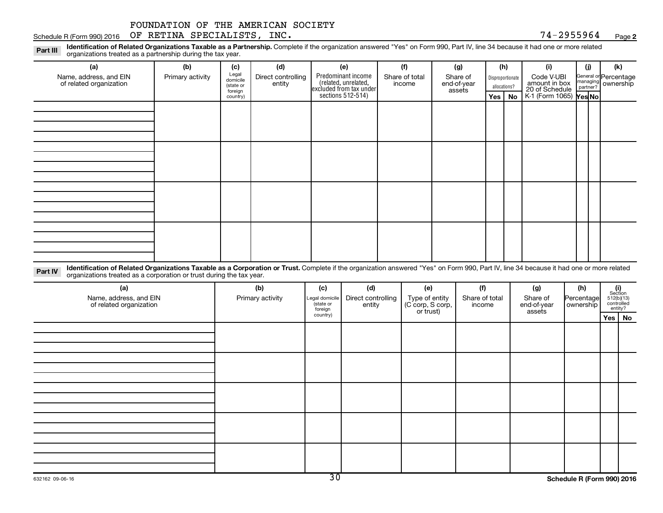**2** Schedule R (Form 990) 2016  $\,$  OF RETINA SPECIALISTS, INC.  $\,$   $\,$ 

Part III Identification of Related Organizations Taxable as a Partnership. Complete if the organization answered "Yes" on Form 990, Part IV, line 34 because it had one or more related<br>Read to the organizations tracted as a organizations treated as a partnership during the tax year.

| (a)                                                                                                                                                                                 | (b)              | (c)                                       | (d)                          | (e)                                                                   | (f)                      | (g)                               | (h)                              | (i)                                           | (j) | (k)                                         |
|-------------------------------------------------------------------------------------------------------------------------------------------------------------------------------------|------------------|-------------------------------------------|------------------------------|-----------------------------------------------------------------------|--------------------------|-----------------------------------|----------------------------------|-----------------------------------------------|-----|---------------------------------------------|
| Name, address, and EIN<br>of related organization                                                                                                                                   | Primary activity | Legal<br>domicile<br>(state or<br>foreign | Direct controlling<br>entity | Predominant income<br>(related, unrelated,<br>excluded from tax under | Share of total<br>income | Share of<br>end-of-year<br>assets | Disproportionate<br>allocations? | Code V-UBI<br>amount in box<br>20 of Schedule |     | General or Percentage<br>managing ownership |
|                                                                                                                                                                                     |                  | country)                                  |                              | sections 512-514)                                                     |                          |                                   | Yes   No                         | K-1 (Form 1065) Yes No                        |     |                                             |
|                                                                                                                                                                                     |                  |                                           |                              |                                                                       |                          |                                   |                                  |                                               |     |                                             |
|                                                                                                                                                                                     |                  |                                           |                              |                                                                       |                          |                                   |                                  |                                               |     |                                             |
|                                                                                                                                                                                     |                  |                                           |                              |                                                                       |                          |                                   |                                  |                                               |     |                                             |
|                                                                                                                                                                                     |                  |                                           |                              |                                                                       |                          |                                   |                                  |                                               |     |                                             |
|                                                                                                                                                                                     |                  |                                           |                              |                                                                       |                          |                                   |                                  |                                               |     |                                             |
|                                                                                                                                                                                     |                  |                                           |                              |                                                                       |                          |                                   |                                  |                                               |     |                                             |
|                                                                                                                                                                                     |                  |                                           |                              |                                                                       |                          |                                   |                                  |                                               |     |                                             |
|                                                                                                                                                                                     |                  |                                           |                              |                                                                       |                          |                                   |                                  |                                               |     |                                             |
|                                                                                                                                                                                     |                  |                                           |                              |                                                                       |                          |                                   |                                  |                                               |     |                                             |
|                                                                                                                                                                                     |                  |                                           |                              |                                                                       |                          |                                   |                                  |                                               |     |                                             |
|                                                                                                                                                                                     |                  |                                           |                              |                                                                       |                          |                                   |                                  |                                               |     |                                             |
|                                                                                                                                                                                     |                  |                                           |                              |                                                                       |                          |                                   |                                  |                                               |     |                                             |
|                                                                                                                                                                                     |                  |                                           |                              |                                                                       |                          |                                   |                                  |                                               |     |                                             |
|                                                                                                                                                                                     |                  |                                           |                              |                                                                       |                          |                                   |                                  |                                               |     |                                             |
|                                                                                                                                                                                     |                  |                                           |                              |                                                                       |                          |                                   |                                  |                                               |     |                                             |
|                                                                                                                                                                                     |                  |                                           |                              |                                                                       |                          |                                   |                                  |                                               |     |                                             |
| Identification of Polated Organizations Tovable as a Corporation or Trust Complete if the examization enquand "Vee" on Ferm 000, Dert IV line 24 because it had one or mars related |                  |                                           |                              |                                                                       |                          |                                   |                                  |                                               |     |                                             |

Part IV Identification of Related Organizations Taxable as a Corporation or Trust. Complete if the organization answered "Yes" on Form 990, Part IV, line 34 because it had one or more related<br>Complete intervals are accompa organizations treated as a corporation or trust during the tax year.

| (a)<br>Name, address, and EIN<br>of related organization | (b)<br>Primary activity | (c)<br>Legal domicile<br>state or<br>foreign | (d)<br>Direct controlling<br>entity | (e)<br>Type of entity<br>(C corp, S corp,<br>or trust) | (f)<br>Share of total<br>income | (g)<br>Share of<br>end-of-year<br>assets | (h)<br>Percentage<br>ownership | $(i)$<br>Section<br>512(b)(13)<br>controlled<br>entity? |
|----------------------------------------------------------|-------------------------|----------------------------------------------|-------------------------------------|--------------------------------------------------------|---------------------------------|------------------------------------------|--------------------------------|---------------------------------------------------------|
|                                                          |                         | country)                                     |                                     |                                                        |                                 |                                          |                                | Yes   No                                                |
|                                                          |                         |                                              |                                     |                                                        |                                 |                                          |                                |                                                         |
|                                                          |                         |                                              |                                     |                                                        |                                 |                                          |                                |                                                         |
|                                                          |                         |                                              |                                     |                                                        |                                 |                                          |                                |                                                         |
|                                                          |                         |                                              |                                     |                                                        |                                 |                                          |                                |                                                         |
|                                                          |                         |                                              |                                     |                                                        |                                 |                                          |                                |                                                         |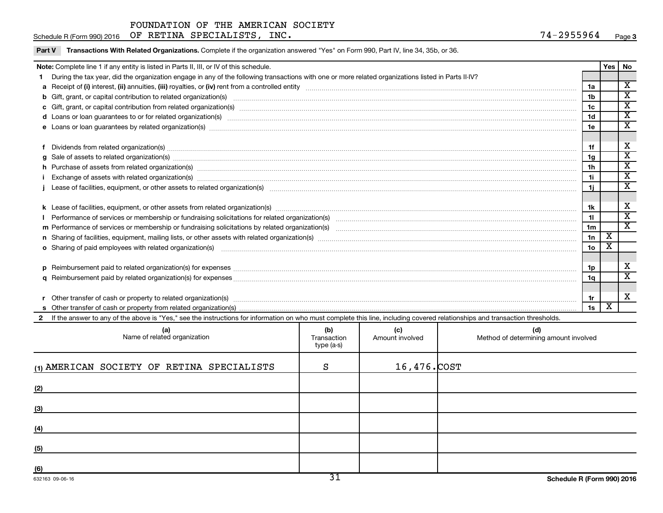Part V Transactions With Related Organizations. Complete if the organization answered "Yes" on Form 990, Part IV, line 34, 35b, or 36.

|                                                                                                                                                                                                                                | Note: Complete line 1 if any entity is listed in Parts II, III, or IV of this schedule.                                                                                                                                                                                        |                    |                        |                                              |                 | <b>Yes</b>              | No                      |  |  |  |
|--------------------------------------------------------------------------------------------------------------------------------------------------------------------------------------------------------------------------------|--------------------------------------------------------------------------------------------------------------------------------------------------------------------------------------------------------------------------------------------------------------------------------|--------------------|------------------------|----------------------------------------------|-----------------|-------------------------|-------------------------|--|--|--|
|                                                                                                                                                                                                                                | During the tax year, did the organization engage in any of the following transactions with one or more related organizations listed in Parts II-IV?                                                                                                                            |                    |                        |                                              |                 |                         |                         |  |  |  |
|                                                                                                                                                                                                                                |                                                                                                                                                                                                                                                                                |                    |                        |                                              |                 |                         |                         |  |  |  |
|                                                                                                                                                                                                                                | b Gift, grant, or capital contribution to related organization(s) manufactured content and content of the contribution to related organization(s) manufactured content and content of the content of the content of the conten                                                 |                    |                        |                                              |                 |                         |                         |  |  |  |
|                                                                                                                                                                                                                                |                                                                                                                                                                                                                                                                                |                    |                        |                                              |                 |                         |                         |  |  |  |
| d Loans or loan guarantees to or for related organization(s) www.communically.com/www.communically.com/www.communically.com/www.communically.com/www.communically.com/www.communically.com/www.communically.com/www.communical |                                                                                                                                                                                                                                                                                |                    |                        |                                              |                 |                         |                         |  |  |  |
| e Loans or loan guarantees by related organization(s) manufaction(s) and contain an accountant contained and contained and contained and contained and contained and contained and contained and contained and contained and c |                                                                                                                                                                                                                                                                                |                    |                        |                                              |                 |                         |                         |  |  |  |
|                                                                                                                                                                                                                                |                                                                                                                                                                                                                                                                                |                    |                        |                                              | 1e              |                         | $\overline{\texttt{x}}$ |  |  |  |
|                                                                                                                                                                                                                                | Dividends from related organization(s) manufactured and contract and contract or contract and contract and contract and contract and contract and contract and contract and contract and contract and contract and contract an                                                 |                    |                        |                                              | 1f              |                         | X                       |  |  |  |
|                                                                                                                                                                                                                                | $g$ Sale of assets to related organization(s) $\ldots$ $\ldots$ $\ldots$ $\ldots$ $\ldots$ $\ldots$ $\ldots$ $\ldots$ $\ldots$ $\ldots$ $\ldots$ $\ldots$ $\ldots$ $\ldots$ $\ldots$ $\ldots$ $\ldots$ $\ldots$ $\ldots$ $\ldots$ $\ldots$ $\ldots$ $\ldots$ $\ldots$ $\ldots$ |                    |                        |                                              | 1g              |                         | $\overline{\texttt{x}}$ |  |  |  |
|                                                                                                                                                                                                                                |                                                                                                                                                                                                                                                                                |                    |                        |                                              | 1 <sub>h</sub>  |                         | $\overline{\textbf{x}}$ |  |  |  |
|                                                                                                                                                                                                                                | Exchange of assets with related organization(s) manufactured and content to the content of the content of the content of the content of the content of the content of the content of the content of the content of the content                                                 |                    |                        |                                              |                 |                         |                         |  |  |  |
|                                                                                                                                                                                                                                |                                                                                                                                                                                                                                                                                |                    |                        |                                              |                 |                         |                         |  |  |  |
|                                                                                                                                                                                                                                |                                                                                                                                                                                                                                                                                |                    |                        |                                              | 1j.             |                         |                         |  |  |  |
|                                                                                                                                                                                                                                |                                                                                                                                                                                                                                                                                |                    |                        |                                              |                 |                         |                         |  |  |  |
|                                                                                                                                                                                                                                |                                                                                                                                                                                                                                                                                |                    |                        |                                              | 11              |                         | $\overline{\mathtt{x}}$ |  |  |  |
|                                                                                                                                                                                                                                |                                                                                                                                                                                                                                                                                |                    |                        |                                              | 1 <sub>m</sub>  |                         | $\overline{\mathbf{x}}$ |  |  |  |
|                                                                                                                                                                                                                                |                                                                                                                                                                                                                                                                                |                    |                        |                                              | 1n              | X                       |                         |  |  |  |
|                                                                                                                                                                                                                                | o Sharing of paid employees with related organization(s) manufactured and content to the starting of paid employees with related organization(s) manufactured and an expectation of the starting of paid employees with relate                                                 |                    |                        |                                              | 10 <sub>o</sub> | $\overline{\textbf{x}}$ |                         |  |  |  |
|                                                                                                                                                                                                                                |                                                                                                                                                                                                                                                                                |                    |                        |                                              |                 |                         |                         |  |  |  |
|                                                                                                                                                                                                                                |                                                                                                                                                                                                                                                                                |                    |                        |                                              | 1p.             |                         | х                       |  |  |  |
|                                                                                                                                                                                                                                |                                                                                                                                                                                                                                                                                |                    |                        |                                              | 1q              |                         | $\overline{\texttt{x}}$ |  |  |  |
|                                                                                                                                                                                                                                |                                                                                                                                                                                                                                                                                |                    |                        |                                              |                 |                         |                         |  |  |  |
|                                                                                                                                                                                                                                |                                                                                                                                                                                                                                                                                |                    |                        |                                              | 1r              |                         | x                       |  |  |  |
|                                                                                                                                                                                                                                |                                                                                                                                                                                                                                                                                |                    |                        |                                              | 1s              | $\overline{\mathbf{X}}$ |                         |  |  |  |
|                                                                                                                                                                                                                                | 2 If the answer to any of the above is "Yes," see the instructions for information on who must complete this line, including covered relationships and transaction thresholds.                                                                                                 |                    |                        |                                              |                 |                         |                         |  |  |  |
|                                                                                                                                                                                                                                | (a)<br>Name of related organization                                                                                                                                                                                                                                            | (b)<br>Transaction | (c)<br>Amount involved | (d)<br>Method of determining amount involved |                 |                         |                         |  |  |  |

| (a)<br>Name of related organization        | (b)<br>Transaction<br>type (a-s) | (c)<br>Amount involved | (d)<br>Method of determining amount involved |
|--------------------------------------------|----------------------------------|------------------------|----------------------------------------------|
| (1) AMERICAN SOCIETY OF RETINA SPECIALISTS | S                                | 16,476.COST            |                                              |
| (2)                                        |                                  |                        |                                              |
| (3)                                        |                                  |                        |                                              |
| (4)                                        |                                  |                        |                                              |
| (5)                                        |                                  |                        |                                              |
| (6)                                        | $\overline{\phantom{a}}$         |                        |                                              |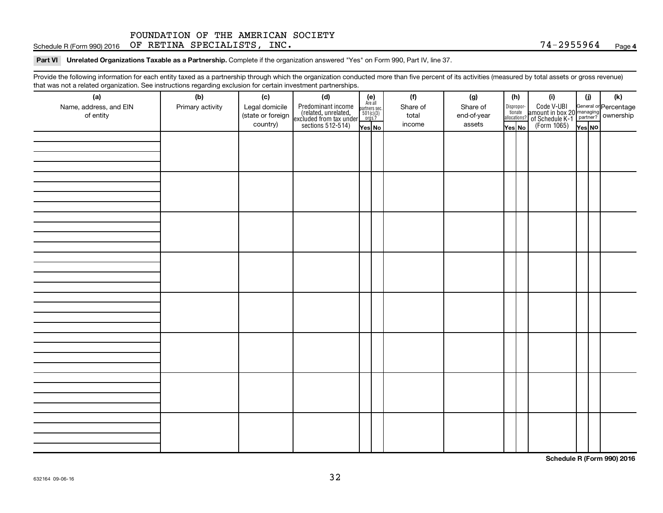Schedule R (Form 990) 2016  $\,$  OF RETINA SPECIALISTS, INC.  $\,$   $\,$ 

Part VI Unrelated Organizations Taxable as a Partnership. Complete if the organization answered "Yes" on Form 990, Part IV, line 37.

Provide the following information for each entity taxed as a partnership through which the organization conducted more than five percent of its activities (measured by total assets or gross revenue) that was not a related organization. See instructions regarding exclusion for certain investment partnerships.

| that was not a related erganization. Occ includitions regarding exclusion for cortain investment partnerships.<br>(a) | (b)              | (c)               | (d)                                                                                        |                                                            |  | (f)      | (g)         |                                       | (h) | (i)                                                                            | (i)    | (k) |
|-----------------------------------------------------------------------------------------------------------------------|------------------|-------------------|--------------------------------------------------------------------------------------------|------------------------------------------------------------|--|----------|-------------|---------------------------------------|-----|--------------------------------------------------------------------------------|--------|-----|
| Name, address, and EIN                                                                                                | Primary activity | Legal domicile    |                                                                                            | $(e)$<br>Are all<br>partners sec.<br>$501(c)(3)$<br>orgs.? |  | Share of | Share of    |                                       |     |                                                                                |        |     |
| of entity                                                                                                             |                  | (state or foreign |                                                                                            |                                                            |  | total    | end-of-year | Dispropor-<br>tionate<br>allocations? |     | Code V-UBI<br>amount in box 20 managing<br>Percentage<br>(Form 1065)<br>Tes No |        |     |
|                                                                                                                       |                  | country)          | Predominant income<br>(related, unrelated,<br>excluded from tax under<br>sections 512-514) | Yes No                                                     |  | income   | assets      | Yes No                                |     |                                                                                | Yes NO |     |
|                                                                                                                       |                  |                   |                                                                                            |                                                            |  |          |             |                                       |     |                                                                                |        |     |
|                                                                                                                       |                  |                   |                                                                                            |                                                            |  |          |             |                                       |     |                                                                                |        |     |
|                                                                                                                       |                  |                   |                                                                                            |                                                            |  |          |             |                                       |     |                                                                                |        |     |
|                                                                                                                       |                  |                   |                                                                                            |                                                            |  |          |             |                                       |     |                                                                                |        |     |
|                                                                                                                       |                  |                   |                                                                                            |                                                            |  |          |             |                                       |     |                                                                                |        |     |
|                                                                                                                       |                  |                   |                                                                                            |                                                            |  |          |             |                                       |     |                                                                                |        |     |
|                                                                                                                       |                  |                   |                                                                                            |                                                            |  |          |             |                                       |     |                                                                                |        |     |
|                                                                                                                       |                  |                   |                                                                                            |                                                            |  |          |             |                                       |     |                                                                                |        |     |
|                                                                                                                       |                  |                   |                                                                                            |                                                            |  |          |             |                                       |     |                                                                                |        |     |
|                                                                                                                       |                  |                   |                                                                                            |                                                            |  |          |             |                                       |     |                                                                                |        |     |
|                                                                                                                       |                  |                   |                                                                                            |                                                            |  |          |             |                                       |     |                                                                                |        |     |
|                                                                                                                       |                  |                   |                                                                                            |                                                            |  |          |             |                                       |     |                                                                                |        |     |
|                                                                                                                       |                  |                   |                                                                                            |                                                            |  |          |             |                                       |     |                                                                                |        |     |
|                                                                                                                       |                  |                   |                                                                                            |                                                            |  |          |             |                                       |     |                                                                                |        |     |
|                                                                                                                       |                  |                   |                                                                                            |                                                            |  |          |             |                                       |     |                                                                                |        |     |
|                                                                                                                       |                  |                   |                                                                                            |                                                            |  |          |             |                                       |     |                                                                                |        |     |
|                                                                                                                       |                  |                   |                                                                                            |                                                            |  |          |             |                                       |     |                                                                                |        |     |
|                                                                                                                       |                  |                   |                                                                                            |                                                            |  |          |             |                                       |     |                                                                                |        |     |
|                                                                                                                       |                  |                   |                                                                                            |                                                            |  |          |             |                                       |     |                                                                                |        |     |
|                                                                                                                       |                  |                   |                                                                                            |                                                            |  |          |             |                                       |     |                                                                                |        |     |
|                                                                                                                       |                  |                   |                                                                                            |                                                            |  |          |             |                                       |     |                                                                                |        |     |
|                                                                                                                       |                  |                   |                                                                                            |                                                            |  |          |             |                                       |     |                                                                                |        |     |
|                                                                                                                       |                  |                   |                                                                                            |                                                            |  |          |             |                                       |     |                                                                                |        |     |
|                                                                                                                       |                  |                   |                                                                                            |                                                            |  |          |             |                                       |     |                                                                                |        |     |
|                                                                                                                       |                  |                   |                                                                                            |                                                            |  |          |             |                                       |     |                                                                                |        |     |
|                                                                                                                       |                  |                   |                                                                                            |                                                            |  |          |             |                                       |     |                                                                                |        |     |
|                                                                                                                       |                  |                   |                                                                                            |                                                            |  |          |             |                                       |     |                                                                                |        |     |
|                                                                                                                       |                  |                   |                                                                                            |                                                            |  |          |             |                                       |     |                                                                                |        |     |
|                                                                                                                       |                  |                   |                                                                                            |                                                            |  |          |             |                                       |     |                                                                                |        |     |
|                                                                                                                       |                  |                   |                                                                                            |                                                            |  |          |             |                                       |     |                                                                                |        |     |
|                                                                                                                       |                  |                   |                                                                                            |                                                            |  |          |             |                                       |     |                                                                                |        |     |
|                                                                                                                       |                  |                   |                                                                                            |                                                            |  |          |             |                                       |     |                                                                                |        |     |

**Schedule R (Form 990) 2016**